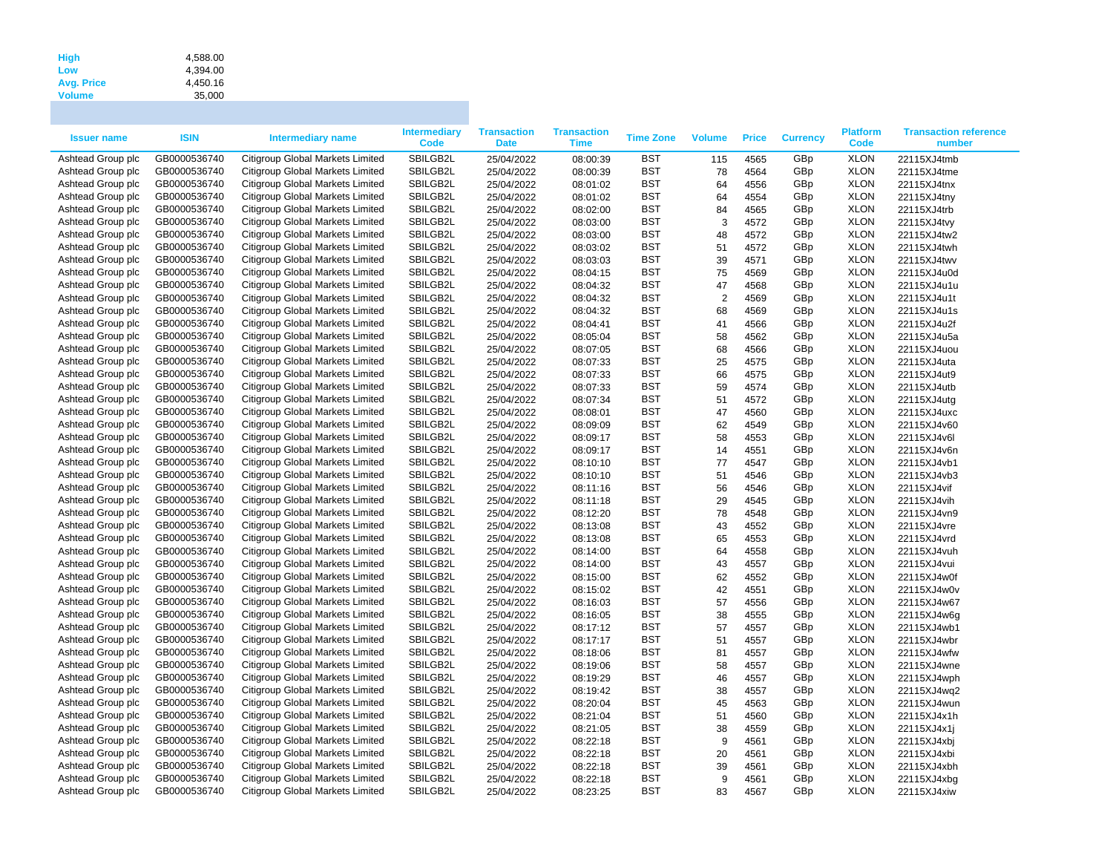| <b>High</b>       | 4.588.00 |
|-------------------|----------|
| Low               | 4.394.00 |
| <b>Avg. Price</b> | 4.450.16 |
| <b>Volume</b>     | 35,000   |

| GB0000536740<br>Citigroup Global Markets Limited<br>SBILGB2L<br><b>BST</b><br><b>XLON</b><br>Ashtead Group plc<br>4565<br>GBp<br>22115XJ4tmb<br>25/04/2022<br>08:00:39<br>115<br>Ashtead Group plc<br>GB0000536740<br>Citigroup Global Markets Limited<br>SBILGB2L<br>25/04/2022<br>08:00:39<br><b>BST</b><br>78<br>4564<br>GBp<br><b>XLON</b><br>22115XJ4tme<br>Ashtead Group plc<br>GB0000536740<br>Citigroup Global Markets Limited<br>SBILGB2L<br>25/04/2022<br>08:01:02<br><b>BST</b><br>64<br>4556<br>GBp<br><b>XLON</b><br>22115XJ4tnx<br>SBILGB2L<br><b>BST</b><br><b>XLON</b><br>Ashtead Group plc<br>GB0000536740<br>Citigroup Global Markets Limited<br>64<br>4554<br>GBp<br>25/04/2022<br>08:01:02<br>22115XJ4tny<br>Ashtead Group plc<br>GB0000536740<br>Citigroup Global Markets Limited<br>SBILGB2L<br><b>BST</b><br>GBp<br><b>XLON</b><br>25/04/2022<br>08:02:00<br>84<br>4565<br>22115XJ4trb<br>SBILGB2L<br><b>BST</b><br>3<br><b>XLON</b><br>Ashtead Group plc<br>GB0000536740<br>Citigroup Global Markets Limited<br>4572<br>GBp<br>25/04/2022<br>08:03:00<br>22115XJ4tvy<br>Ashtead Group plc<br>GB0000536740<br>Citigroup Global Markets Limited<br>SBILGB2L<br>25/04/2022<br><b>BST</b><br>48<br>4572<br>GBp<br><b>XLON</b><br>08:03:00<br>22115XJ4tw2<br><b>BST</b><br><b>XLON</b><br>Ashtead Group plc<br>GB0000536740<br>Citigroup Global Markets Limited<br>SBILGB2L<br>25/04/2022<br>08:03:02<br>51<br>4572<br>GBp<br>22115XJ4twh<br>SBILGB2L<br><b>BST</b><br><b>XLON</b><br>Ashtead Group plc<br>GB0000536740<br>Citigroup Global Markets Limited<br>25/04/2022<br>39<br>4571<br>GBp<br>08:03:03<br>22115XJ4twv<br>Ashtead Group plc<br>GB0000536740<br>Citigroup Global Markets Limited<br>SBILGB2L<br><b>BST</b><br>75<br>4569<br>GBp<br><b>XLON</b><br>25/04/2022<br>08:04:15<br>22115XJ4u0d<br>GB0000536740<br>Citigroup Global Markets Limited<br>SBILGB2L<br><b>BST</b><br>47<br><b>XLON</b><br>Ashtead Group plc<br>4568<br>GBp<br>22115XJ4u1u<br>25/04/2022<br>08:04:32<br>$\overline{2}$<br>Ashtead Group plc<br>GB0000536740<br>Citigroup Global Markets Limited<br>SBILGB2L<br>25/04/2022<br><b>BST</b><br>4569<br>GBp<br><b>XLON</b><br>08:04:32<br>22115XJ4u1t<br>Citigroup Global Markets Limited<br><b>BST</b><br>68<br><b>XLON</b><br>Ashtead Group plc<br>GB0000536740<br>SBILGB2L<br>25/04/2022<br>08:04:32<br>4569<br>GBp<br>22115XJ4u1s<br>SBILGB2L<br><b>BST</b><br><b>XLON</b><br>Ashtead Group plc<br>GB0000536740<br>Citigroup Global Markets Limited<br>25/04/2022<br>41<br>4566<br>GBp<br>08:04:41<br>22115XJ4u2f<br>Ashtead Group plc<br>GB0000536740<br>Citigroup Global Markets Limited<br>SBILGB2L<br><b>BST</b><br>58<br>4562<br>GBp<br><b>XLON</b><br>25/04/2022<br>08:05:04<br>22115XJ4u5a<br>GB0000536740<br>Citigroup Global Markets Limited<br>SBILGB2L<br><b>BST</b><br>68<br><b>XLON</b><br>Ashtead Group plc<br>25/04/2022<br>4566<br>GBp<br>22115XJ4uou<br>08:07:05<br>Citigroup Global Markets Limited<br>25<br><b>XLON</b><br>Ashtead Group plc<br>GB0000536740<br>SBILGB2L<br>25/04/2022<br>08:07:33<br><b>BST</b><br>4575<br>GBp<br>22115XJ4uta<br>Citigroup Global Markets Limited<br><b>BST</b><br>66<br><b>XLON</b><br>Ashtead Group plc<br>GB0000536740<br>SBILGB2L<br>25/04/2022<br>08:07:33<br>4575<br>GBp<br>22115XJ4ut9<br>Citigroup Global Markets Limited<br>SBILGB2L<br><b>BST</b><br>59<br><b>XLON</b><br>Ashtead Group plc<br>GB0000536740<br>25/04/2022<br>4574<br>GBp<br>08:07:33<br>22115XJ4utb<br>Ashtead Group plc<br>GB0000536740<br>Citigroup Global Markets Limited<br>SBILGB2L<br><b>BST</b><br>51<br>4572<br>GBp<br><b>XLON</b><br>25/04/2022<br>08:07:34<br>22115XJ4utg<br>GB0000536740<br>Citigroup Global Markets Limited<br>SBILGB2L<br><b>BST</b><br>47<br><b>XLON</b><br>Ashtead Group plc<br>25/04/2022<br>08:08:01<br>4560<br>GBp<br>22115XJ4uxc<br>Citigroup Global Markets Limited<br>Ashtead Group plc<br>GB0000536740<br>SBILGB2L<br>25/04/2022<br>08:09:09<br><b>BST</b><br>62<br>4549<br>GBp<br><b>XLON</b><br>22115XJ4v60<br>Ashtead Group plc<br>Citigroup Global Markets Limited<br>SBILGB2L<br><b>BST</b><br>58<br>GBp<br><b>XLON</b><br>GB0000536740<br>25/04/2022<br>08:09:17<br>4553<br>22115XJ4v6l<br>GB0000536740<br>Citigroup Global Markets Limited<br>SBILGB2L<br><b>BST</b><br><b>XLON</b><br>Ashtead Group plc<br>25/04/2022<br>14<br>4551<br>GBp<br>08:09:17<br>22115XJ4v6n<br>77<br>Ashtead Group plc<br>GB0000536740<br>Citigroup Global Markets Limited<br>SBILGB2L<br>25/04/2022<br><b>BST</b><br>4547<br>GBp<br><b>XLON</b><br>08:10:10<br>22115XJ4vb1<br>Ashtead Group plc<br>GB0000536740<br>Citigroup Global Markets Limited<br>SBILGB2L<br><b>BST</b><br>GBp<br><b>XLON</b><br>25/04/2022<br>08:10:10<br>51<br>4546<br>22115XJ4vb3<br>Ashtead Group plc<br>Citigroup Global Markets Limited<br>SBILGB2L<br><b>BST</b><br><b>XLON</b><br>GB0000536740<br>25/04/2022<br>56<br>4546<br>GBp<br>22115XJ4vif<br>08:11:16<br>29<br>Ashtead Group plc<br>Citigroup Global Markets Limited<br>SBILGB2L<br><b>BST</b><br>GBp<br><b>XLON</b><br>GB0000536740<br>25/04/2022<br>08:11:18<br>4545<br>22115XJ4vih<br>Ashtead Group plc<br>GB0000536740<br>Citigroup Global Markets Limited<br>SBILGB2L<br><b>BST</b><br>78<br>GBp<br><b>XLON</b><br>25/04/2022<br>4548<br>08:12:20<br>22115XJ4vn9<br>Ashtead Group plc<br>GB0000536740<br>Citigroup Global Markets Limited<br>SBILGB2L<br>08:13:08<br><b>BST</b><br>43<br>4552<br>GBp<br><b>XLON</b><br>25/04/2022<br>22115XJ4vre<br>Ashtead Group plc<br>GB0000536740<br>Citigroup Global Markets Limited<br>SBILGB2L<br><b>BST</b><br>65<br>GBp<br><b>XLON</b><br>25/04/2022<br>08:13:08<br>4553<br>22115XJ4vrd<br>Ashtead Group plc<br>GB0000536740<br>Citigroup Global Markets Limited<br>SBILGB2L<br><b>BST</b><br>64<br><b>XLON</b><br>25/04/2022<br>08:14:00<br>4558<br>GBp<br>22115XJ4vuh<br>Ashtead Group plc<br>GB0000536740<br>Citigroup Global Markets Limited<br>SBILGB2L<br><b>BST</b><br>43<br>GBp<br><b>XLON</b><br>25/04/2022<br>08:14:00<br>4557<br>22115XJ4vui<br>Ashtead Group plc<br>GB0000536740<br>Citigroup Global Markets Limited<br>SBILGB2L<br><b>BST</b><br>62<br>4552<br>GBp<br><b>XLON</b><br>25/04/2022<br>08:15:00<br>22115XJ4w0f<br>Ashtead Group plc<br>GB0000536740<br>Citigroup Global Markets Limited<br>SBILGB2L<br>25/04/2022<br><b>BST</b><br>42<br>4551<br>GBp<br><b>XLON</b><br>08:15:02<br>22115XJ4w0v<br>SBILGB2L<br><b>BST</b><br>57<br><b>XLON</b><br>Ashtead Group plc<br>GB0000536740<br>Citigroup Global Markets Limited<br>4556<br>GBp<br>25/04/2022<br>08:16:03<br>22115XJ4w67<br>Ashtead Group plc<br>GB0000536740<br>Citigroup Global Markets Limited<br>SBILGB2L<br><b>BST</b><br>38<br><b>XLON</b><br>25/04/2022<br>4555<br>GBp<br>22115XJ4w6g<br>08:16:05<br><b>BST</b><br>57<br>Ashtead Group plc<br>GB0000536740<br>Citigroup Global Markets Limited<br>SBILGB2L<br>4557<br>GBp<br><b>XLON</b><br>25/04/2022<br>08:17:12<br>22115XJ4wb1<br>Ashtead Group plc<br>GB0000536740<br>Citigroup Global Markets Limited<br>SBILGB2L<br><b>BST</b><br>51<br>GBp<br><b>XLON</b><br>25/04/2022<br>08:17:17<br>4557<br>22115XJ4wbr<br><b>BST</b><br><b>XLON</b><br>Ashtead Group plc<br>GB0000536740<br>Citigroup Global Markets Limited<br>SBILGB2L<br>25/04/2022<br>08:18:06<br>81<br>4557<br>GBp<br>22115XJ4wfw<br>SBILGB2L<br><b>XLON</b><br>Ashtead Group plc<br>GB0000536740<br>Citigroup Global Markets Limited<br><b>BST</b><br>58<br>4557<br>GBp<br>25/04/2022<br>08:19:06<br>22115XJ4wne<br>Ashtead Group plc<br>GB0000536740<br>Citigroup Global Markets Limited<br>SBILGB2L<br><b>BST</b><br>46<br><b>XLON</b><br>25/04/2022<br>08:19:29<br>4557<br>GBp<br>22115XJ4wph<br><b>BST</b><br>38<br>Ashtead Group plc<br>GB0000536740<br>Citigroup Global Markets Limited<br>SBILGB2L<br>GBp<br><b>XLON</b><br>25/04/2022<br>08:19:42<br>4557<br>22115XJ4wq2<br><b>XLON</b><br>Ashtead Group plc<br>GB0000536740<br>Citigroup Global Markets Limited<br>SBILGB2L<br>25/04/2022<br><b>BST</b><br>45<br>4563<br>GBp<br>08:20:04<br>22115XJ4wun<br>SBILGB2L<br><b>BST</b><br>51<br><b>XLON</b><br>Ashtead Group plc<br>GB0000536740<br>Citigroup Global Markets Limited<br>25/04/2022<br>08:21:04<br>4560<br>GBp<br>22115XJ4x1h<br>GB0000536740<br>SBILGB2L<br><b>BST</b><br><b>XLON</b><br>Ashtead Group plc<br>Citigroup Global Markets Limited<br>25/04/2022<br>38<br>4559<br>GBp<br>08:21:05<br>22115XJ4x1j<br>Ashtead Group plc<br>GB0000536740<br>Citigroup Global Markets Limited<br>SBILGB2L<br><b>BST</b><br>9<br><b>XLON</b><br>25/04/2022<br>08:22:18<br>4561<br>GBp<br>22115XJ4xbj<br>Ashtead Group plc<br>GB0000536740<br>Citigroup Global Markets Limited<br>SBILGB2L<br><b>BST</b><br>20<br>GBp<br><b>XLON</b><br>25/04/2022<br>08:22:18<br>4561<br>22115XJ4xbi<br><b>XLON</b><br>Ashtead Group plc<br>GB0000536740<br>Citigroup Global Markets Limited<br>SBILGB2L<br>25/04/2022<br><b>BST</b><br>39<br>4561<br>GBp<br>08:22:18<br>22115XJ4xbh<br>SBILGB2L<br><b>BST</b><br>9<br><b>XLON</b><br>Ashtead Group plc<br>GB0000536740<br>Citigroup Global Markets Limited<br>25/04/2022<br>08:22:18<br>4561<br>GBp<br>22115XJ4xbg<br>GB0000536740<br>Citigroup Global Markets Limited<br>SBILGB2L<br><b>BST</b><br>4567<br><b>XLON</b><br>Ashtead Group plc<br>25/04/2022<br>08:23:25<br>83<br>GBp<br>22115XJ4xiw | <b>Issuer name</b> | <b>ISIN</b> | <b>Intermediary name</b> | <b>Intermediary</b><br>Code | <b>Transaction</b><br><b>Date</b> | <b>Transaction</b><br><b>Time</b> | <b>Time Zone</b> | <b>Volume</b> | <b>Price</b> | <b>Currency</b> | <b>Platform</b><br>Code | <b>Transaction reference</b><br>number |
|--------------------------------------------------------------------------------------------------------------------------------------------------------------------------------------------------------------------------------------------------------------------------------------------------------------------------------------------------------------------------------------------------------------------------------------------------------------------------------------------------------------------------------------------------------------------------------------------------------------------------------------------------------------------------------------------------------------------------------------------------------------------------------------------------------------------------------------------------------------------------------------------------------------------------------------------------------------------------------------------------------------------------------------------------------------------------------------------------------------------------------------------------------------------------------------------------------------------------------------------------------------------------------------------------------------------------------------------------------------------------------------------------------------------------------------------------------------------------------------------------------------------------------------------------------------------------------------------------------------------------------------------------------------------------------------------------------------------------------------------------------------------------------------------------------------------------------------------------------------------------------------------------------------------------------------------------------------------------------------------------------------------------------------------------------------------------------------------------------------------------------------------------------------------------------------------------------------------------------------------------------------------------------------------------------------------------------------------------------------------------------------------------------------------------------------------------------------------------------------------------------------------------------------------------------------------------------------------------------------------------------------------------------------------------------------------------------------------------------------------------------------------------------------------------------------------------------------------------------------------------------------------------------------------------------------------------------------------------------------------------------------------------------------------------------------------------------------------------------------------------------------------------------------------------------------------------------------------------------------------------------------------------------------------------------------------------------------------------------------------------------------------------------------------------------------------------------------------------------------------------------------------------------------------------------------------------------------------------------------------------------------------------------------------------------------------------------------------------------------------------------------------------------------------------------------------------------------------------------------------------------------------------------------------------------------------------------------------------------------------------------------------------------------------------------------------------------------------------------------------------------------------------------------------------------------------------------------------------------------------------------------------------------------------------------------------------------------------------------------------------------------------------------------------------------------------------------------------------------------------------------------------------------------------------------------------------------------------------------------------------------------------------------------------------------------------------------------------------------------------------------------------------------------------------------------------------------------------------------------------------------------------------------------------------------------------------------------------------------------------------------------------------------------------------------------------------------------------------------------------------------------------------------------------------------------------------------------------------------------------------------------------------------------------------------------------------------------------------------------------------------------------------------------------------------------------------------------------------------------------------------------------------------------------------------------------------------------------------------------------------------------------------------------------------------------------------------------------------------------------------------------------------------------------------------------------------------------------------------------------------------------------------------------------------------------------------------------------------------------------------------------------------------------------------------------------------------------------------------------------------------------------------------------------------------------------------------------------------------------------------------------------------------------------------------------------------------------------------------------------------------------------------------------------------------------------------------------------------------------------------------------------------------------------------------------------------------------------------------------------------------------------------------------------------------------------------------------------------------------------------------------------------------------------------------------------------------------------------------------------------------------------------------------------------------------------------------------------------------------------------------------------------------------------------------------------------------------------------------------------------------------------------------------------------------------------------------------------------------------------------------------------------------------------------------------------------------------------------------------------------------------------------------------------------------------------------------------------------------------------------------------------------------------------------------------------------------------------------------------------------------------------------------------------------------------------------------------------------------------------------------------------------------------------------------------------------------------------------------------------------------------------------------------------------------------------------------------------------------------------------------------------------------------------------------------------------------------------------------------------------------------------------------------------------------------------------------------------------------------------------------------------------------------------------------------------------------------------------------------------------------------------------------------------------------------------------------------------------------------------------------------------------------------------------------------------------------------------------------------------------------------------------------------------------------------------------------------------------------------------------------------------------------------------------------------------------------------------------------------------------------------------------------------------------------------------------------------------------------------------------------------------------------------------------------------------------------------------------------------------------------------------------------------------------------------------------------------------------------------------------------------------------------------------------------------------------------------------------------|--------------------|-------------|--------------------------|-----------------------------|-----------------------------------|-----------------------------------|------------------|---------------|--------------|-----------------|-------------------------|----------------------------------------|
|                                                                                                                                                                                                                                                                                                                                                                                                                                                                                                                                                                                                                                                                                                                                                                                                                                                                                                                                                                                                                                                                                                                                                                                                                                                                                                                                                                                                                                                                                                                                                                                                                                                                                                                                                                                                                                                                                                                                                                                                                                                                                                                                                                                                                                                                                                                                                                                                                                                                                                                                                                                                                                                                                                                                                                                                                                                                                                                                                                                                                                                                                                                                                                                                                                                                                                                                                                                                                                                                                                                                                                                                                                                                                                                                                                                                                                                                                                                                                                                                                                                                                                                                                                                                                                                                                                                                                                                                                                                                                                                                                                                                                                                                                                                                                                                                                                                                                                                                                                                                                                                                                                                                                                                                                                                                                                                                                                                                                                                                                                                                                                                                                                                                                                                                                                                                                                                                                                                                                                                                                                                                                                                                                                                                                                                                                                                                                                                                                                                                                                                                                                                                                                                                                                                                                                                                                                                                                                                                                                                                                                                                                                                                                                                                                                                                                                                                                                                                                                                                                                                                                                                                                                                                                                                                                                                                                                                                                                                                                                                                                                                                                                                                                                                                                                                                                                                                                                                                                                                                                                                                                                                                                                                                                                                                                                                                                                                                                                                                                                                                                                                                                                                                                                                                                                                                                                                                                        |                    |             |                          |                             |                                   |                                   |                  |               |              |                 |                         |                                        |
|                                                                                                                                                                                                                                                                                                                                                                                                                                                                                                                                                                                                                                                                                                                                                                                                                                                                                                                                                                                                                                                                                                                                                                                                                                                                                                                                                                                                                                                                                                                                                                                                                                                                                                                                                                                                                                                                                                                                                                                                                                                                                                                                                                                                                                                                                                                                                                                                                                                                                                                                                                                                                                                                                                                                                                                                                                                                                                                                                                                                                                                                                                                                                                                                                                                                                                                                                                                                                                                                                                                                                                                                                                                                                                                                                                                                                                                                                                                                                                                                                                                                                                                                                                                                                                                                                                                                                                                                                                                                                                                                                                                                                                                                                                                                                                                                                                                                                                                                                                                                                                                                                                                                                                                                                                                                                                                                                                                                                                                                                                                                                                                                                                                                                                                                                                                                                                                                                                                                                                                                                                                                                                                                                                                                                                                                                                                                                                                                                                                                                                                                                                                                                                                                                                                                                                                                                                                                                                                                                                                                                                                                                                                                                                                                                                                                                                                                                                                                                                                                                                                                                                                                                                                                                                                                                                                                                                                                                                                                                                                                                                                                                                                                                                                                                                                                                                                                                                                                                                                                                                                                                                                                                                                                                                                                                                                                                                                                                                                                                                                                                                                                                                                                                                                                                                                                                                                                                        |                    |             |                          |                             |                                   |                                   |                  |               |              |                 |                         |                                        |
|                                                                                                                                                                                                                                                                                                                                                                                                                                                                                                                                                                                                                                                                                                                                                                                                                                                                                                                                                                                                                                                                                                                                                                                                                                                                                                                                                                                                                                                                                                                                                                                                                                                                                                                                                                                                                                                                                                                                                                                                                                                                                                                                                                                                                                                                                                                                                                                                                                                                                                                                                                                                                                                                                                                                                                                                                                                                                                                                                                                                                                                                                                                                                                                                                                                                                                                                                                                                                                                                                                                                                                                                                                                                                                                                                                                                                                                                                                                                                                                                                                                                                                                                                                                                                                                                                                                                                                                                                                                                                                                                                                                                                                                                                                                                                                                                                                                                                                                                                                                                                                                                                                                                                                                                                                                                                                                                                                                                                                                                                                                                                                                                                                                                                                                                                                                                                                                                                                                                                                                                                                                                                                                                                                                                                                                                                                                                                                                                                                                                                                                                                                                                                                                                                                                                                                                                                                                                                                                                                                                                                                                                                                                                                                                                                                                                                                                                                                                                                                                                                                                                                                                                                                                                                                                                                                                                                                                                                                                                                                                                                                                                                                                                                                                                                                                                                                                                                                                                                                                                                                                                                                                                                                                                                                                                                                                                                                                                                                                                                                                                                                                                                                                                                                                                                                                                                                                                                        |                    |             |                          |                             |                                   |                                   |                  |               |              |                 |                         |                                        |
|                                                                                                                                                                                                                                                                                                                                                                                                                                                                                                                                                                                                                                                                                                                                                                                                                                                                                                                                                                                                                                                                                                                                                                                                                                                                                                                                                                                                                                                                                                                                                                                                                                                                                                                                                                                                                                                                                                                                                                                                                                                                                                                                                                                                                                                                                                                                                                                                                                                                                                                                                                                                                                                                                                                                                                                                                                                                                                                                                                                                                                                                                                                                                                                                                                                                                                                                                                                                                                                                                                                                                                                                                                                                                                                                                                                                                                                                                                                                                                                                                                                                                                                                                                                                                                                                                                                                                                                                                                                                                                                                                                                                                                                                                                                                                                                                                                                                                                                                                                                                                                                                                                                                                                                                                                                                                                                                                                                                                                                                                                                                                                                                                                                                                                                                                                                                                                                                                                                                                                                                                                                                                                                                                                                                                                                                                                                                                                                                                                                                                                                                                                                                                                                                                                                                                                                                                                                                                                                                                                                                                                                                                                                                                                                                                                                                                                                                                                                                                                                                                                                                                                                                                                                                                                                                                                                                                                                                                                                                                                                                                                                                                                                                                                                                                                                                                                                                                                                                                                                                                                                                                                                                                                                                                                                                                                                                                                                                                                                                                                                                                                                                                                                                                                                                                                                                                                                                                        |                    |             |                          |                             |                                   |                                   |                  |               |              |                 |                         |                                        |
|                                                                                                                                                                                                                                                                                                                                                                                                                                                                                                                                                                                                                                                                                                                                                                                                                                                                                                                                                                                                                                                                                                                                                                                                                                                                                                                                                                                                                                                                                                                                                                                                                                                                                                                                                                                                                                                                                                                                                                                                                                                                                                                                                                                                                                                                                                                                                                                                                                                                                                                                                                                                                                                                                                                                                                                                                                                                                                                                                                                                                                                                                                                                                                                                                                                                                                                                                                                                                                                                                                                                                                                                                                                                                                                                                                                                                                                                                                                                                                                                                                                                                                                                                                                                                                                                                                                                                                                                                                                                                                                                                                                                                                                                                                                                                                                                                                                                                                                                                                                                                                                                                                                                                                                                                                                                                                                                                                                                                                                                                                                                                                                                                                                                                                                                                                                                                                                                                                                                                                                                                                                                                                                                                                                                                                                                                                                                                                                                                                                                                                                                                                                                                                                                                                                                                                                                                                                                                                                                                                                                                                                                                                                                                                                                                                                                                                                                                                                                                                                                                                                                                                                                                                                                                                                                                                                                                                                                                                                                                                                                                                                                                                                                                                                                                                                                                                                                                                                                                                                                                                                                                                                                                                                                                                                                                                                                                                                                                                                                                                                                                                                                                                                                                                                                                                                                                                                                                        |                    |             |                          |                             |                                   |                                   |                  |               |              |                 |                         |                                        |
|                                                                                                                                                                                                                                                                                                                                                                                                                                                                                                                                                                                                                                                                                                                                                                                                                                                                                                                                                                                                                                                                                                                                                                                                                                                                                                                                                                                                                                                                                                                                                                                                                                                                                                                                                                                                                                                                                                                                                                                                                                                                                                                                                                                                                                                                                                                                                                                                                                                                                                                                                                                                                                                                                                                                                                                                                                                                                                                                                                                                                                                                                                                                                                                                                                                                                                                                                                                                                                                                                                                                                                                                                                                                                                                                                                                                                                                                                                                                                                                                                                                                                                                                                                                                                                                                                                                                                                                                                                                                                                                                                                                                                                                                                                                                                                                                                                                                                                                                                                                                                                                                                                                                                                                                                                                                                                                                                                                                                                                                                                                                                                                                                                                                                                                                                                                                                                                                                                                                                                                                                                                                                                                                                                                                                                                                                                                                                                                                                                                                                                                                                                                                                                                                                                                                                                                                                                                                                                                                                                                                                                                                                                                                                                                                                                                                                                                                                                                                                                                                                                                                                                                                                                                                                                                                                                                                                                                                                                                                                                                                                                                                                                                                                                                                                                                                                                                                                                                                                                                                                                                                                                                                                                                                                                                                                                                                                                                                                                                                                                                                                                                                                                                                                                                                                                                                                                                                                        |                    |             |                          |                             |                                   |                                   |                  |               |              |                 |                         |                                        |
|                                                                                                                                                                                                                                                                                                                                                                                                                                                                                                                                                                                                                                                                                                                                                                                                                                                                                                                                                                                                                                                                                                                                                                                                                                                                                                                                                                                                                                                                                                                                                                                                                                                                                                                                                                                                                                                                                                                                                                                                                                                                                                                                                                                                                                                                                                                                                                                                                                                                                                                                                                                                                                                                                                                                                                                                                                                                                                                                                                                                                                                                                                                                                                                                                                                                                                                                                                                                                                                                                                                                                                                                                                                                                                                                                                                                                                                                                                                                                                                                                                                                                                                                                                                                                                                                                                                                                                                                                                                                                                                                                                                                                                                                                                                                                                                                                                                                                                                                                                                                                                                                                                                                                                                                                                                                                                                                                                                                                                                                                                                                                                                                                                                                                                                                                                                                                                                                                                                                                                                                                                                                                                                                                                                                                                                                                                                                                                                                                                                                                                                                                                                                                                                                                                                                                                                                                                                                                                                                                                                                                                                                                                                                                                                                                                                                                                                                                                                                                                                                                                                                                                                                                                                                                                                                                                                                                                                                                                                                                                                                                                                                                                                                                                                                                                                                                                                                                                                                                                                                                                                                                                                                                                                                                                                                                                                                                                                                                                                                                                                                                                                                                                                                                                                                                                                                                                                                                        |                    |             |                          |                             |                                   |                                   |                  |               |              |                 |                         |                                        |
|                                                                                                                                                                                                                                                                                                                                                                                                                                                                                                                                                                                                                                                                                                                                                                                                                                                                                                                                                                                                                                                                                                                                                                                                                                                                                                                                                                                                                                                                                                                                                                                                                                                                                                                                                                                                                                                                                                                                                                                                                                                                                                                                                                                                                                                                                                                                                                                                                                                                                                                                                                                                                                                                                                                                                                                                                                                                                                                                                                                                                                                                                                                                                                                                                                                                                                                                                                                                                                                                                                                                                                                                                                                                                                                                                                                                                                                                                                                                                                                                                                                                                                                                                                                                                                                                                                                                                                                                                                                                                                                                                                                                                                                                                                                                                                                                                                                                                                                                                                                                                                                                                                                                                                                                                                                                                                                                                                                                                                                                                                                                                                                                                                                                                                                                                                                                                                                                                                                                                                                                                                                                                                                                                                                                                                                                                                                                                                                                                                                                                                                                                                                                                                                                                                                                                                                                                                                                                                                                                                                                                                                                                                                                                                                                                                                                                                                                                                                                                                                                                                                                                                                                                                                                                                                                                                                                                                                                                                                                                                                                                                                                                                                                                                                                                                                                                                                                                                                                                                                                                                                                                                                                                                                                                                                                                                                                                                                                                                                                                                                                                                                                                                                                                                                                                                                                                                                                                        |                    |             |                          |                             |                                   |                                   |                  |               |              |                 |                         |                                        |
|                                                                                                                                                                                                                                                                                                                                                                                                                                                                                                                                                                                                                                                                                                                                                                                                                                                                                                                                                                                                                                                                                                                                                                                                                                                                                                                                                                                                                                                                                                                                                                                                                                                                                                                                                                                                                                                                                                                                                                                                                                                                                                                                                                                                                                                                                                                                                                                                                                                                                                                                                                                                                                                                                                                                                                                                                                                                                                                                                                                                                                                                                                                                                                                                                                                                                                                                                                                                                                                                                                                                                                                                                                                                                                                                                                                                                                                                                                                                                                                                                                                                                                                                                                                                                                                                                                                                                                                                                                                                                                                                                                                                                                                                                                                                                                                                                                                                                                                                                                                                                                                                                                                                                                                                                                                                                                                                                                                                                                                                                                                                                                                                                                                                                                                                                                                                                                                                                                                                                                                                                                                                                                                                                                                                                                                                                                                                                                                                                                                                                                                                                                                                                                                                                                                                                                                                                                                                                                                                                                                                                                                                                                                                                                                                                                                                                                                                                                                                                                                                                                                                                                                                                                                                                                                                                                                                                                                                                                                                                                                                                                                                                                                                                                                                                                                                                                                                                                                                                                                                                                                                                                                                                                                                                                                                                                                                                                                                                                                                                                                                                                                                                                                                                                                                                                                                                                                                                        |                    |             |                          |                             |                                   |                                   |                  |               |              |                 |                         |                                        |
|                                                                                                                                                                                                                                                                                                                                                                                                                                                                                                                                                                                                                                                                                                                                                                                                                                                                                                                                                                                                                                                                                                                                                                                                                                                                                                                                                                                                                                                                                                                                                                                                                                                                                                                                                                                                                                                                                                                                                                                                                                                                                                                                                                                                                                                                                                                                                                                                                                                                                                                                                                                                                                                                                                                                                                                                                                                                                                                                                                                                                                                                                                                                                                                                                                                                                                                                                                                                                                                                                                                                                                                                                                                                                                                                                                                                                                                                                                                                                                                                                                                                                                                                                                                                                                                                                                                                                                                                                                                                                                                                                                                                                                                                                                                                                                                                                                                                                                                                                                                                                                                                                                                                                                                                                                                                                                                                                                                                                                                                                                                                                                                                                                                                                                                                                                                                                                                                                                                                                                                                                                                                                                                                                                                                                                                                                                                                                                                                                                                                                                                                                                                                                                                                                                                                                                                                                                                                                                                                                                                                                                                                                                                                                                                                                                                                                                                                                                                                                                                                                                                                                                                                                                                                                                                                                                                                                                                                                                                                                                                                                                                                                                                                                                                                                                                                                                                                                                                                                                                                                                                                                                                                                                                                                                                                                                                                                                                                                                                                                                                                                                                                                                                                                                                                                                                                                                                                                        |                    |             |                          |                             |                                   |                                   |                  |               |              |                 |                         |                                        |
|                                                                                                                                                                                                                                                                                                                                                                                                                                                                                                                                                                                                                                                                                                                                                                                                                                                                                                                                                                                                                                                                                                                                                                                                                                                                                                                                                                                                                                                                                                                                                                                                                                                                                                                                                                                                                                                                                                                                                                                                                                                                                                                                                                                                                                                                                                                                                                                                                                                                                                                                                                                                                                                                                                                                                                                                                                                                                                                                                                                                                                                                                                                                                                                                                                                                                                                                                                                                                                                                                                                                                                                                                                                                                                                                                                                                                                                                                                                                                                                                                                                                                                                                                                                                                                                                                                                                                                                                                                                                                                                                                                                                                                                                                                                                                                                                                                                                                                                                                                                                                                                                                                                                                                                                                                                                                                                                                                                                                                                                                                                                                                                                                                                                                                                                                                                                                                                                                                                                                                                                                                                                                                                                                                                                                                                                                                                                                                                                                                                                                                                                                                                                                                                                                                                                                                                                                                                                                                                                                                                                                                                                                                                                                                                                                                                                                                                                                                                                                                                                                                                                                                                                                                                                                                                                                                                                                                                                                                                                                                                                                                                                                                                                                                                                                                                                                                                                                                                                                                                                                                                                                                                                                                                                                                                                                                                                                                                                                                                                                                                                                                                                                                                                                                                                                                                                                                                                                        |                    |             |                          |                             |                                   |                                   |                  |               |              |                 |                         |                                        |
|                                                                                                                                                                                                                                                                                                                                                                                                                                                                                                                                                                                                                                                                                                                                                                                                                                                                                                                                                                                                                                                                                                                                                                                                                                                                                                                                                                                                                                                                                                                                                                                                                                                                                                                                                                                                                                                                                                                                                                                                                                                                                                                                                                                                                                                                                                                                                                                                                                                                                                                                                                                                                                                                                                                                                                                                                                                                                                                                                                                                                                                                                                                                                                                                                                                                                                                                                                                                                                                                                                                                                                                                                                                                                                                                                                                                                                                                                                                                                                                                                                                                                                                                                                                                                                                                                                                                                                                                                                                                                                                                                                                                                                                                                                                                                                                                                                                                                                                                                                                                                                                                                                                                                                                                                                                                                                                                                                                                                                                                                                                                                                                                                                                                                                                                                                                                                                                                                                                                                                                                                                                                                                                                                                                                                                                                                                                                                                                                                                                                                                                                                                                                                                                                                                                                                                                                                                                                                                                                                                                                                                                                                                                                                                                                                                                                                                                                                                                                                                                                                                                                                                                                                                                                                                                                                                                                                                                                                                                                                                                                                                                                                                                                                                                                                                                                                                                                                                                                                                                                                                                                                                                                                                                                                                                                                                                                                                                                                                                                                                                                                                                                                                                                                                                                                                                                                                                                                        |                    |             |                          |                             |                                   |                                   |                  |               |              |                 |                         |                                        |
|                                                                                                                                                                                                                                                                                                                                                                                                                                                                                                                                                                                                                                                                                                                                                                                                                                                                                                                                                                                                                                                                                                                                                                                                                                                                                                                                                                                                                                                                                                                                                                                                                                                                                                                                                                                                                                                                                                                                                                                                                                                                                                                                                                                                                                                                                                                                                                                                                                                                                                                                                                                                                                                                                                                                                                                                                                                                                                                                                                                                                                                                                                                                                                                                                                                                                                                                                                                                                                                                                                                                                                                                                                                                                                                                                                                                                                                                                                                                                                                                                                                                                                                                                                                                                                                                                                                                                                                                                                                                                                                                                                                                                                                                                                                                                                                                                                                                                                                                                                                                                                                                                                                                                                                                                                                                                                                                                                                                                                                                                                                                                                                                                                                                                                                                                                                                                                                                                                                                                                                                                                                                                                                                                                                                                                                                                                                                                                                                                                                                                                                                                                                                                                                                                                                                                                                                                                                                                                                                                                                                                                                                                                                                                                                                                                                                                                                                                                                                                                                                                                                                                                                                                                                                                                                                                                                                                                                                                                                                                                                                                                                                                                                                                                                                                                                                                                                                                                                                                                                                                                                                                                                                                                                                                                                                                                                                                                                                                                                                                                                                                                                                                                                                                                                                                                                                                                                                                        |                    |             |                          |                             |                                   |                                   |                  |               |              |                 |                         |                                        |
|                                                                                                                                                                                                                                                                                                                                                                                                                                                                                                                                                                                                                                                                                                                                                                                                                                                                                                                                                                                                                                                                                                                                                                                                                                                                                                                                                                                                                                                                                                                                                                                                                                                                                                                                                                                                                                                                                                                                                                                                                                                                                                                                                                                                                                                                                                                                                                                                                                                                                                                                                                                                                                                                                                                                                                                                                                                                                                                                                                                                                                                                                                                                                                                                                                                                                                                                                                                                                                                                                                                                                                                                                                                                                                                                                                                                                                                                                                                                                                                                                                                                                                                                                                                                                                                                                                                                                                                                                                                                                                                                                                                                                                                                                                                                                                                                                                                                                                                                                                                                                                                                                                                                                                                                                                                                                                                                                                                                                                                                                                                                                                                                                                                                                                                                                                                                                                                                                                                                                                                                                                                                                                                                                                                                                                                                                                                                                                                                                                                                                                                                                                                                                                                                                                                                                                                                                                                                                                                                                                                                                                                                                                                                                                                                                                                                                                                                                                                                                                                                                                                                                                                                                                                                                                                                                                                                                                                                                                                                                                                                                                                                                                                                                                                                                                                                                                                                                                                                                                                                                                                                                                                                                                                                                                                                                                                                                                                                                                                                                                                                                                                                                                                                                                                                                                                                                                                                                        |                    |             |                          |                             |                                   |                                   |                  |               |              |                 |                         |                                        |
|                                                                                                                                                                                                                                                                                                                                                                                                                                                                                                                                                                                                                                                                                                                                                                                                                                                                                                                                                                                                                                                                                                                                                                                                                                                                                                                                                                                                                                                                                                                                                                                                                                                                                                                                                                                                                                                                                                                                                                                                                                                                                                                                                                                                                                                                                                                                                                                                                                                                                                                                                                                                                                                                                                                                                                                                                                                                                                                                                                                                                                                                                                                                                                                                                                                                                                                                                                                                                                                                                                                                                                                                                                                                                                                                                                                                                                                                                                                                                                                                                                                                                                                                                                                                                                                                                                                                                                                                                                                                                                                                                                                                                                                                                                                                                                                                                                                                                                                                                                                                                                                                                                                                                                                                                                                                                                                                                                                                                                                                                                                                                                                                                                                                                                                                                                                                                                                                                                                                                                                                                                                                                                                                                                                                                                                                                                                                                                                                                                                                                                                                                                                                                                                                                                                                                                                                                                                                                                                                                                                                                                                                                                                                                                                                                                                                                                                                                                                                                                                                                                                                                                                                                                                                                                                                                                                                                                                                                                                                                                                                                                                                                                                                                                                                                                                                                                                                                                                                                                                                                                                                                                                                                                                                                                                                                                                                                                                                                                                                                                                                                                                                                                                                                                                                                                                                                                                                                        |                    |             |                          |                             |                                   |                                   |                  |               |              |                 |                         |                                        |
|                                                                                                                                                                                                                                                                                                                                                                                                                                                                                                                                                                                                                                                                                                                                                                                                                                                                                                                                                                                                                                                                                                                                                                                                                                                                                                                                                                                                                                                                                                                                                                                                                                                                                                                                                                                                                                                                                                                                                                                                                                                                                                                                                                                                                                                                                                                                                                                                                                                                                                                                                                                                                                                                                                                                                                                                                                                                                                                                                                                                                                                                                                                                                                                                                                                                                                                                                                                                                                                                                                                                                                                                                                                                                                                                                                                                                                                                                                                                                                                                                                                                                                                                                                                                                                                                                                                                                                                                                                                                                                                                                                                                                                                                                                                                                                                                                                                                                                                                                                                                                                                                                                                                                                                                                                                                                                                                                                                                                                                                                                                                                                                                                                                                                                                                                                                                                                                                                                                                                                                                                                                                                                                                                                                                                                                                                                                                                                                                                                                                                                                                                                                                                                                                                                                                                                                                                                                                                                                                                                                                                                                                                                                                                                                                                                                                                                                                                                                                                                                                                                                                                                                                                                                                                                                                                                                                                                                                                                                                                                                                                                                                                                                                                                                                                                                                                                                                                                                                                                                                                                                                                                                                                                                                                                                                                                                                                                                                                                                                                                                                                                                                                                                                                                                                                                                                                                                                                        |                    |             |                          |                             |                                   |                                   |                  |               |              |                 |                         |                                        |
|                                                                                                                                                                                                                                                                                                                                                                                                                                                                                                                                                                                                                                                                                                                                                                                                                                                                                                                                                                                                                                                                                                                                                                                                                                                                                                                                                                                                                                                                                                                                                                                                                                                                                                                                                                                                                                                                                                                                                                                                                                                                                                                                                                                                                                                                                                                                                                                                                                                                                                                                                                                                                                                                                                                                                                                                                                                                                                                                                                                                                                                                                                                                                                                                                                                                                                                                                                                                                                                                                                                                                                                                                                                                                                                                                                                                                                                                                                                                                                                                                                                                                                                                                                                                                                                                                                                                                                                                                                                                                                                                                                                                                                                                                                                                                                                                                                                                                                                                                                                                                                                                                                                                                                                                                                                                                                                                                                                                                                                                                                                                                                                                                                                                                                                                                                                                                                                                                                                                                                                                                                                                                                                                                                                                                                                                                                                                                                                                                                                                                                                                                                                                                                                                                                                                                                                                                                                                                                                                                                                                                                                                                                                                                                                                                                                                                                                                                                                                                                                                                                                                                                                                                                                                                                                                                                                                                                                                                                                                                                                                                                                                                                                                                                                                                                                                                                                                                                                                                                                                                                                                                                                                                                                                                                                                                                                                                                                                                                                                                                                                                                                                                                                                                                                                                                                                                                                                                        |                    |             |                          |                             |                                   |                                   |                  |               |              |                 |                         |                                        |
|                                                                                                                                                                                                                                                                                                                                                                                                                                                                                                                                                                                                                                                                                                                                                                                                                                                                                                                                                                                                                                                                                                                                                                                                                                                                                                                                                                                                                                                                                                                                                                                                                                                                                                                                                                                                                                                                                                                                                                                                                                                                                                                                                                                                                                                                                                                                                                                                                                                                                                                                                                                                                                                                                                                                                                                                                                                                                                                                                                                                                                                                                                                                                                                                                                                                                                                                                                                                                                                                                                                                                                                                                                                                                                                                                                                                                                                                                                                                                                                                                                                                                                                                                                                                                                                                                                                                                                                                                                                                                                                                                                                                                                                                                                                                                                                                                                                                                                                                                                                                                                                                                                                                                                                                                                                                                                                                                                                                                                                                                                                                                                                                                                                                                                                                                                                                                                                                                                                                                                                                                                                                                                                                                                                                                                                                                                                                                                                                                                                                                                                                                                                                                                                                                                                                                                                                                                                                                                                                                                                                                                                                                                                                                                                                                                                                                                                                                                                                                                                                                                                                                                                                                                                                                                                                                                                                                                                                                                                                                                                                                                                                                                                                                                                                                                                                                                                                                                                                                                                                                                                                                                                                                                                                                                                                                                                                                                                                                                                                                                                                                                                                                                                                                                                                                                                                                                                                                        |                    |             |                          |                             |                                   |                                   |                  |               |              |                 |                         |                                        |
|                                                                                                                                                                                                                                                                                                                                                                                                                                                                                                                                                                                                                                                                                                                                                                                                                                                                                                                                                                                                                                                                                                                                                                                                                                                                                                                                                                                                                                                                                                                                                                                                                                                                                                                                                                                                                                                                                                                                                                                                                                                                                                                                                                                                                                                                                                                                                                                                                                                                                                                                                                                                                                                                                                                                                                                                                                                                                                                                                                                                                                                                                                                                                                                                                                                                                                                                                                                                                                                                                                                                                                                                                                                                                                                                                                                                                                                                                                                                                                                                                                                                                                                                                                                                                                                                                                                                                                                                                                                                                                                                                                                                                                                                                                                                                                                                                                                                                                                                                                                                                                                                                                                                                                                                                                                                                                                                                                                                                                                                                                                                                                                                                                                                                                                                                                                                                                                                                                                                                                                                                                                                                                                                                                                                                                                                                                                                                                                                                                                                                                                                                                                                                                                                                                                                                                                                                                                                                                                                                                                                                                                                                                                                                                                                                                                                                                                                                                                                                                                                                                                                                                                                                                                                                                                                                                                                                                                                                                                                                                                                                                                                                                                                                                                                                                                                                                                                                                                                                                                                                                                                                                                                                                                                                                                                                                                                                                                                                                                                                                                                                                                                                                                                                                                                                                                                                                                                                        |                    |             |                          |                             |                                   |                                   |                  |               |              |                 |                         |                                        |
|                                                                                                                                                                                                                                                                                                                                                                                                                                                                                                                                                                                                                                                                                                                                                                                                                                                                                                                                                                                                                                                                                                                                                                                                                                                                                                                                                                                                                                                                                                                                                                                                                                                                                                                                                                                                                                                                                                                                                                                                                                                                                                                                                                                                                                                                                                                                                                                                                                                                                                                                                                                                                                                                                                                                                                                                                                                                                                                                                                                                                                                                                                                                                                                                                                                                                                                                                                                                                                                                                                                                                                                                                                                                                                                                                                                                                                                                                                                                                                                                                                                                                                                                                                                                                                                                                                                                                                                                                                                                                                                                                                                                                                                                                                                                                                                                                                                                                                                                                                                                                                                                                                                                                                                                                                                                                                                                                                                                                                                                                                                                                                                                                                                                                                                                                                                                                                                                                                                                                                                                                                                                                                                                                                                                                                                                                                                                                                                                                                                                                                                                                                                                                                                                                                                                                                                                                                                                                                                                                                                                                                                                                                                                                                                                                                                                                                                                                                                                                                                                                                                                                                                                                                                                                                                                                                                                                                                                                                                                                                                                                                                                                                                                                                                                                                                                                                                                                                                                                                                                                                                                                                                                                                                                                                                                                                                                                                                                                                                                                                                                                                                                                                                                                                                                                                                                                                                                                        |                    |             |                          |                             |                                   |                                   |                  |               |              |                 |                         |                                        |
|                                                                                                                                                                                                                                                                                                                                                                                                                                                                                                                                                                                                                                                                                                                                                                                                                                                                                                                                                                                                                                                                                                                                                                                                                                                                                                                                                                                                                                                                                                                                                                                                                                                                                                                                                                                                                                                                                                                                                                                                                                                                                                                                                                                                                                                                                                                                                                                                                                                                                                                                                                                                                                                                                                                                                                                                                                                                                                                                                                                                                                                                                                                                                                                                                                                                                                                                                                                                                                                                                                                                                                                                                                                                                                                                                                                                                                                                                                                                                                                                                                                                                                                                                                                                                                                                                                                                                                                                                                                                                                                                                                                                                                                                                                                                                                                                                                                                                                                                                                                                                                                                                                                                                                                                                                                                                                                                                                                                                                                                                                                                                                                                                                                                                                                                                                                                                                                                                                                                                                                                                                                                                                                                                                                                                                                                                                                                                                                                                                                                                                                                                                                                                                                                                                                                                                                                                                                                                                                                                                                                                                                                                                                                                                                                                                                                                                                                                                                                                                                                                                                                                                                                                                                                                                                                                                                                                                                                                                                                                                                                                                                                                                                                                                                                                                                                                                                                                                                                                                                                                                                                                                                                                                                                                                                                                                                                                                                                                                                                                                                                                                                                                                                                                                                                                                                                                                                                                        |                    |             |                          |                             |                                   |                                   |                  |               |              |                 |                         |                                        |
|                                                                                                                                                                                                                                                                                                                                                                                                                                                                                                                                                                                                                                                                                                                                                                                                                                                                                                                                                                                                                                                                                                                                                                                                                                                                                                                                                                                                                                                                                                                                                                                                                                                                                                                                                                                                                                                                                                                                                                                                                                                                                                                                                                                                                                                                                                                                                                                                                                                                                                                                                                                                                                                                                                                                                                                                                                                                                                                                                                                                                                                                                                                                                                                                                                                                                                                                                                                                                                                                                                                                                                                                                                                                                                                                                                                                                                                                                                                                                                                                                                                                                                                                                                                                                                                                                                                                                                                                                                                                                                                                                                                                                                                                                                                                                                                                                                                                                                                                                                                                                                                                                                                                                                                                                                                                                                                                                                                                                                                                                                                                                                                                                                                                                                                                                                                                                                                                                                                                                                                                                                                                                                                                                                                                                                                                                                                                                                                                                                                                                                                                                                                                                                                                                                                                                                                                                                                                                                                                                                                                                                                                                                                                                                                                                                                                                                                                                                                                                                                                                                                                                                                                                                                                                                                                                                                                                                                                                                                                                                                                                                                                                                                                                                                                                                                                                                                                                                                                                                                                                                                                                                                                                                                                                                                                                                                                                                                                                                                                                                                                                                                                                                                                                                                                                                                                                                                                                        |                    |             |                          |                             |                                   |                                   |                  |               |              |                 |                         |                                        |
|                                                                                                                                                                                                                                                                                                                                                                                                                                                                                                                                                                                                                                                                                                                                                                                                                                                                                                                                                                                                                                                                                                                                                                                                                                                                                                                                                                                                                                                                                                                                                                                                                                                                                                                                                                                                                                                                                                                                                                                                                                                                                                                                                                                                                                                                                                                                                                                                                                                                                                                                                                                                                                                                                                                                                                                                                                                                                                                                                                                                                                                                                                                                                                                                                                                                                                                                                                                                                                                                                                                                                                                                                                                                                                                                                                                                                                                                                                                                                                                                                                                                                                                                                                                                                                                                                                                                                                                                                                                                                                                                                                                                                                                                                                                                                                                                                                                                                                                                                                                                                                                                                                                                                                                                                                                                                                                                                                                                                                                                                                                                                                                                                                                                                                                                                                                                                                                                                                                                                                                                                                                                                                                                                                                                                                                                                                                                                                                                                                                                                                                                                                                                                                                                                                                                                                                                                                                                                                                                                                                                                                                                                                                                                                                                                                                                                                                                                                                                                                                                                                                                                                                                                                                                                                                                                                                                                                                                                                                                                                                                                                                                                                                                                                                                                                                                                                                                                                                                                                                                                                                                                                                                                                                                                                                                                                                                                                                                                                                                                                                                                                                                                                                                                                                                                                                                                                                                                        |                    |             |                          |                             |                                   |                                   |                  |               |              |                 |                         |                                        |
|                                                                                                                                                                                                                                                                                                                                                                                                                                                                                                                                                                                                                                                                                                                                                                                                                                                                                                                                                                                                                                                                                                                                                                                                                                                                                                                                                                                                                                                                                                                                                                                                                                                                                                                                                                                                                                                                                                                                                                                                                                                                                                                                                                                                                                                                                                                                                                                                                                                                                                                                                                                                                                                                                                                                                                                                                                                                                                                                                                                                                                                                                                                                                                                                                                                                                                                                                                                                                                                                                                                                                                                                                                                                                                                                                                                                                                                                                                                                                                                                                                                                                                                                                                                                                                                                                                                                                                                                                                                                                                                                                                                                                                                                                                                                                                                                                                                                                                                                                                                                                                                                                                                                                                                                                                                                                                                                                                                                                                                                                                                                                                                                                                                                                                                                                                                                                                                                                                                                                                                                                                                                                                                                                                                                                                                                                                                                                                                                                                                                                                                                                                                                                                                                                                                                                                                                                                                                                                                                                                                                                                                                                                                                                                                                                                                                                                                                                                                                                                                                                                                                                                                                                                                                                                                                                                                                                                                                                                                                                                                                                                                                                                                                                                                                                                                                                                                                                                                                                                                                                                                                                                                                                                                                                                                                                                                                                                                                                                                                                                                                                                                                                                                                                                                                                                                                                                                                                        |                    |             |                          |                             |                                   |                                   |                  |               |              |                 |                         |                                        |
|                                                                                                                                                                                                                                                                                                                                                                                                                                                                                                                                                                                                                                                                                                                                                                                                                                                                                                                                                                                                                                                                                                                                                                                                                                                                                                                                                                                                                                                                                                                                                                                                                                                                                                                                                                                                                                                                                                                                                                                                                                                                                                                                                                                                                                                                                                                                                                                                                                                                                                                                                                                                                                                                                                                                                                                                                                                                                                                                                                                                                                                                                                                                                                                                                                                                                                                                                                                                                                                                                                                                                                                                                                                                                                                                                                                                                                                                                                                                                                                                                                                                                                                                                                                                                                                                                                                                                                                                                                                                                                                                                                                                                                                                                                                                                                                                                                                                                                                                                                                                                                                                                                                                                                                                                                                                                                                                                                                                                                                                                                                                                                                                                                                                                                                                                                                                                                                                                                                                                                                                                                                                                                                                                                                                                                                                                                                                                                                                                                                                                                                                                                                                                                                                                                                                                                                                                                                                                                                                                                                                                                                                                                                                                                                                                                                                                                                                                                                                                                                                                                                                                                                                                                                                                                                                                                                                                                                                                                                                                                                                                                                                                                                                                                                                                                                                                                                                                                                                                                                                                                                                                                                                                                                                                                                                                                                                                                                                                                                                                                                                                                                                                                                                                                                                                                                                                                                                                        |                    |             |                          |                             |                                   |                                   |                  |               |              |                 |                         |                                        |
|                                                                                                                                                                                                                                                                                                                                                                                                                                                                                                                                                                                                                                                                                                                                                                                                                                                                                                                                                                                                                                                                                                                                                                                                                                                                                                                                                                                                                                                                                                                                                                                                                                                                                                                                                                                                                                                                                                                                                                                                                                                                                                                                                                                                                                                                                                                                                                                                                                                                                                                                                                                                                                                                                                                                                                                                                                                                                                                                                                                                                                                                                                                                                                                                                                                                                                                                                                                                                                                                                                                                                                                                                                                                                                                                                                                                                                                                                                                                                                                                                                                                                                                                                                                                                                                                                                                                                                                                                                                                                                                                                                                                                                                                                                                                                                                                                                                                                                                                                                                                                                                                                                                                                                                                                                                                                                                                                                                                                                                                                                                                                                                                                                                                                                                                                                                                                                                                                                                                                                                                                                                                                                                                                                                                                                                                                                                                                                                                                                                                                                                                                                                                                                                                                                                                                                                                                                                                                                                                                                                                                                                                                                                                                                                                                                                                                                                                                                                                                                                                                                                                                                                                                                                                                                                                                                                                                                                                                                                                                                                                                                                                                                                                                                                                                                                                                                                                                                                                                                                                                                                                                                                                                                                                                                                                                                                                                                                                                                                                                                                                                                                                                                                                                                                                                                                                                                                                                        |                    |             |                          |                             |                                   |                                   |                  |               |              |                 |                         |                                        |
|                                                                                                                                                                                                                                                                                                                                                                                                                                                                                                                                                                                                                                                                                                                                                                                                                                                                                                                                                                                                                                                                                                                                                                                                                                                                                                                                                                                                                                                                                                                                                                                                                                                                                                                                                                                                                                                                                                                                                                                                                                                                                                                                                                                                                                                                                                                                                                                                                                                                                                                                                                                                                                                                                                                                                                                                                                                                                                                                                                                                                                                                                                                                                                                                                                                                                                                                                                                                                                                                                                                                                                                                                                                                                                                                                                                                                                                                                                                                                                                                                                                                                                                                                                                                                                                                                                                                                                                                                                                                                                                                                                                                                                                                                                                                                                                                                                                                                                                                                                                                                                                                                                                                                                                                                                                                                                                                                                                                                                                                                                                                                                                                                                                                                                                                                                                                                                                                                                                                                                                                                                                                                                                                                                                                                                                                                                                                                                                                                                                                                                                                                                                                                                                                                                                                                                                                                                                                                                                                                                                                                                                                                                                                                                                                                                                                                                                                                                                                                                                                                                                                                                                                                                                                                                                                                                                                                                                                                                                                                                                                                                                                                                                                                                                                                                                                                                                                                                                                                                                                                                                                                                                                                                                                                                                                                                                                                                                                                                                                                                                                                                                                                                                                                                                                                                                                                                                                                        |                    |             |                          |                             |                                   |                                   |                  |               |              |                 |                         |                                        |
|                                                                                                                                                                                                                                                                                                                                                                                                                                                                                                                                                                                                                                                                                                                                                                                                                                                                                                                                                                                                                                                                                                                                                                                                                                                                                                                                                                                                                                                                                                                                                                                                                                                                                                                                                                                                                                                                                                                                                                                                                                                                                                                                                                                                                                                                                                                                                                                                                                                                                                                                                                                                                                                                                                                                                                                                                                                                                                                                                                                                                                                                                                                                                                                                                                                                                                                                                                                                                                                                                                                                                                                                                                                                                                                                                                                                                                                                                                                                                                                                                                                                                                                                                                                                                                                                                                                                                                                                                                                                                                                                                                                                                                                                                                                                                                                                                                                                                                                                                                                                                                                                                                                                                                                                                                                                                                                                                                                                                                                                                                                                                                                                                                                                                                                                                                                                                                                                                                                                                                                                                                                                                                                                                                                                                                                                                                                                                                                                                                                                                                                                                                                                                                                                                                                                                                                                                                                                                                                                                                                                                                                                                                                                                                                                                                                                                                                                                                                                                                                                                                                                                                                                                                                                                                                                                                                                                                                                                                                                                                                                                                                                                                                                                                                                                                                                                                                                                                                                                                                                                                                                                                                                                                                                                                                                                                                                                                                                                                                                                                                                                                                                                                                                                                                                                                                                                                                                                        |                    |             |                          |                             |                                   |                                   |                  |               |              |                 |                         |                                        |
|                                                                                                                                                                                                                                                                                                                                                                                                                                                                                                                                                                                                                                                                                                                                                                                                                                                                                                                                                                                                                                                                                                                                                                                                                                                                                                                                                                                                                                                                                                                                                                                                                                                                                                                                                                                                                                                                                                                                                                                                                                                                                                                                                                                                                                                                                                                                                                                                                                                                                                                                                                                                                                                                                                                                                                                                                                                                                                                                                                                                                                                                                                                                                                                                                                                                                                                                                                                                                                                                                                                                                                                                                                                                                                                                                                                                                                                                                                                                                                                                                                                                                                                                                                                                                                                                                                                                                                                                                                                                                                                                                                                                                                                                                                                                                                                                                                                                                                                                                                                                                                                                                                                                                                                                                                                                                                                                                                                                                                                                                                                                                                                                                                                                                                                                                                                                                                                                                                                                                                                                                                                                                                                                                                                                                                                                                                                                                                                                                                                                                                                                                                                                                                                                                                                                                                                                                                                                                                                                                                                                                                                                                                                                                                                                                                                                                                                                                                                                                                                                                                                                                                                                                                                                                                                                                                                                                                                                                                                                                                                                                                                                                                                                                                                                                                                                                                                                                                                                                                                                                                                                                                                                                                                                                                                                                                                                                                                                                                                                                                                                                                                                                                                                                                                                                                                                                                                                                        |                    |             |                          |                             |                                   |                                   |                  |               |              |                 |                         |                                        |
|                                                                                                                                                                                                                                                                                                                                                                                                                                                                                                                                                                                                                                                                                                                                                                                                                                                                                                                                                                                                                                                                                                                                                                                                                                                                                                                                                                                                                                                                                                                                                                                                                                                                                                                                                                                                                                                                                                                                                                                                                                                                                                                                                                                                                                                                                                                                                                                                                                                                                                                                                                                                                                                                                                                                                                                                                                                                                                                                                                                                                                                                                                                                                                                                                                                                                                                                                                                                                                                                                                                                                                                                                                                                                                                                                                                                                                                                                                                                                                                                                                                                                                                                                                                                                                                                                                                                                                                                                                                                                                                                                                                                                                                                                                                                                                                                                                                                                                                                                                                                                                                                                                                                                                                                                                                                                                                                                                                                                                                                                                                                                                                                                                                                                                                                                                                                                                                                                                                                                                                                                                                                                                                                                                                                                                                                                                                                                                                                                                                                                                                                                                                                                                                                                                                                                                                                                                                                                                                                                                                                                                                                                                                                                                                                                                                                                                                                                                                                                                                                                                                                                                                                                                                                                                                                                                                                                                                                                                                                                                                                                                                                                                                                                                                                                                                                                                                                                                                                                                                                                                                                                                                                                                                                                                                                                                                                                                                                                                                                                                                                                                                                                                                                                                                                                                                                                                                                                        |                    |             |                          |                             |                                   |                                   |                  |               |              |                 |                         |                                        |
|                                                                                                                                                                                                                                                                                                                                                                                                                                                                                                                                                                                                                                                                                                                                                                                                                                                                                                                                                                                                                                                                                                                                                                                                                                                                                                                                                                                                                                                                                                                                                                                                                                                                                                                                                                                                                                                                                                                                                                                                                                                                                                                                                                                                                                                                                                                                                                                                                                                                                                                                                                                                                                                                                                                                                                                                                                                                                                                                                                                                                                                                                                                                                                                                                                                                                                                                                                                                                                                                                                                                                                                                                                                                                                                                                                                                                                                                                                                                                                                                                                                                                                                                                                                                                                                                                                                                                                                                                                                                                                                                                                                                                                                                                                                                                                                                                                                                                                                                                                                                                                                                                                                                                                                                                                                                                                                                                                                                                                                                                                                                                                                                                                                                                                                                                                                                                                                                                                                                                                                                                                                                                                                                                                                                                                                                                                                                                                                                                                                                                                                                                                                                                                                                                                                                                                                                                                                                                                                                                                                                                                                                                                                                                                                                                                                                                                                                                                                                                                                                                                                                                                                                                                                                                                                                                                                                                                                                                                                                                                                                                                                                                                                                                                                                                                                                                                                                                                                                                                                                                                                                                                                                                                                                                                                                                                                                                                                                                                                                                                                                                                                                                                                                                                                                                                                                                                                                                        |                    |             |                          |                             |                                   |                                   |                  |               |              |                 |                         |                                        |
|                                                                                                                                                                                                                                                                                                                                                                                                                                                                                                                                                                                                                                                                                                                                                                                                                                                                                                                                                                                                                                                                                                                                                                                                                                                                                                                                                                                                                                                                                                                                                                                                                                                                                                                                                                                                                                                                                                                                                                                                                                                                                                                                                                                                                                                                                                                                                                                                                                                                                                                                                                                                                                                                                                                                                                                                                                                                                                                                                                                                                                                                                                                                                                                                                                                                                                                                                                                                                                                                                                                                                                                                                                                                                                                                                                                                                                                                                                                                                                                                                                                                                                                                                                                                                                                                                                                                                                                                                                                                                                                                                                                                                                                                                                                                                                                                                                                                                                                                                                                                                                                                                                                                                                                                                                                                                                                                                                                                                                                                                                                                                                                                                                                                                                                                                                                                                                                                                                                                                                                                                                                                                                                                                                                                                                                                                                                                                                                                                                                                                                                                                                                                                                                                                                                                                                                                                                                                                                                                                                                                                                                                                                                                                                                                                                                                                                                                                                                                                                                                                                                                                                                                                                                                                                                                                                                                                                                                                                                                                                                                                                                                                                                                                                                                                                                                                                                                                                                                                                                                                                                                                                                                                                                                                                                                                                                                                                                                                                                                                                                                                                                                                                                                                                                                                                                                                                                                                        |                    |             |                          |                             |                                   |                                   |                  |               |              |                 |                         |                                        |
|                                                                                                                                                                                                                                                                                                                                                                                                                                                                                                                                                                                                                                                                                                                                                                                                                                                                                                                                                                                                                                                                                                                                                                                                                                                                                                                                                                                                                                                                                                                                                                                                                                                                                                                                                                                                                                                                                                                                                                                                                                                                                                                                                                                                                                                                                                                                                                                                                                                                                                                                                                                                                                                                                                                                                                                                                                                                                                                                                                                                                                                                                                                                                                                                                                                                                                                                                                                                                                                                                                                                                                                                                                                                                                                                                                                                                                                                                                                                                                                                                                                                                                                                                                                                                                                                                                                                                                                                                                                                                                                                                                                                                                                                                                                                                                                                                                                                                                                                                                                                                                                                                                                                                                                                                                                                                                                                                                                                                                                                                                                                                                                                                                                                                                                                                                                                                                                                                                                                                                                                                                                                                                                                                                                                                                                                                                                                                                                                                                                                                                                                                                                                                                                                                                                                                                                                                                                                                                                                                                                                                                                                                                                                                                                                                                                                                                                                                                                                                                                                                                                                                                                                                                                                                                                                                                                                                                                                                                                                                                                                                                                                                                                                                                                                                                                                                                                                                                                                                                                                                                                                                                                                                                                                                                                                                                                                                                                                                                                                                                                                                                                                                                                                                                                                                                                                                                                                                        |                    |             |                          |                             |                                   |                                   |                  |               |              |                 |                         |                                        |
|                                                                                                                                                                                                                                                                                                                                                                                                                                                                                                                                                                                                                                                                                                                                                                                                                                                                                                                                                                                                                                                                                                                                                                                                                                                                                                                                                                                                                                                                                                                                                                                                                                                                                                                                                                                                                                                                                                                                                                                                                                                                                                                                                                                                                                                                                                                                                                                                                                                                                                                                                                                                                                                                                                                                                                                                                                                                                                                                                                                                                                                                                                                                                                                                                                                                                                                                                                                                                                                                                                                                                                                                                                                                                                                                                                                                                                                                                                                                                                                                                                                                                                                                                                                                                                                                                                                                                                                                                                                                                                                                                                                                                                                                                                                                                                                                                                                                                                                                                                                                                                                                                                                                                                                                                                                                                                                                                                                                                                                                                                                                                                                                                                                                                                                                                                                                                                                                                                                                                                                                                                                                                                                                                                                                                                                                                                                                                                                                                                                                                                                                                                                                                                                                                                                                                                                                                                                                                                                                                                                                                                                                                                                                                                                                                                                                                                                                                                                                                                                                                                                                                                                                                                                                                                                                                                                                                                                                                                                                                                                                                                                                                                                                                                                                                                                                                                                                                                                                                                                                                                                                                                                                                                                                                                                                                                                                                                                                                                                                                                                                                                                                                                                                                                                                                                                                                                                                                        |                    |             |                          |                             |                                   |                                   |                  |               |              |                 |                         |                                        |
|                                                                                                                                                                                                                                                                                                                                                                                                                                                                                                                                                                                                                                                                                                                                                                                                                                                                                                                                                                                                                                                                                                                                                                                                                                                                                                                                                                                                                                                                                                                                                                                                                                                                                                                                                                                                                                                                                                                                                                                                                                                                                                                                                                                                                                                                                                                                                                                                                                                                                                                                                                                                                                                                                                                                                                                                                                                                                                                                                                                                                                                                                                                                                                                                                                                                                                                                                                                                                                                                                                                                                                                                                                                                                                                                                                                                                                                                                                                                                                                                                                                                                                                                                                                                                                                                                                                                                                                                                                                                                                                                                                                                                                                                                                                                                                                                                                                                                                                                                                                                                                                                                                                                                                                                                                                                                                                                                                                                                                                                                                                                                                                                                                                                                                                                                                                                                                                                                                                                                                                                                                                                                                                                                                                                                                                                                                                                                                                                                                                                                                                                                                                                                                                                                                                                                                                                                                                                                                                                                                                                                                                                                                                                                                                                                                                                                                                                                                                                                                                                                                                                                                                                                                                                                                                                                                                                                                                                                                                                                                                                                                                                                                                                                                                                                                                                                                                                                                                                                                                                                                                                                                                                                                                                                                                                                                                                                                                                                                                                                                                                                                                                                                                                                                                                                                                                                                                                                        |                    |             |                          |                             |                                   |                                   |                  |               |              |                 |                         |                                        |
|                                                                                                                                                                                                                                                                                                                                                                                                                                                                                                                                                                                                                                                                                                                                                                                                                                                                                                                                                                                                                                                                                                                                                                                                                                                                                                                                                                                                                                                                                                                                                                                                                                                                                                                                                                                                                                                                                                                                                                                                                                                                                                                                                                                                                                                                                                                                                                                                                                                                                                                                                                                                                                                                                                                                                                                                                                                                                                                                                                                                                                                                                                                                                                                                                                                                                                                                                                                                                                                                                                                                                                                                                                                                                                                                                                                                                                                                                                                                                                                                                                                                                                                                                                                                                                                                                                                                                                                                                                                                                                                                                                                                                                                                                                                                                                                                                                                                                                                                                                                                                                                                                                                                                                                                                                                                                                                                                                                                                                                                                                                                                                                                                                                                                                                                                                                                                                                                                                                                                                                                                                                                                                                                                                                                                                                                                                                                                                                                                                                                                                                                                                                                                                                                                                                                                                                                                                                                                                                                                                                                                                                                                                                                                                                                                                                                                                                                                                                                                                                                                                                                                                                                                                                                                                                                                                                                                                                                                                                                                                                                                                                                                                                                                                                                                                                                                                                                                                                                                                                                                                                                                                                                                                                                                                                                                                                                                                                                                                                                                                                                                                                                                                                                                                                                                                                                                                                                                        |                    |             |                          |                             |                                   |                                   |                  |               |              |                 |                         |                                        |
|                                                                                                                                                                                                                                                                                                                                                                                                                                                                                                                                                                                                                                                                                                                                                                                                                                                                                                                                                                                                                                                                                                                                                                                                                                                                                                                                                                                                                                                                                                                                                                                                                                                                                                                                                                                                                                                                                                                                                                                                                                                                                                                                                                                                                                                                                                                                                                                                                                                                                                                                                                                                                                                                                                                                                                                                                                                                                                                                                                                                                                                                                                                                                                                                                                                                                                                                                                                                                                                                                                                                                                                                                                                                                                                                                                                                                                                                                                                                                                                                                                                                                                                                                                                                                                                                                                                                                                                                                                                                                                                                                                                                                                                                                                                                                                                                                                                                                                                                                                                                                                                                                                                                                                                                                                                                                                                                                                                                                                                                                                                                                                                                                                                                                                                                                                                                                                                                                                                                                                                                                                                                                                                                                                                                                                                                                                                                                                                                                                                                                                                                                                                                                                                                                                                                                                                                                                                                                                                                                                                                                                                                                                                                                                                                                                                                                                                                                                                                                                                                                                                                                                                                                                                                                                                                                                                                                                                                                                                                                                                                                                                                                                                                                                                                                                                                                                                                                                                                                                                                                                                                                                                                                                                                                                                                                                                                                                                                                                                                                                                                                                                                                                                                                                                                                                                                                                                                                        |                    |             |                          |                             |                                   |                                   |                  |               |              |                 |                         |                                        |
|                                                                                                                                                                                                                                                                                                                                                                                                                                                                                                                                                                                                                                                                                                                                                                                                                                                                                                                                                                                                                                                                                                                                                                                                                                                                                                                                                                                                                                                                                                                                                                                                                                                                                                                                                                                                                                                                                                                                                                                                                                                                                                                                                                                                                                                                                                                                                                                                                                                                                                                                                                                                                                                                                                                                                                                                                                                                                                                                                                                                                                                                                                                                                                                                                                                                                                                                                                                                                                                                                                                                                                                                                                                                                                                                                                                                                                                                                                                                                                                                                                                                                                                                                                                                                                                                                                                                                                                                                                                                                                                                                                                                                                                                                                                                                                                                                                                                                                                                                                                                                                                                                                                                                                                                                                                                                                                                                                                                                                                                                                                                                                                                                                                                                                                                                                                                                                                                                                                                                                                                                                                                                                                                                                                                                                                                                                                                                                                                                                                                                                                                                                                                                                                                                                                                                                                                                                                                                                                                                                                                                                                                                                                                                                                                                                                                                                                                                                                                                                                                                                                                                                                                                                                                                                                                                                                                                                                                                                                                                                                                                                                                                                                                                                                                                                                                                                                                                                                                                                                                                                                                                                                                                                                                                                                                                                                                                                                                                                                                                                                                                                                                                                                                                                                                                                                                                                                                                        |                    |             |                          |                             |                                   |                                   |                  |               |              |                 |                         |                                        |
|                                                                                                                                                                                                                                                                                                                                                                                                                                                                                                                                                                                                                                                                                                                                                                                                                                                                                                                                                                                                                                                                                                                                                                                                                                                                                                                                                                                                                                                                                                                                                                                                                                                                                                                                                                                                                                                                                                                                                                                                                                                                                                                                                                                                                                                                                                                                                                                                                                                                                                                                                                                                                                                                                                                                                                                                                                                                                                                                                                                                                                                                                                                                                                                                                                                                                                                                                                                                                                                                                                                                                                                                                                                                                                                                                                                                                                                                                                                                                                                                                                                                                                                                                                                                                                                                                                                                                                                                                                                                                                                                                                                                                                                                                                                                                                                                                                                                                                                                                                                                                                                                                                                                                                                                                                                                                                                                                                                                                                                                                                                                                                                                                                                                                                                                                                                                                                                                                                                                                                                                                                                                                                                                                                                                                                                                                                                                                                                                                                                                                                                                                                                                                                                                                                                                                                                                                                                                                                                                                                                                                                                                                                                                                                                                                                                                                                                                                                                                                                                                                                                                                                                                                                                                                                                                                                                                                                                                                                                                                                                                                                                                                                                                                                                                                                                                                                                                                                                                                                                                                                                                                                                                                                                                                                                                                                                                                                                                                                                                                                                                                                                                                                                                                                                                                                                                                                                                                        |                    |             |                          |                             |                                   |                                   |                  |               |              |                 |                         |                                        |
|                                                                                                                                                                                                                                                                                                                                                                                                                                                                                                                                                                                                                                                                                                                                                                                                                                                                                                                                                                                                                                                                                                                                                                                                                                                                                                                                                                                                                                                                                                                                                                                                                                                                                                                                                                                                                                                                                                                                                                                                                                                                                                                                                                                                                                                                                                                                                                                                                                                                                                                                                                                                                                                                                                                                                                                                                                                                                                                                                                                                                                                                                                                                                                                                                                                                                                                                                                                                                                                                                                                                                                                                                                                                                                                                                                                                                                                                                                                                                                                                                                                                                                                                                                                                                                                                                                                                                                                                                                                                                                                                                                                                                                                                                                                                                                                                                                                                                                                                                                                                                                                                                                                                                                                                                                                                                                                                                                                                                                                                                                                                                                                                                                                                                                                                                                                                                                                                                                                                                                                                                                                                                                                                                                                                                                                                                                                                                                                                                                                                                                                                                                                                                                                                                                                                                                                                                                                                                                                                                                                                                                                                                                                                                                                                                                                                                                                                                                                                                                                                                                                                                                                                                                                                                                                                                                                                                                                                                                                                                                                                                                                                                                                                                                                                                                                                                                                                                                                                                                                                                                                                                                                                                                                                                                                                                                                                                                                                                                                                                                                                                                                                                                                                                                                                                                                                                                                                                        |                    |             |                          |                             |                                   |                                   |                  |               |              |                 |                         |                                        |
|                                                                                                                                                                                                                                                                                                                                                                                                                                                                                                                                                                                                                                                                                                                                                                                                                                                                                                                                                                                                                                                                                                                                                                                                                                                                                                                                                                                                                                                                                                                                                                                                                                                                                                                                                                                                                                                                                                                                                                                                                                                                                                                                                                                                                                                                                                                                                                                                                                                                                                                                                                                                                                                                                                                                                                                                                                                                                                                                                                                                                                                                                                                                                                                                                                                                                                                                                                                                                                                                                                                                                                                                                                                                                                                                                                                                                                                                                                                                                                                                                                                                                                                                                                                                                                                                                                                                                                                                                                                                                                                                                                                                                                                                                                                                                                                                                                                                                                                                                                                                                                                                                                                                                                                                                                                                                                                                                                                                                                                                                                                                                                                                                                                                                                                                                                                                                                                                                                                                                                                                                                                                                                                                                                                                                                                                                                                                                                                                                                                                                                                                                                                                                                                                                                                                                                                                                                                                                                                                                                                                                                                                                                                                                                                                                                                                                                                                                                                                                                                                                                                                                                                                                                                                                                                                                                                                                                                                                                                                                                                                                                                                                                                                                                                                                                                                                                                                                                                                                                                                                                                                                                                                                                                                                                                                                                                                                                                                                                                                                                                                                                                                                                                                                                                                                                                                                                                                                        |                    |             |                          |                             |                                   |                                   |                  |               |              |                 |                         |                                        |
|                                                                                                                                                                                                                                                                                                                                                                                                                                                                                                                                                                                                                                                                                                                                                                                                                                                                                                                                                                                                                                                                                                                                                                                                                                                                                                                                                                                                                                                                                                                                                                                                                                                                                                                                                                                                                                                                                                                                                                                                                                                                                                                                                                                                                                                                                                                                                                                                                                                                                                                                                                                                                                                                                                                                                                                                                                                                                                                                                                                                                                                                                                                                                                                                                                                                                                                                                                                                                                                                                                                                                                                                                                                                                                                                                                                                                                                                                                                                                                                                                                                                                                                                                                                                                                                                                                                                                                                                                                                                                                                                                                                                                                                                                                                                                                                                                                                                                                                                                                                                                                                                                                                                                                                                                                                                                                                                                                                                                                                                                                                                                                                                                                                                                                                                                                                                                                                                                                                                                                                                                                                                                                                                                                                                                                                                                                                                                                                                                                                                                                                                                                                                                                                                                                                                                                                                                                                                                                                                                                                                                                                                                                                                                                                                                                                                                                                                                                                                                                                                                                                                                                                                                                                                                                                                                                                                                                                                                                                                                                                                                                                                                                                                                                                                                                                                                                                                                                                                                                                                                                                                                                                                                                                                                                                                                                                                                                                                                                                                                                                                                                                                                                                                                                                                                                                                                                                                                        |                    |             |                          |                             |                                   |                                   |                  |               |              |                 |                         |                                        |
|                                                                                                                                                                                                                                                                                                                                                                                                                                                                                                                                                                                                                                                                                                                                                                                                                                                                                                                                                                                                                                                                                                                                                                                                                                                                                                                                                                                                                                                                                                                                                                                                                                                                                                                                                                                                                                                                                                                                                                                                                                                                                                                                                                                                                                                                                                                                                                                                                                                                                                                                                                                                                                                                                                                                                                                                                                                                                                                                                                                                                                                                                                                                                                                                                                                                                                                                                                                                                                                                                                                                                                                                                                                                                                                                                                                                                                                                                                                                                                                                                                                                                                                                                                                                                                                                                                                                                                                                                                                                                                                                                                                                                                                                                                                                                                                                                                                                                                                                                                                                                                                                                                                                                                                                                                                                                                                                                                                                                                                                                                                                                                                                                                                                                                                                                                                                                                                                                                                                                                                                                                                                                                                                                                                                                                                                                                                                                                                                                                                                                                                                                                                                                                                                                                                                                                                                                                                                                                                                                                                                                                                                                                                                                                                                                                                                                                                                                                                                                                                                                                                                                                                                                                                                                                                                                                                                                                                                                                                                                                                                                                                                                                                                                                                                                                                                                                                                                                                                                                                                                                                                                                                                                                                                                                                                                                                                                                                                                                                                                                                                                                                                                                                                                                                                                                                                                                                                                        |                    |             |                          |                             |                                   |                                   |                  |               |              |                 |                         |                                        |
|                                                                                                                                                                                                                                                                                                                                                                                                                                                                                                                                                                                                                                                                                                                                                                                                                                                                                                                                                                                                                                                                                                                                                                                                                                                                                                                                                                                                                                                                                                                                                                                                                                                                                                                                                                                                                                                                                                                                                                                                                                                                                                                                                                                                                                                                                                                                                                                                                                                                                                                                                                                                                                                                                                                                                                                                                                                                                                                                                                                                                                                                                                                                                                                                                                                                                                                                                                                                                                                                                                                                                                                                                                                                                                                                                                                                                                                                                                                                                                                                                                                                                                                                                                                                                                                                                                                                                                                                                                                                                                                                                                                                                                                                                                                                                                                                                                                                                                                                                                                                                                                                                                                                                                                                                                                                                                                                                                                                                                                                                                                                                                                                                                                                                                                                                                                                                                                                                                                                                                                                                                                                                                                                                                                                                                                                                                                                                                                                                                                                                                                                                                                                                                                                                                                                                                                                                                                                                                                                                                                                                                                                                                                                                                                                                                                                                                                                                                                                                                                                                                                                                                                                                                                                                                                                                                                                                                                                                                                                                                                                                                                                                                                                                                                                                                                                                                                                                                                                                                                                                                                                                                                                                                                                                                                                                                                                                                                                                                                                                                                                                                                                                                                                                                                                                                                                                                                                                        |                    |             |                          |                             |                                   |                                   |                  |               |              |                 |                         |                                        |
|                                                                                                                                                                                                                                                                                                                                                                                                                                                                                                                                                                                                                                                                                                                                                                                                                                                                                                                                                                                                                                                                                                                                                                                                                                                                                                                                                                                                                                                                                                                                                                                                                                                                                                                                                                                                                                                                                                                                                                                                                                                                                                                                                                                                                                                                                                                                                                                                                                                                                                                                                                                                                                                                                                                                                                                                                                                                                                                                                                                                                                                                                                                                                                                                                                                                                                                                                                                                                                                                                                                                                                                                                                                                                                                                                                                                                                                                                                                                                                                                                                                                                                                                                                                                                                                                                                                                                                                                                                                                                                                                                                                                                                                                                                                                                                                                                                                                                                                                                                                                                                                                                                                                                                                                                                                                                                                                                                                                                                                                                                                                                                                                                                                                                                                                                                                                                                                                                                                                                                                                                                                                                                                                                                                                                                                                                                                                                                                                                                                                                                                                                                                                                                                                                                                                                                                                                                                                                                                                                                                                                                                                                                                                                                                                                                                                                                                                                                                                                                                                                                                                                                                                                                                                                                                                                                                                                                                                                                                                                                                                                                                                                                                                                                                                                                                                                                                                                                                                                                                                                                                                                                                                                                                                                                                                                                                                                                                                                                                                                                                                                                                                                                                                                                                                                                                                                                                                                        |                    |             |                          |                             |                                   |                                   |                  |               |              |                 |                         |                                        |
|                                                                                                                                                                                                                                                                                                                                                                                                                                                                                                                                                                                                                                                                                                                                                                                                                                                                                                                                                                                                                                                                                                                                                                                                                                                                                                                                                                                                                                                                                                                                                                                                                                                                                                                                                                                                                                                                                                                                                                                                                                                                                                                                                                                                                                                                                                                                                                                                                                                                                                                                                                                                                                                                                                                                                                                                                                                                                                                                                                                                                                                                                                                                                                                                                                                                                                                                                                                                                                                                                                                                                                                                                                                                                                                                                                                                                                                                                                                                                                                                                                                                                                                                                                                                                                                                                                                                                                                                                                                                                                                                                                                                                                                                                                                                                                                                                                                                                                                                                                                                                                                                                                                                                                                                                                                                                                                                                                                                                                                                                                                                                                                                                                                                                                                                                                                                                                                                                                                                                                                                                                                                                                                                                                                                                                                                                                                                                                                                                                                                                                                                                                                                                                                                                                                                                                                                                                                                                                                                                                                                                                                                                                                                                                                                                                                                                                                                                                                                                                                                                                                                                                                                                                                                                                                                                                                                                                                                                                                                                                                                                                                                                                                                                                                                                                                                                                                                                                                                                                                                                                                                                                                                                                                                                                                                                                                                                                                                                                                                                                                                                                                                                                                                                                                                                                                                                                                                                        |                    |             |                          |                             |                                   |                                   |                  |               |              |                 |                         |                                        |
|                                                                                                                                                                                                                                                                                                                                                                                                                                                                                                                                                                                                                                                                                                                                                                                                                                                                                                                                                                                                                                                                                                                                                                                                                                                                                                                                                                                                                                                                                                                                                                                                                                                                                                                                                                                                                                                                                                                                                                                                                                                                                                                                                                                                                                                                                                                                                                                                                                                                                                                                                                                                                                                                                                                                                                                                                                                                                                                                                                                                                                                                                                                                                                                                                                                                                                                                                                                                                                                                                                                                                                                                                                                                                                                                                                                                                                                                                                                                                                                                                                                                                                                                                                                                                                                                                                                                                                                                                                                                                                                                                                                                                                                                                                                                                                                                                                                                                                                                                                                                                                                                                                                                                                                                                                                                                                                                                                                                                                                                                                                                                                                                                                                                                                                                                                                                                                                                                                                                                                                                                                                                                                                                                                                                                                                                                                                                                                                                                                                                                                                                                                                                                                                                                                                                                                                                                                                                                                                                                                                                                                                                                                                                                                                                                                                                                                                                                                                                                                                                                                                                                                                                                                                                                                                                                                                                                                                                                                                                                                                                                                                                                                                                                                                                                                                                                                                                                                                                                                                                                                                                                                                                                                                                                                                                                                                                                                                                                                                                                                                                                                                                                                                                                                                                                                                                                                                                                        |                    |             |                          |                             |                                   |                                   |                  |               |              |                 |                         |                                        |
|                                                                                                                                                                                                                                                                                                                                                                                                                                                                                                                                                                                                                                                                                                                                                                                                                                                                                                                                                                                                                                                                                                                                                                                                                                                                                                                                                                                                                                                                                                                                                                                                                                                                                                                                                                                                                                                                                                                                                                                                                                                                                                                                                                                                                                                                                                                                                                                                                                                                                                                                                                                                                                                                                                                                                                                                                                                                                                                                                                                                                                                                                                                                                                                                                                                                                                                                                                                                                                                                                                                                                                                                                                                                                                                                                                                                                                                                                                                                                                                                                                                                                                                                                                                                                                                                                                                                                                                                                                                                                                                                                                                                                                                                                                                                                                                                                                                                                                                                                                                                                                                                                                                                                                                                                                                                                                                                                                                                                                                                                                                                                                                                                                                                                                                                                                                                                                                                                                                                                                                                                                                                                                                                                                                                                                                                                                                                                                                                                                                                                                                                                                                                                                                                                                                                                                                                                                                                                                                                                                                                                                                                                                                                                                                                                                                                                                                                                                                                                                                                                                                                                                                                                                                                                                                                                                                                                                                                                                                                                                                                                                                                                                                                                                                                                                                                                                                                                                                                                                                                                                                                                                                                                                                                                                                                                                                                                                                                                                                                                                                                                                                                                                                                                                                                                                                                                                                                                        |                    |             |                          |                             |                                   |                                   |                  |               |              |                 |                         |                                        |
|                                                                                                                                                                                                                                                                                                                                                                                                                                                                                                                                                                                                                                                                                                                                                                                                                                                                                                                                                                                                                                                                                                                                                                                                                                                                                                                                                                                                                                                                                                                                                                                                                                                                                                                                                                                                                                                                                                                                                                                                                                                                                                                                                                                                                                                                                                                                                                                                                                                                                                                                                                                                                                                                                                                                                                                                                                                                                                                                                                                                                                                                                                                                                                                                                                                                                                                                                                                                                                                                                                                                                                                                                                                                                                                                                                                                                                                                                                                                                                                                                                                                                                                                                                                                                                                                                                                                                                                                                                                                                                                                                                                                                                                                                                                                                                                                                                                                                                                                                                                                                                                                                                                                                                                                                                                                                                                                                                                                                                                                                                                                                                                                                                                                                                                                                                                                                                                                                                                                                                                                                                                                                                                                                                                                                                                                                                                                                                                                                                                                                                                                                                                                                                                                                                                                                                                                                                                                                                                                                                                                                                                                                                                                                                                                                                                                                                                                                                                                                                                                                                                                                                                                                                                                                                                                                                                                                                                                                                                                                                                                                                                                                                                                                                                                                                                                                                                                                                                                                                                                                                                                                                                                                                                                                                                                                                                                                                                                                                                                                                                                                                                                                                                                                                                                                                                                                                                                                        |                    |             |                          |                             |                                   |                                   |                  |               |              |                 |                         |                                        |
|                                                                                                                                                                                                                                                                                                                                                                                                                                                                                                                                                                                                                                                                                                                                                                                                                                                                                                                                                                                                                                                                                                                                                                                                                                                                                                                                                                                                                                                                                                                                                                                                                                                                                                                                                                                                                                                                                                                                                                                                                                                                                                                                                                                                                                                                                                                                                                                                                                                                                                                                                                                                                                                                                                                                                                                                                                                                                                                                                                                                                                                                                                                                                                                                                                                                                                                                                                                                                                                                                                                                                                                                                                                                                                                                                                                                                                                                                                                                                                                                                                                                                                                                                                                                                                                                                                                                                                                                                                                                                                                                                                                                                                                                                                                                                                                                                                                                                                                                                                                                                                                                                                                                                                                                                                                                                                                                                                                                                                                                                                                                                                                                                                                                                                                                                                                                                                                                                                                                                                                                                                                                                                                                                                                                                                                                                                                                                                                                                                                                                                                                                                                                                                                                                                                                                                                                                                                                                                                                                                                                                                                                                                                                                                                                                                                                                                                                                                                                                                                                                                                                                                                                                                                                                                                                                                                                                                                                                                                                                                                                                                                                                                                                                                                                                                                                                                                                                                                                                                                                                                                                                                                                                                                                                                                                                                                                                                                                                                                                                                                                                                                                                                                                                                                                                                                                                                                                                        |                    |             |                          |                             |                                   |                                   |                  |               |              |                 |                         |                                        |
|                                                                                                                                                                                                                                                                                                                                                                                                                                                                                                                                                                                                                                                                                                                                                                                                                                                                                                                                                                                                                                                                                                                                                                                                                                                                                                                                                                                                                                                                                                                                                                                                                                                                                                                                                                                                                                                                                                                                                                                                                                                                                                                                                                                                                                                                                                                                                                                                                                                                                                                                                                                                                                                                                                                                                                                                                                                                                                                                                                                                                                                                                                                                                                                                                                                                                                                                                                                                                                                                                                                                                                                                                                                                                                                                                                                                                                                                                                                                                                                                                                                                                                                                                                                                                                                                                                                                                                                                                                                                                                                                                                                                                                                                                                                                                                                                                                                                                                                                                                                                                                                                                                                                                                                                                                                                                                                                                                                                                                                                                                                                                                                                                                                                                                                                                                                                                                                                                                                                                                                                                                                                                                                                                                                                                                                                                                                                                                                                                                                                                                                                                                                                                                                                                                                                                                                                                                                                                                                                                                                                                                                                                                                                                                                                                                                                                                                                                                                                                                                                                                                                                                                                                                                                                                                                                                                                                                                                                                                                                                                                                                                                                                                                                                                                                                                                                                                                                                                                                                                                                                                                                                                                                                                                                                                                                                                                                                                                                                                                                                                                                                                                                                                                                                                                                                                                                                                                                        |                    |             |                          |                             |                                   |                                   |                  |               |              |                 |                         |                                        |
|                                                                                                                                                                                                                                                                                                                                                                                                                                                                                                                                                                                                                                                                                                                                                                                                                                                                                                                                                                                                                                                                                                                                                                                                                                                                                                                                                                                                                                                                                                                                                                                                                                                                                                                                                                                                                                                                                                                                                                                                                                                                                                                                                                                                                                                                                                                                                                                                                                                                                                                                                                                                                                                                                                                                                                                                                                                                                                                                                                                                                                                                                                                                                                                                                                                                                                                                                                                                                                                                                                                                                                                                                                                                                                                                                                                                                                                                                                                                                                                                                                                                                                                                                                                                                                                                                                                                                                                                                                                                                                                                                                                                                                                                                                                                                                                                                                                                                                                                                                                                                                                                                                                                                                                                                                                                                                                                                                                                                                                                                                                                                                                                                                                                                                                                                                                                                                                                                                                                                                                                                                                                                                                                                                                                                                                                                                                                                                                                                                                                                                                                                                                                                                                                                                                                                                                                                                                                                                                                                                                                                                                                                                                                                                                                                                                                                                                                                                                                                                                                                                                                                                                                                                                                                                                                                                                                                                                                                                                                                                                                                                                                                                                                                                                                                                                                                                                                                                                                                                                                                                                                                                                                                                                                                                                                                                                                                                                                                                                                                                                                                                                                                                                                                                                                                                                                                                                                                        |                    |             |                          |                             |                                   |                                   |                  |               |              |                 |                         |                                        |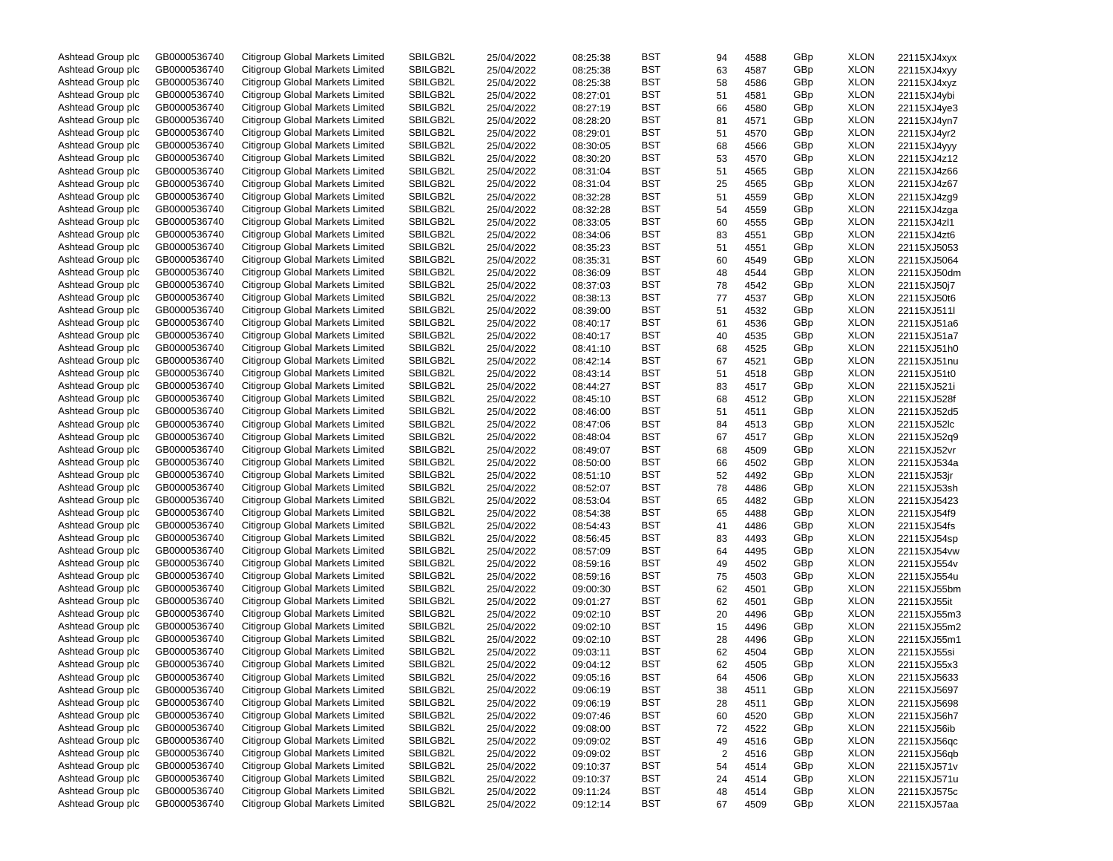| Ashtead Group plc | GB0000536740 | Citigroup Global Markets Limited | SBILGB2L | 25/04/2022 | 08:25:38 | BST | 94                      | 4588 | GBp | <b>XLON</b> | 22115XJ4xyx |
|-------------------|--------------|----------------------------------|----------|------------|----------|-----|-------------------------|------|-----|-------------|-------------|
| Ashtead Group plc | GB0000536740 | Citigroup Global Markets Limited | SBILGB2L | 25/04/2022 | 08:25:38 | BST | 63                      | 4587 | GBp | <b>XLON</b> | 22115XJ4xyy |
| Ashtead Group plc | GB0000536740 | Citigroup Global Markets Limited | SBILGB2L | 25/04/2022 | 08:25:38 | BST | 58                      | 4586 | GBp | <b>XLON</b> | 22115XJ4xyz |
| Ashtead Group plc | GB0000536740 | Citigroup Global Markets Limited | SBILGB2L | 25/04/2022 | 08:27:01 | BST | 51                      | 4581 | GBp | <b>XLON</b> | 22115XJ4ybi |
| Ashtead Group plc | GB0000536740 | Citigroup Global Markets Limited | SBILGB2L | 25/04/2022 | 08:27:19 | BST | 66                      | 4580 | GBp | <b>XLON</b> | 22115XJ4ye3 |
| Ashtead Group plc | GB0000536740 | Citigroup Global Markets Limited | SBILGB2L | 25/04/2022 | 08:28:20 | BST | 81                      | 4571 | GBp | <b>XLON</b> | 22115XJ4yn7 |
| Ashtead Group plc | GB0000536740 | Citigroup Global Markets Limited | SBILGB2L | 25/04/2022 | 08:29:01 | BST | 51                      | 4570 | GBp | <b>XLON</b> | 22115XJ4yr2 |
| Ashtead Group plc | GB0000536740 | Citigroup Global Markets Limited | SBILGB2L | 25/04/2022 | 08:30:05 | BST | 68                      | 4566 | GBp | <b>XLON</b> | 22115XJ4yyy |
| Ashtead Group plc | GB0000536740 | Citigroup Global Markets Limited | SBILGB2L | 25/04/2022 | 08:30:20 | BST | 53                      | 4570 | GBp | <b>XLON</b> | 22115XJ4z12 |
| Ashtead Group plc | GB0000536740 | Citigroup Global Markets Limited | SBILGB2L |            |          | BST |                         |      |     | <b>XLON</b> | 22115XJ4z66 |
|                   |              |                                  |          | 25/04/2022 | 08:31:04 |     | 51                      | 4565 | GBp |             |             |
| Ashtead Group plc | GB0000536740 | Citigroup Global Markets Limited | SBILGB2L | 25/04/2022 | 08:31:04 | BST | 25                      | 4565 | GBp | <b>XLON</b> | 22115XJ4z67 |
| Ashtead Group plc | GB0000536740 | Citigroup Global Markets Limited | SBILGB2L | 25/04/2022 | 08:32:28 | BST | 51                      | 4559 | GBp | <b>XLON</b> | 22115XJ4zg9 |
| Ashtead Group plc | GB0000536740 | Citigroup Global Markets Limited | SBILGB2L | 25/04/2022 | 08:32:28 | BST | 54                      | 4559 | GBp | <b>XLON</b> | 22115XJ4zga |
| Ashtead Group plc | GB0000536740 | Citigroup Global Markets Limited | SBILGB2L | 25/04/2022 | 08:33:05 | BST | 60                      | 4555 | GBp | <b>XLON</b> | 22115XJ4zl1 |
| Ashtead Group plc | GB0000536740 | Citigroup Global Markets Limited | SBILGB2L | 25/04/2022 | 08:34:06 | BST | 83                      | 4551 | GBp | <b>XLON</b> | 22115XJ4zt6 |
| Ashtead Group plc | GB0000536740 | Citigroup Global Markets Limited | SBILGB2L | 25/04/2022 | 08:35:23 | BST | 51                      | 4551 | GBp | <b>XLON</b> | 22115XJ5053 |
| Ashtead Group plc | GB0000536740 | Citigroup Global Markets Limited | SBILGB2L | 25/04/2022 | 08:35:31 | BST | 60                      | 4549 | GBp | <b>XLON</b> | 22115XJ5064 |
| Ashtead Group plc | GB0000536740 | Citigroup Global Markets Limited | SBILGB2L | 25/04/2022 | 08:36:09 | BST | 48                      | 4544 | GBp | <b>XLON</b> | 22115XJ50dm |
| Ashtead Group plc | GB0000536740 | Citigroup Global Markets Limited | SBILGB2L | 25/04/2022 | 08:37:03 | BST | 78                      | 4542 | GBp | <b>XLON</b> | 22115XJ50j7 |
| Ashtead Group plc | GB0000536740 | Citigroup Global Markets Limited | SBILGB2L | 25/04/2022 | 08:38:13 | BST | 77                      | 4537 | GBp | <b>XLON</b> | 22115XJ50t6 |
| Ashtead Group plc | GB0000536740 | Citigroup Global Markets Limited | SBILGB2L | 25/04/2022 | 08:39:00 | BST | 51                      | 4532 | GBp | <b>XLON</b> | 22115XJ511l |
| Ashtead Group plc | GB0000536740 | Citigroup Global Markets Limited | SBILGB2L | 25/04/2022 | 08:40:17 | BST | 61                      | 4536 | GBp | <b>XLON</b> | 22115XJ51a6 |
| Ashtead Group plc | GB0000536740 | Citigroup Global Markets Limited | SBILGB2L | 25/04/2022 | 08:40:17 | BST | 40                      | 4535 | GBp | <b>XLON</b> | 22115XJ51a7 |
| Ashtead Group plc | GB0000536740 | Citigroup Global Markets Limited | SBILGB2L | 25/04/2022 | 08:41:10 | BST | 68                      | 4525 | GBp | <b>XLON</b> | 22115XJ51h0 |
| Ashtead Group plc | GB0000536740 | Citigroup Global Markets Limited | SBILGB2L | 25/04/2022 | 08:42:14 | BST | 67                      | 4521 | GBp | <b>XLON</b> | 22115XJ51nu |
| Ashtead Group plc | GB0000536740 | Citigroup Global Markets Limited | SBILGB2L | 25/04/2022 | 08:43:14 | BST | 51                      | 4518 | GBp | <b>XLON</b> | 22115XJ51t0 |
| Ashtead Group plc | GB0000536740 | Citigroup Global Markets Limited | SBILGB2L | 25/04/2022 | 08:44:27 | BST | 83                      | 4517 | GBp | <b>XLON</b> | 22115XJ521i |
|                   |              | Citigroup Global Markets Limited |          |            |          |     |                         |      |     |             |             |
| Ashtead Group plc | GB0000536740 |                                  | SBILGB2L | 25/04/2022 | 08:45:10 | BST | 68                      | 4512 | GBp | <b>XLON</b> | 22115XJ528f |
| Ashtead Group plc | GB0000536740 | Citigroup Global Markets Limited | SBILGB2L | 25/04/2022 | 08:46:00 | BST | 51                      | 4511 | GBp | <b>XLON</b> | 22115XJ52d5 |
| Ashtead Group plc | GB0000536740 | Citigroup Global Markets Limited | SBILGB2L | 25/04/2022 | 08:47:06 | BST | 84                      | 4513 | GBp | <b>XLON</b> | 22115XJ52lc |
| Ashtead Group plc | GB0000536740 | Citigroup Global Markets Limited | SBILGB2L | 25/04/2022 | 08:48:04 | BST | 67                      | 4517 | GBp | <b>XLON</b> | 22115XJ52q9 |
| Ashtead Group plc | GB0000536740 | Citigroup Global Markets Limited | SBILGB2L | 25/04/2022 | 08:49:07 | BST | 68                      | 4509 | GBp | <b>XLON</b> | 22115XJ52vr |
| Ashtead Group plc | GB0000536740 | Citigroup Global Markets Limited | SBILGB2L | 25/04/2022 | 08:50:00 | BST | 66                      | 4502 | GBp | <b>XLON</b> | 22115XJ534a |
| Ashtead Group plc | GB0000536740 | Citigroup Global Markets Limited | SBILGB2L | 25/04/2022 | 08:51:10 | BST | 52                      | 4492 | GBp | <b>XLON</b> | 22115XJ53jr |
| Ashtead Group plc | GB0000536740 | Citigroup Global Markets Limited | SBILGB2L | 25/04/2022 | 08:52:07 | BST | 78                      | 4486 | GBp | <b>XLON</b> | 22115XJ53sh |
| Ashtead Group plc | GB0000536740 | Citigroup Global Markets Limited | SBILGB2L | 25/04/2022 | 08:53:04 | BST | 65                      | 4482 | GBp | <b>XLON</b> | 22115XJ5423 |
| Ashtead Group plc | GB0000536740 | Citigroup Global Markets Limited | SBILGB2L | 25/04/2022 | 08:54:38 | BST | 65                      | 4488 | GBp | <b>XLON</b> | 22115XJ54f9 |
| Ashtead Group plc | GB0000536740 | Citigroup Global Markets Limited | SBILGB2L | 25/04/2022 | 08:54:43 | BST | 41                      | 4486 | GBp | <b>XLON</b> | 22115XJ54fs |
| Ashtead Group plc | GB0000536740 | Citigroup Global Markets Limited | SBILGB2L | 25/04/2022 | 08:56:45 | BST | 83                      | 4493 | GBp | <b>XLON</b> | 22115XJ54sp |
| Ashtead Group plc | GB0000536740 | Citigroup Global Markets Limited | SBILGB2L | 25/04/2022 | 08:57:09 | BST | 64                      | 4495 | GBp | <b>XLON</b> | 22115XJ54vw |
| Ashtead Group plc | GB0000536740 | Citigroup Global Markets Limited | SBILGB2L | 25/04/2022 | 08:59:16 | BST | 49                      | 4502 | GBp | <b>XLON</b> | 22115XJ554v |
| Ashtead Group plc | GB0000536740 | Citigroup Global Markets Limited | SBILGB2L | 25/04/2022 | 08:59:16 | BST | 75                      | 4503 | GBp | <b>XLON</b> | 22115XJ554u |
| Ashtead Group plc | GB0000536740 | Citigroup Global Markets Limited | SBILGB2L | 25/04/2022 | 09:00:30 | BST | 62                      | 4501 | GBp | <b>XLON</b> | 22115XJ55bm |
| Ashtead Group plc | GB0000536740 | Citigroup Global Markets Limited | SBILGB2L | 25/04/2022 | 09:01:27 | BST | 62                      | 4501 | GBp | <b>XLON</b> | 22115XJ55it |
| Ashtead Group plc | GB0000536740 | Citigroup Global Markets Limited | SBILGB2L | 25/04/2022 | 09:02:10 | BST | 20                      | 4496 | GBp | <b>XLON</b> | 22115XJ55m3 |
| Ashtead Group plc | GB0000536740 | Citigroup Global Markets Limited | SBILGB2L | 25/04/2022 | 09:02:10 | BST | 15                      | 4496 | GBp | <b>XLON</b> | 22115XJ55m2 |
| Ashtead Group plc | GB0000536740 | Citigroup Global Markets Limited | SBILGB2L | 25/04/2022 | 09:02:10 | BST | 28                      | 4496 | GBp | <b>XLON</b> | 22115XJ55m1 |
| Ashtead Group plc | GB0000536740 | Citigroup Global Markets Limited | SBILGB2L | 25/04/2022 | 09:03:11 | BST | 62                      | 4504 | GBp | <b>XLON</b> | 22115XJ55si |
| Ashtead Group plc | GB0000536740 | Citigroup Global Markets Limited | SBILGB2L | 25/04/2022 | 09:04:12 | BST | 62                      | 4505 | GBp | <b>XLON</b> | 22115XJ55x3 |
| Ashtead Group plc | GB0000536740 | Citigroup Global Markets Limited | SBILGB2L |            | 09:05:16 | BST | 64                      | 4506 | GBp | <b>XLON</b> |             |
|                   |              |                                  |          | 25/04/2022 |          |     |                         |      |     |             | 22115XJ5633 |
| Ashtead Group plc | GB0000536740 | Citigroup Global Markets Limited | SBILGB2L | 25/04/2022 | 09:06:19 | BST | 38                      | 4511 | GBp | <b>XLON</b> | 22115XJ5697 |
| Ashtead Group plc | GB0000536740 | Citigroup Global Markets Limited | SBILGB2L | 25/04/2022 | 09:06:19 | BST | 28                      | 4511 | GBp | <b>XLON</b> | 22115XJ5698 |
| Ashtead Group plc | GB0000536740 | Citigroup Global Markets Limited | SBILGB2L | 25/04/2022 | 09:07:46 | BST | 60                      | 4520 | GBp | <b>XLON</b> | 22115XJ56h7 |
| Ashtead Group plc | GB0000536740 | Citigroup Global Markets Limited | SBILGB2L | 25/04/2022 | 09:08:00 | BST | 72                      | 4522 | GBp | <b>XLON</b> | 22115XJ56ib |
| Ashtead Group plc | GB0000536740 | Citigroup Global Markets Limited | SBILGB2L | 25/04/2022 | 09:09:02 | BST | 49                      | 4516 | GBp | <b>XLON</b> | 22115XJ56qc |
| Ashtead Group plc | GB0000536740 | Citigroup Global Markets Limited | SBILGB2L | 25/04/2022 | 09:09:02 | BST | $\overline{\mathbf{c}}$ | 4516 | GBp | <b>XLON</b> | 22115XJ56qb |
| Ashtead Group plc | GB0000536740 | Citigroup Global Markets Limited | SBILGB2L | 25/04/2022 | 09:10:37 | BST | 54                      | 4514 | GBp | <b>XLON</b> | 22115XJ571v |
| Ashtead Group plc | GB0000536740 | Citigroup Global Markets Limited | SBILGB2L | 25/04/2022 | 09:10:37 | BST | 24                      | 4514 | GBp | <b>XLON</b> | 22115XJ571u |
| Ashtead Group plc | GB0000536740 | Citigroup Global Markets Limited | SBILGB2L | 25/04/2022 | 09:11:24 | BST | 48                      | 4514 | GBp | <b>XLON</b> | 22115XJ575c |
| Ashtead Group plc | GB0000536740 | Citigroup Global Markets Limited | SBILGB2L | 25/04/2022 | 09:12:14 | BST | 67                      | 4509 | GBp | <b>XLON</b> | 22115XJ57aa |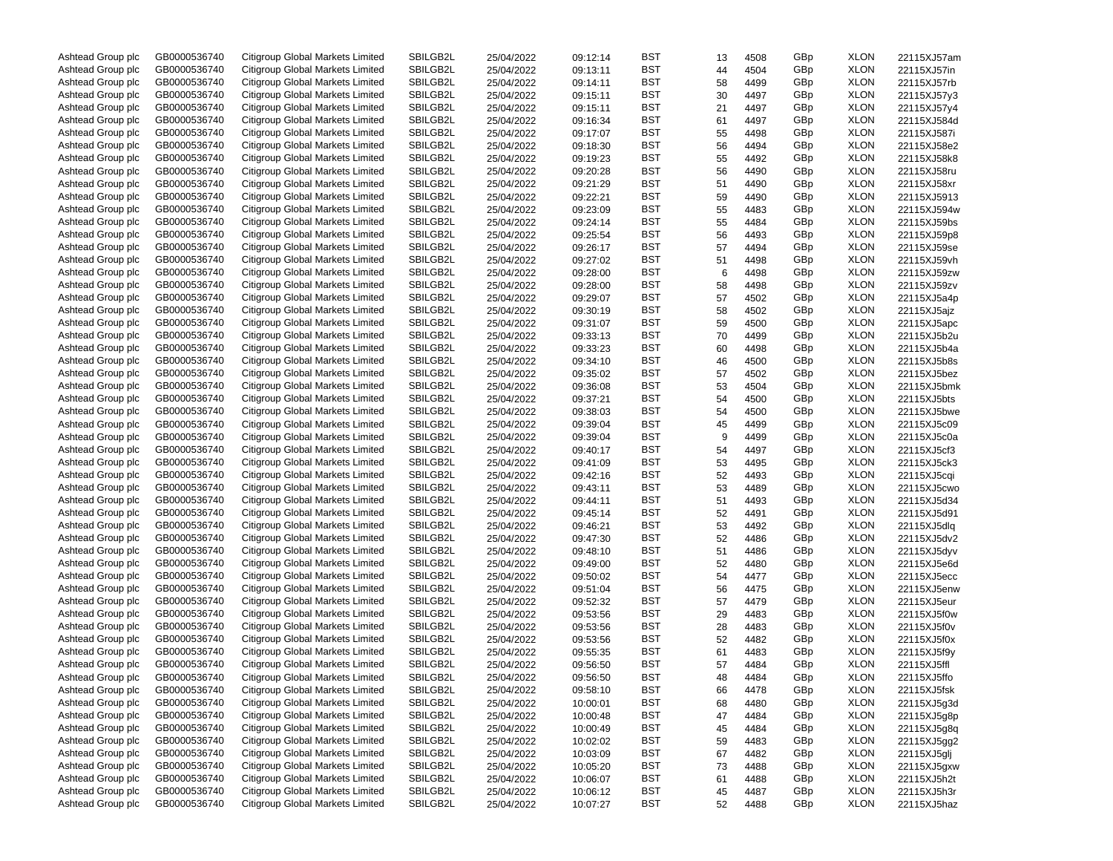| Ashtead Group plc | GB0000536740 | Citigroup Global Markets Limited | SBILGB2L | 25/04/2022 | 09:12:14 | BST | 13 | 4508 | GBp | <b>XLON</b> | 22115XJ57am |
|-------------------|--------------|----------------------------------|----------|------------|----------|-----|----|------|-----|-------------|-------------|
| Ashtead Group plc | GB0000536740 | Citigroup Global Markets Limited | SBILGB2L | 25/04/2022 | 09:13:11 | BST | 44 | 4504 | GBp | <b>XLON</b> | 22115XJ57in |
| Ashtead Group plc | GB0000536740 | Citigroup Global Markets Limited | SBILGB2L | 25/04/2022 | 09:14:11 | BST | 58 | 4499 | GBp | <b>XLON</b> | 22115XJ57rb |
| Ashtead Group plc | GB0000536740 | Citigroup Global Markets Limited | SBILGB2L | 25/04/2022 | 09:15:11 | BST | 30 | 4497 | GBp | <b>XLON</b> | 22115XJ57y3 |
| Ashtead Group plc | GB0000536740 | Citigroup Global Markets Limited | SBILGB2L | 25/04/2022 | 09:15:11 | BST | 21 | 4497 | GBp | <b>XLON</b> | 22115XJ57y4 |
| Ashtead Group plc | GB0000536740 | Citigroup Global Markets Limited | SBILGB2L | 25/04/2022 | 09:16:34 | BST | 61 | 4497 | GBp | <b>XLON</b> | 22115XJ584d |
| Ashtead Group plc | GB0000536740 | Citigroup Global Markets Limited | SBILGB2L | 25/04/2022 | 09:17:07 | BST | 55 | 4498 | GBp | <b>XLON</b> | 22115XJ587i |
| Ashtead Group plc | GB0000536740 | Citigroup Global Markets Limited | SBILGB2L | 25/04/2022 | 09:18:30 | BST | 56 | 4494 | GBp | <b>XLON</b> | 22115XJ58e2 |
| Ashtead Group plc | GB0000536740 | Citigroup Global Markets Limited | SBILGB2L | 25/04/2022 | 09:19:23 | BST | 55 | 4492 | GBp | <b>XLON</b> | 22115XJ58k8 |
|                   |              |                                  |          |            |          |     |    |      |     |             |             |
| Ashtead Group plc | GB0000536740 | Citigroup Global Markets Limited | SBILGB2L | 25/04/2022 | 09:20:28 | BST | 56 | 4490 | GBp | <b>XLON</b> | 22115XJ58ru |
| Ashtead Group plc | GB0000536740 | Citigroup Global Markets Limited | SBILGB2L | 25/04/2022 | 09:21:29 | BST | 51 | 4490 | GBp | <b>XLON</b> | 22115XJ58xr |
| Ashtead Group plc | GB0000536740 | Citigroup Global Markets Limited | SBILGB2L | 25/04/2022 | 09:22:21 | BST | 59 | 4490 | GBp | <b>XLON</b> | 22115XJ5913 |
| Ashtead Group plc | GB0000536740 | Citigroup Global Markets Limited | SBILGB2L | 25/04/2022 | 09:23:09 | BST | 55 | 4483 | GBp | <b>XLON</b> | 22115XJ594w |
| Ashtead Group plc | GB0000536740 | Citigroup Global Markets Limited | SBILGB2L | 25/04/2022 | 09:24:14 | BST | 55 | 4484 | GBp | <b>XLON</b> | 22115XJ59bs |
| Ashtead Group plc | GB0000536740 | Citigroup Global Markets Limited | SBILGB2L | 25/04/2022 | 09:25:54 | BST | 56 | 4493 | GBp | <b>XLON</b> | 22115XJ59p8 |
| Ashtead Group plc | GB0000536740 | Citigroup Global Markets Limited | SBILGB2L | 25/04/2022 | 09:26:17 | BST | 57 | 4494 | GBp | <b>XLON</b> | 22115XJ59se |
| Ashtead Group plc | GB0000536740 | Citigroup Global Markets Limited | SBILGB2L | 25/04/2022 | 09:27:02 | BST | 51 | 4498 | GBp | <b>XLON</b> | 22115XJ59vh |
| Ashtead Group plc | GB0000536740 | Citigroup Global Markets Limited | SBILGB2L | 25/04/2022 | 09:28:00 | BST | 6  | 4498 | GBp | <b>XLON</b> | 22115XJ59zw |
| Ashtead Group plc | GB0000536740 | Citigroup Global Markets Limited | SBILGB2L | 25/04/2022 | 09:28:00 | BST | 58 | 4498 | GBp | <b>XLON</b> | 22115XJ59zv |
| Ashtead Group plc | GB0000536740 | Citigroup Global Markets Limited | SBILGB2L | 25/04/2022 | 09:29:07 | BST | 57 | 4502 | GBp | <b>XLON</b> | 22115XJ5a4p |
| Ashtead Group plc | GB0000536740 | Citigroup Global Markets Limited | SBILGB2L | 25/04/2022 | 09:30:19 | BST | 58 | 4502 | GBp | <b>XLON</b> | 22115XJ5ajz |
| Ashtead Group plc | GB0000536740 | Citigroup Global Markets Limited | SBILGB2L | 25/04/2022 | 09:31:07 | BST | 59 | 4500 | GBp | <b>XLON</b> | 22115XJ5apc |
| Ashtead Group plc | GB0000536740 | Citigroup Global Markets Limited | SBILGB2L | 25/04/2022 | 09:33:13 | BST | 70 | 4499 | GBp | <b>XLON</b> | 22115XJ5b2u |
| Ashtead Group plc | GB0000536740 | Citigroup Global Markets Limited | SBILGB2L | 25/04/2022 | 09:33:23 | BST | 60 | 4498 | GBp | <b>XLON</b> | 22115XJ5b4a |
| Ashtead Group plc | GB0000536740 | Citigroup Global Markets Limited | SBILGB2L | 25/04/2022 | 09:34:10 | BST | 46 | 4500 | GBp | <b>XLON</b> | 22115XJ5b8s |
| Ashtead Group plc | GB0000536740 | Citigroup Global Markets Limited | SBILGB2L |            | 09:35:02 | BST |    |      | GBp | <b>XLON</b> |             |
|                   |              | Citigroup Global Markets Limited |          | 25/04/2022 |          |     | 57 | 4502 |     |             | 22115XJ5bez |
| Ashtead Group plc | GB0000536740 |                                  | SBILGB2L | 25/04/2022 | 09:36:08 | BST | 53 | 4504 | GBp | <b>XLON</b> | 22115XJ5bmk |
| Ashtead Group plc | GB0000536740 | Citigroup Global Markets Limited | SBILGB2L | 25/04/2022 | 09:37:21 | BST | 54 | 4500 | GBp | <b>XLON</b> | 22115XJ5bts |
| Ashtead Group plc | GB0000536740 | Citigroup Global Markets Limited | SBILGB2L | 25/04/2022 | 09:38:03 | BST | 54 | 4500 | GBp | <b>XLON</b> | 22115XJ5bwe |
| Ashtead Group plc | GB0000536740 | Citigroup Global Markets Limited | SBILGB2L | 25/04/2022 | 09:39:04 | BST | 45 | 4499 | GBp | <b>XLON</b> | 22115XJ5c09 |
| Ashtead Group plc | GB0000536740 | Citigroup Global Markets Limited | SBILGB2L | 25/04/2022 | 09:39:04 | BST | 9  | 4499 | GBp | <b>XLON</b> | 22115XJ5c0a |
| Ashtead Group plc | GB0000536740 | Citigroup Global Markets Limited | SBILGB2L | 25/04/2022 | 09:40:17 | BST | 54 | 4497 | GBp | <b>XLON</b> | 22115XJ5cf3 |
| Ashtead Group plc | GB0000536740 | Citigroup Global Markets Limited | SBILGB2L | 25/04/2022 | 09:41:09 | BST | 53 | 4495 | GBp | <b>XLON</b> | 22115XJ5ck3 |
| Ashtead Group plc | GB0000536740 | Citigroup Global Markets Limited | SBILGB2L | 25/04/2022 | 09:42:16 | BST | 52 | 4493 | GBp | <b>XLON</b> | 22115XJ5cqi |
| Ashtead Group plc | GB0000536740 | Citigroup Global Markets Limited | SBILGB2L | 25/04/2022 | 09:43:11 | BST | 53 | 4489 | GBp | <b>XLON</b> | 22115XJ5cwo |
| Ashtead Group plc | GB0000536740 | Citigroup Global Markets Limited | SBILGB2L | 25/04/2022 | 09:44:11 | BST | 51 | 4493 | GBp | <b>XLON</b> | 22115XJ5d34 |
| Ashtead Group plc | GB0000536740 | Citigroup Global Markets Limited | SBILGB2L | 25/04/2022 | 09:45:14 | BST | 52 | 4491 | GBp | <b>XLON</b> | 22115XJ5d91 |
| Ashtead Group plc | GB0000536740 | Citigroup Global Markets Limited | SBILGB2L | 25/04/2022 | 09:46:21 | BST | 53 | 4492 | GBp | <b>XLON</b> | 22115XJ5dlq |
| Ashtead Group plc | GB0000536740 | Citigroup Global Markets Limited | SBILGB2L | 25/04/2022 | 09:47:30 | BST | 52 | 4486 | GBp | <b>XLON</b> | 22115XJ5dv2 |
| Ashtead Group plc | GB0000536740 | Citigroup Global Markets Limited | SBILGB2L | 25/04/2022 | 09:48:10 | BST | 51 | 4486 | GBp | <b>XLON</b> | 22115XJ5dyv |
| Ashtead Group plc | GB0000536740 | Citigroup Global Markets Limited | SBILGB2L | 25/04/2022 | 09:49:00 | BST | 52 | 4480 | GBp | <b>XLON</b> | 22115XJ5e6d |
| Ashtead Group plc | GB0000536740 | Citigroup Global Markets Limited | SBILGB2L | 25/04/2022 | 09:50:02 | BST | 54 | 4477 | GBp | <b>XLON</b> | 22115XJ5ecc |
| Ashtead Group plc | GB0000536740 | Citigroup Global Markets Limited | SBILGB2L |            | 09:51:04 | BST |    |      | GBp | <b>XLON</b> |             |
|                   | GB0000536740 |                                  | SBILGB2L | 25/04/2022 |          |     | 56 | 4475 |     |             | 22115XJ5enw |
| Ashtead Group plc |              | Citigroup Global Markets Limited |          | 25/04/2022 | 09:52:32 | BST | 57 | 4479 | GBp | <b>XLON</b> | 22115XJ5eur |
| Ashtead Group plc | GB0000536740 | Citigroup Global Markets Limited | SBILGB2L | 25/04/2022 | 09:53:56 | BST | 29 | 4483 | GBp | <b>XLON</b> | 22115XJ5f0w |
| Ashtead Group plc | GB0000536740 | Citigroup Global Markets Limited | SBILGB2L | 25/04/2022 | 09:53:56 | BST | 28 | 4483 | GBp | <b>XLON</b> | 22115XJ5f0v |
| Ashtead Group plc | GB0000536740 | Citigroup Global Markets Limited | SBILGB2L | 25/04/2022 | 09:53:56 | BST | 52 | 4482 | GBp | <b>XLON</b> | 22115XJ5f0x |
| Ashtead Group plc | GB0000536740 | Citigroup Global Markets Limited | SBILGB2L | 25/04/2022 | 09:55:35 | BST | 61 | 4483 | GBp | <b>XLON</b> | 22115XJ5f9y |
| Ashtead Group plc | GB0000536740 | Citigroup Global Markets Limited | SBILGB2L | 25/04/2022 | 09:56:50 | BST | 57 | 4484 | GBp | <b>XLON</b> | 22115XJ5ffl |
| Ashtead Group plc | GB0000536740 | Citigroup Global Markets Limited | SBILGB2L | 25/04/2022 | 09:56:50 | BST | 48 | 4484 | GBp | <b>XLON</b> | 22115XJ5ffo |
| Ashtead Group plc | GB0000536740 | Citigroup Global Markets Limited | SBILGB2L | 25/04/2022 | 09:58:10 | BST | 66 | 4478 | GBp | <b>XLON</b> | 22115XJ5fsk |
| Ashtead Group plc | GB0000536740 | Citigroup Global Markets Limited | SBILGB2L | 25/04/2022 | 10:00:01 | BST | 68 | 4480 | GBp | <b>XLON</b> | 22115XJ5g3d |
| Ashtead Group plc | GB0000536740 | Citigroup Global Markets Limited | SBILGB2L | 25/04/2022 | 10:00:48 | BST | 47 | 4484 | GBp | <b>XLON</b> | 22115XJ5g8p |
| Ashtead Group plc | GB0000536740 | Citigroup Global Markets Limited | SBILGB2L | 25/04/2022 | 10:00:49 | BST | 45 | 4484 | GBp | <b>XLON</b> | 22115XJ5g8q |
| Ashtead Group plc | GB0000536740 | Citigroup Global Markets Limited | SBILGB2L | 25/04/2022 | 10:02:02 | BST | 59 | 4483 | GBp | <b>XLON</b> | 22115XJ5gg2 |
| Ashtead Group plc | GB0000536740 | Citigroup Global Markets Limited | SBILGB2L | 25/04/2022 | 10:03:09 | BST | 67 | 4482 | GBp | <b>XLON</b> | 22115XJ5glj |
| Ashtead Group plc | GB0000536740 | Citigroup Global Markets Limited | SBILGB2L | 25/04/2022 | 10:05:20 | BST | 73 | 4488 | GBp | <b>XLON</b> | 22115XJ5gxw |
| Ashtead Group plc | GB0000536740 | Citigroup Global Markets Limited | SBILGB2L | 25/04/2022 | 10:06:07 | BST | 61 | 4488 | GBp | <b>XLON</b> | 22115XJ5h2t |
| Ashtead Group plc | GB0000536740 | Citigroup Global Markets Limited | SBILGB2L | 25/04/2022 | 10:06:12 | BST | 45 | 4487 | GBp | <b>XLON</b> | 22115XJ5h3r |
| Ashtead Group plc | GB0000536740 | Citigroup Global Markets Limited | SBILGB2L | 25/04/2022 | 10:07:27 | BST | 52 | 4488 | GBp | <b>XLON</b> | 22115XJ5haz |
|                   |              |                                  |          |            |          |     |    |      |     |             |             |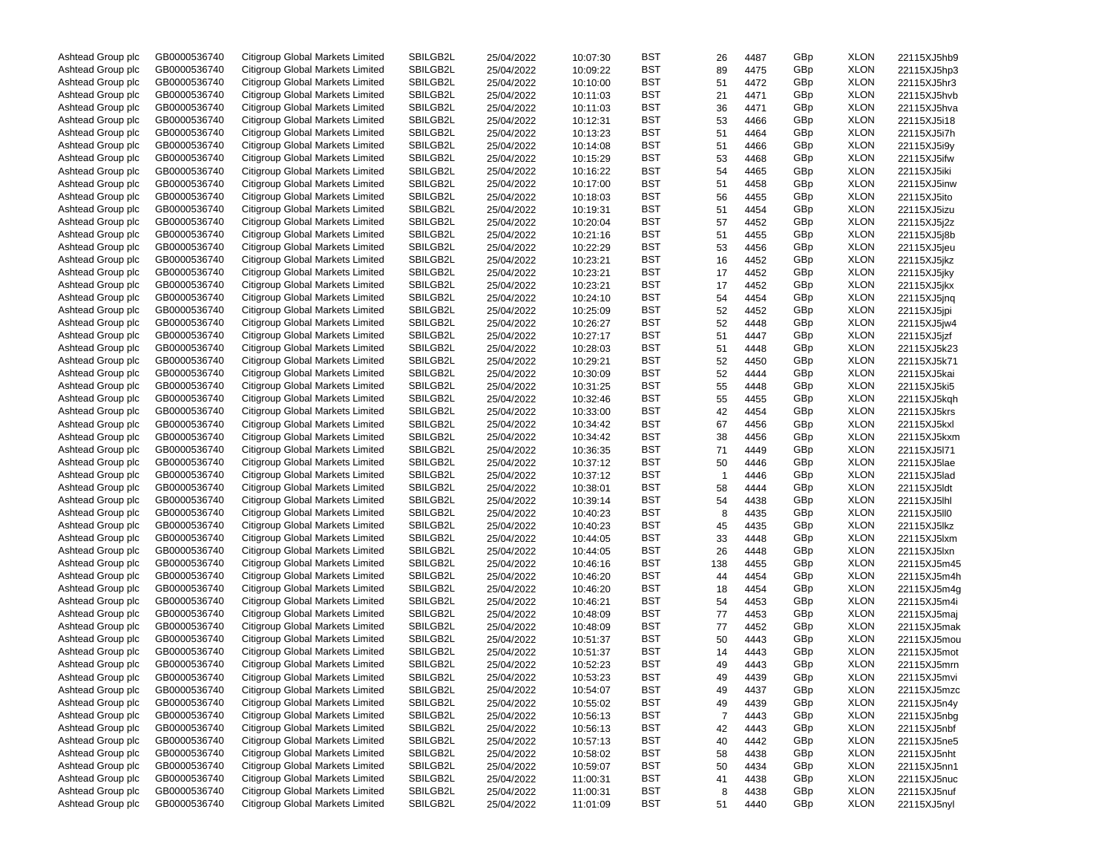| Ashtead Group plc | GB0000536740 | Citigroup Global Markets Limited | SBILGB2L | 25/04/2022 | 10:07:30 | BST | 26             | 4487 | GBp | <b>XLON</b> | 22115XJ5hb9 |
|-------------------|--------------|----------------------------------|----------|------------|----------|-----|----------------|------|-----|-------------|-------------|
| Ashtead Group plc | GB0000536740 | Citigroup Global Markets Limited | SBILGB2L | 25/04/2022 | 10:09:22 | BST | 89             | 4475 | GBp | <b>XLON</b> | 22115XJ5hp3 |
| Ashtead Group plc | GB0000536740 | Citigroup Global Markets Limited | SBILGB2L | 25/04/2022 | 10:10:00 | BST | 51             | 4472 | GBp | <b>XLON</b> | 22115XJ5hr3 |
| Ashtead Group plc | GB0000536740 | Citigroup Global Markets Limited | SBILGB2L | 25/04/2022 | 10:11:03 | BST | 21             | 4471 | GBp | <b>XLON</b> | 22115XJ5hvb |
| Ashtead Group plc | GB0000536740 | Citigroup Global Markets Limited | SBILGB2L | 25/04/2022 | 10:11:03 | BST | 36             | 4471 | GBp | <b>XLON</b> | 22115XJ5hva |
| Ashtead Group plc | GB0000536740 | Citigroup Global Markets Limited | SBILGB2L | 25/04/2022 | 10:12:31 | BST | 53             | 4466 | GBp | <b>XLON</b> | 22115XJ5i18 |
| Ashtead Group plc | GB0000536740 | Citigroup Global Markets Limited | SBILGB2L | 25/04/2022 | 10:13:23 | BST | 51             | 4464 | GBp | <b>XLON</b> | 22115XJ5i7h |
| Ashtead Group plc | GB0000536740 | Citigroup Global Markets Limited | SBILGB2L | 25/04/2022 | 10:14:08 | BST | 51             | 4466 | GBp | <b>XLON</b> | 22115XJ5i9y |
| Ashtead Group plc | GB0000536740 | Citigroup Global Markets Limited | SBILGB2L | 25/04/2022 | 10:15:29 | BST | 53             | 4468 | GBp | <b>XLON</b> | 22115XJ5ifw |
| Ashtead Group plc | GB0000536740 | Citigroup Global Markets Limited | SBILGB2L |            |          | BST |                |      |     | <b>XLON</b> |             |
|                   |              |                                  |          | 25/04/2022 | 10:16:22 |     | 54             | 4465 | GBp |             | 22115XJ5iki |
| Ashtead Group plc | GB0000536740 | Citigroup Global Markets Limited | SBILGB2L | 25/04/2022 | 10:17:00 | BST | 51             | 4458 | GBp | <b>XLON</b> | 22115XJ5inw |
| Ashtead Group plc | GB0000536740 | Citigroup Global Markets Limited | SBILGB2L | 25/04/2022 | 10:18:03 | BST | 56             | 4455 | GBp | <b>XLON</b> | 22115XJ5ito |
| Ashtead Group plc | GB0000536740 | Citigroup Global Markets Limited | SBILGB2L | 25/04/2022 | 10:19:31 | BST | 51             | 4454 | GBp | <b>XLON</b> | 22115XJ5izu |
| Ashtead Group plc | GB0000536740 | Citigroup Global Markets Limited | SBILGB2L | 25/04/2022 | 10:20:04 | BST | 57             | 4452 | GBp | <b>XLON</b> | 22115XJ5j2z |
| Ashtead Group plc | GB0000536740 | Citigroup Global Markets Limited | SBILGB2L | 25/04/2022 | 10:21:16 | BST | 51             | 4455 | GBp | <b>XLON</b> | 22115XJ5j8b |
| Ashtead Group plc | GB0000536740 | Citigroup Global Markets Limited | SBILGB2L | 25/04/2022 | 10:22:29 | BST | 53             | 4456 | GBp | <b>XLON</b> | 22115XJ5jeu |
| Ashtead Group plc | GB0000536740 | Citigroup Global Markets Limited | SBILGB2L | 25/04/2022 | 10:23:21 | BST | 16             | 4452 | GBp | <b>XLON</b> | 22115XJ5jkz |
| Ashtead Group plc | GB0000536740 | Citigroup Global Markets Limited | SBILGB2L | 25/04/2022 | 10:23:21 | BST | 17             | 4452 | GBp | <b>XLON</b> | 22115XJ5jky |
| Ashtead Group plc | GB0000536740 | Citigroup Global Markets Limited | SBILGB2L | 25/04/2022 | 10:23:21 | BST | 17             | 4452 | GBp | <b>XLON</b> | 22115XJ5jkx |
| Ashtead Group plc | GB0000536740 | Citigroup Global Markets Limited | SBILGB2L | 25/04/2022 | 10:24:10 | BST | 54             | 4454 | GBp | <b>XLON</b> | 22115XJ5jnq |
| Ashtead Group plc | GB0000536740 | Citigroup Global Markets Limited | SBILGB2L | 25/04/2022 | 10:25:09 | BST | 52             | 4452 | GBp | <b>XLON</b> | 22115XJ5jpi |
| Ashtead Group plc | GB0000536740 | Citigroup Global Markets Limited | SBILGB2L | 25/04/2022 | 10:26:27 | BST | 52             | 4448 | GBp | <b>XLON</b> | 22115XJ5jw4 |
| Ashtead Group plc | GB0000536740 | Citigroup Global Markets Limited | SBILGB2L | 25/04/2022 | 10:27:17 | BST | 51             | 4447 | GBp | <b>XLON</b> | 22115XJ5jzf |
| Ashtead Group plc | GB0000536740 | Citigroup Global Markets Limited | SBILGB2L | 25/04/2022 | 10:28:03 | BST | 51             | 4448 | GBp | <b>XLON</b> | 22115XJ5k23 |
| Ashtead Group plc | GB0000536740 | Citigroup Global Markets Limited | SBILGB2L | 25/04/2022 | 10:29:21 | BST | 52             | 4450 | GBp | <b>XLON</b> | 22115XJ5k71 |
| Ashtead Group plc | GB0000536740 | Citigroup Global Markets Limited | SBILGB2L |            | 10:30:09 | BST | 52             |      | GBp | <b>XLON</b> |             |
|                   |              |                                  |          | 25/04/2022 |          |     |                | 4444 |     |             | 22115XJ5kai |
| Ashtead Group plc | GB0000536740 | Citigroup Global Markets Limited | SBILGB2L | 25/04/2022 | 10:31:25 | BST | 55             | 4448 | GBp | <b>XLON</b> | 22115XJ5ki5 |
| Ashtead Group plc | GB0000536740 | Citigroup Global Markets Limited | SBILGB2L | 25/04/2022 | 10:32:46 | BST | 55             | 4455 | GBp | <b>XLON</b> | 22115XJ5kgh |
| Ashtead Group plc | GB0000536740 | Citigroup Global Markets Limited | SBILGB2L | 25/04/2022 | 10:33:00 | BST | 42             | 4454 | GBp | <b>XLON</b> | 22115XJ5krs |
| Ashtead Group plc | GB0000536740 | Citigroup Global Markets Limited | SBILGB2L | 25/04/2022 | 10:34:42 | BST | 67             | 4456 | GBp | <b>XLON</b> | 22115XJ5kxl |
| Ashtead Group plc | GB0000536740 | Citigroup Global Markets Limited | SBILGB2L | 25/04/2022 | 10:34:42 | BST | 38             | 4456 | GBp | <b>XLON</b> | 22115XJ5kxm |
| Ashtead Group plc | GB0000536740 | Citigroup Global Markets Limited | SBILGB2L | 25/04/2022 | 10:36:35 | BST | 71             | 4449 | GBp | <b>XLON</b> | 22115XJ5l71 |
| Ashtead Group plc | GB0000536740 | Citigroup Global Markets Limited | SBILGB2L | 25/04/2022 | 10:37:12 | BST | 50             | 4446 | GBp | <b>XLON</b> | 22115XJ5lae |
| Ashtead Group plc | GB0000536740 | Citigroup Global Markets Limited | SBILGB2L | 25/04/2022 | 10:37:12 | BST | 1              | 4446 | GBp | <b>XLON</b> | 22115XJ5lad |
| Ashtead Group plc | GB0000536740 | Citigroup Global Markets Limited | SBILGB2L | 25/04/2022 | 10:38:01 | BST | 58             | 4444 | GBp | <b>XLON</b> | 22115XJ5ldt |
| Ashtead Group plc | GB0000536740 | Citigroup Global Markets Limited | SBILGB2L | 25/04/2022 | 10:39:14 | BST | 54             | 4438 | GBp | <b>XLON</b> | 22115XJ5lhl |
| Ashtead Group plc | GB0000536740 | Citigroup Global Markets Limited | SBILGB2L | 25/04/2022 | 10:40:23 | BST | 8              | 4435 | GBp | <b>XLON</b> | 22115XJ5II0 |
| Ashtead Group plc | GB0000536740 | Citigroup Global Markets Limited | SBILGB2L | 25/04/2022 | 10:40:23 | BST | 45             | 4435 | GBp | <b>XLON</b> | 22115XJ5lkz |
| Ashtead Group plc | GB0000536740 | Citigroup Global Markets Limited | SBILGB2L | 25/04/2022 | 10:44:05 | BST | 33             | 4448 | GBp | <b>XLON</b> | 22115XJ5lxm |
| Ashtead Group plc | GB0000536740 | Citigroup Global Markets Limited | SBILGB2L | 25/04/2022 | 10:44:05 | BST | 26             | 4448 | GBp | <b>XLON</b> | 22115XJ5lxn |
| Ashtead Group plc | GB0000536740 | Citigroup Global Markets Limited | SBILGB2L | 25/04/2022 | 10:46:16 | BST | 138            | 4455 | GBp | <b>XLON</b> | 22115XJ5m45 |
| Ashtead Group plc | GB0000536740 | Citigroup Global Markets Limited | SBILGB2L | 25/04/2022 | 10:46:20 | BST | 44             | 4454 | GBp | <b>XLON</b> | 22115XJ5m4h |
| Ashtead Group plc | GB0000536740 | Citigroup Global Markets Limited | SBILGB2L | 25/04/2022 | 10:46:20 | BST | 18             | 4454 | GBp | <b>XLON</b> | 22115XJ5m4g |
|                   | GB0000536740 | Citigroup Global Markets Limited | SBILGB2L |            |          | BST |                |      |     | <b>XLON</b> |             |
| Ashtead Group plc |              | Citigroup Global Markets Limited |          | 25/04/2022 | 10:46:21 |     | 54             | 4453 | GBp |             | 22115XJ5m4i |
| Ashtead Group plc | GB0000536740 |                                  | SBILGB2L | 25/04/2022 | 10:48:09 | BST | 77             | 4453 | GBp | <b>XLON</b> | 22115XJ5maj |
| Ashtead Group plc | GB0000536740 | Citigroup Global Markets Limited | SBILGB2L | 25/04/2022 | 10:48:09 | BST | 77             | 4452 | GBp | <b>XLON</b> | 22115XJ5mak |
| Ashtead Group plc | GB0000536740 | Citigroup Global Markets Limited | SBILGB2L | 25/04/2022 | 10:51:37 | BST | 50             | 4443 | GBp | <b>XLON</b> | 22115XJ5mou |
| Ashtead Group plc | GB0000536740 | Citigroup Global Markets Limited | SBILGB2L | 25/04/2022 | 10:51:37 | BST | 14             | 4443 | GBp | <b>XLON</b> | 22115XJ5mot |
| Ashtead Group plc | GB0000536740 | Citigroup Global Markets Limited | SBILGB2L | 25/04/2022 | 10:52:23 | BST | 49             | 4443 | GBp | <b>XLON</b> | 22115XJ5mrn |
| Ashtead Group plc | GB0000536740 | Citigroup Global Markets Limited | SBILGB2L | 25/04/2022 | 10:53:23 | BST | 49             | 4439 | GBp | <b>XLON</b> | 22115XJ5mvi |
| Ashtead Group plc | GB0000536740 | Citigroup Global Markets Limited | SBILGB2L | 25/04/2022 | 10:54:07 | BST | 49             | 4437 | GBp | <b>XLON</b> | 22115XJ5mzc |
| Ashtead Group plc | GB0000536740 | Citigroup Global Markets Limited | SBILGB2L | 25/04/2022 | 10:55:02 | BST | 49             | 4439 | GBp | <b>XLON</b> | 22115XJ5n4y |
| Ashtead Group plc | GB0000536740 | Citigroup Global Markets Limited | SBILGB2L | 25/04/2022 | 10:56:13 | BST | $\overline{7}$ | 4443 | GBp | <b>XLON</b> | 22115XJ5nbg |
| Ashtead Group plc | GB0000536740 | Citigroup Global Markets Limited | SBILGB2L | 25/04/2022 | 10:56:13 | BST | 42             | 4443 | GBp | <b>XLON</b> | 22115XJ5nbf |
| Ashtead Group plc | GB0000536740 | Citigroup Global Markets Limited | SBILGB2L | 25/04/2022 | 10:57:13 | BST | 40             | 4442 | GBp | <b>XLON</b> | 22115XJ5ne5 |
| Ashtead Group plc | GB0000536740 | Citigroup Global Markets Limited | SBILGB2L | 25/04/2022 | 10:58:02 | BST | 58             | 4438 | GBp | <b>XLON</b> | 22115XJ5nht |
| Ashtead Group plc | GB0000536740 | Citigroup Global Markets Limited | SBILGB2L | 25/04/2022 | 10:59:07 | BST | 50             | 4434 | GBp | <b>XLON</b> | 22115XJ5nn1 |
| Ashtead Group plc | GB0000536740 | Citigroup Global Markets Limited | SBILGB2L | 25/04/2022 | 11:00:31 | BST | 41             | 4438 | GBp | <b>XLON</b> | 22115XJ5nuc |
| Ashtead Group plc | GB0000536740 | Citigroup Global Markets Limited | SBILGB2L | 25/04/2022 | 11:00:31 | BST | 8              | 4438 | GBp | <b>XLON</b> | 22115XJ5nuf |
| Ashtead Group plc | GB0000536740 | Citigroup Global Markets Limited | SBILGB2L | 25/04/2022 | 11:01:09 | BST | 51             | 4440 | GBp | <b>XLON</b> | 22115XJ5nyl |
|                   |              |                                  |          |            |          |     |                |      |     |             |             |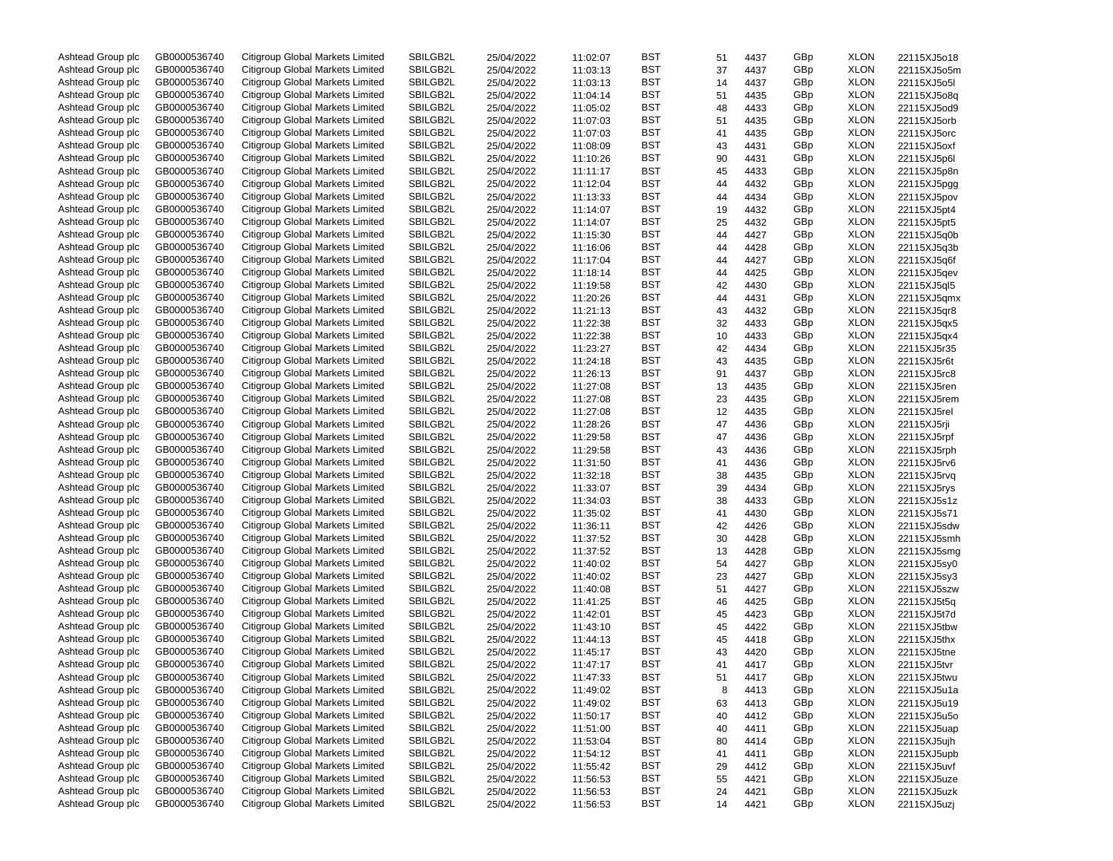| Ashtead Group plc | GB0000536740 | Citigroup Global Markets Limited | SBILGB2L | 25/04/2022 | 11:02:07 | BST | 51 | 4437 | GBp | <b>XLON</b> | 22115XJ5o18 |
|-------------------|--------------|----------------------------------|----------|------------|----------|-----|----|------|-----|-------------|-------------|
| Ashtead Group plc | GB0000536740 | Citigroup Global Markets Limited | SBILGB2L | 25/04/2022 | 11:03:13 | BST | 37 | 4437 | GBp | <b>XLON</b> | 22115XJ5o5m |
| Ashtead Group plc | GB0000536740 | Citigroup Global Markets Limited | SBILGB2L | 25/04/2022 | 11:03:13 | BST | 14 | 4437 | GBp | <b>XLON</b> | 22115XJ5o5l |
| Ashtead Group plc | GB0000536740 | Citigroup Global Markets Limited | SBILGB2L | 25/04/2022 | 11:04:14 | BST | 51 | 4435 | GBp | <b>XLON</b> | 22115XJ5o8q |
| Ashtead Group plc | GB0000536740 | Citigroup Global Markets Limited | SBILGB2L | 25/04/2022 | 11:05:02 | BST | 48 | 4433 | GBp | <b>XLON</b> | 22115XJ5od9 |
| Ashtead Group plc | GB0000536740 | Citigroup Global Markets Limited | SBILGB2L | 25/04/2022 | 11:07:03 | BST | 51 | 4435 | GBp | <b>XLON</b> | 22115XJ5orb |
| Ashtead Group plc | GB0000536740 | Citigroup Global Markets Limited | SBILGB2L | 25/04/2022 | 11:07:03 | BST | 41 | 4435 | GBp | <b>XLON</b> | 22115XJ5orc |
| Ashtead Group plc | GB0000536740 | Citigroup Global Markets Limited | SBILGB2L | 25/04/2022 | 11:08:09 | BST | 43 | 4431 | GBp | <b>XLON</b> | 22115XJ5oxf |
| Ashtead Group plc | GB0000536740 | Citigroup Global Markets Limited | SBILGB2L | 25/04/2022 | 11:10:26 | BST | 90 | 4431 | GBp | <b>XLON</b> | 22115XJ5p6l |
| Ashtead Group plc | GB0000536740 | Citigroup Global Markets Limited | SBILGB2L | 25/04/2022 | 11:11:17 | BST | 45 | 4433 | GBp | <b>XLON</b> | 22115XJ5p8n |
| Ashtead Group plc | GB0000536740 | Citigroup Global Markets Limited | SBILGB2L |            |          | BST |    |      | GBp | <b>XLON</b> |             |
|                   |              |                                  | SBILGB2L | 25/04/2022 | 11:12:04 |     | 44 | 4432 |     |             | 22115XJ5pgg |
| Ashtead Group plc | GB0000536740 | Citigroup Global Markets Limited |          | 25/04/2022 | 11:13:33 | BST | 44 | 4434 | GBp | <b>XLON</b> | 22115XJ5pov |
| Ashtead Group plc | GB0000536740 | Citigroup Global Markets Limited | SBILGB2L | 25/04/2022 | 11:14:07 | BST | 19 | 4432 | GBp | <b>XLON</b> | 22115XJ5pt4 |
| Ashtead Group plc | GB0000536740 | Citigroup Global Markets Limited | SBILGB2L | 25/04/2022 | 11:14:07 | BST | 25 | 4432 | GBp | <b>XLON</b> | 22115XJ5pt5 |
| Ashtead Group plc | GB0000536740 | Citigroup Global Markets Limited | SBILGB2L | 25/04/2022 | 11:15:30 | BST | 44 | 4427 | GBp | <b>XLON</b> | 22115XJ5q0b |
| Ashtead Group plc | GB0000536740 | Citigroup Global Markets Limited | SBILGB2L | 25/04/2022 | 11:16:06 | BST | 44 | 4428 | GBp | <b>XLON</b> | 22115XJ5q3b |
| Ashtead Group plc | GB0000536740 | Citigroup Global Markets Limited | SBILGB2L | 25/04/2022 | 11:17:04 | BST | 44 | 4427 | GBp | <b>XLON</b> | 22115XJ5q6f |
| Ashtead Group plc | GB0000536740 | Citigroup Global Markets Limited | SBILGB2L | 25/04/2022 | 11:18:14 | BST | 44 | 4425 | GBp | <b>XLON</b> | 22115XJ5qev |
| Ashtead Group plc | GB0000536740 | Citigroup Global Markets Limited | SBILGB2L | 25/04/2022 | 11:19:58 | BST | 42 | 4430 | GBp | <b>XLON</b> | 22115XJ5ql5 |
| Ashtead Group plc | GB0000536740 | Citigroup Global Markets Limited | SBILGB2L | 25/04/2022 | 11:20:26 | BST | 44 | 4431 | GBp | <b>XLON</b> | 22115XJ5qmx |
| Ashtead Group plc | GB0000536740 | Citigroup Global Markets Limited | SBILGB2L | 25/04/2022 | 11:21:13 | BST | 43 | 4432 | GBp | <b>XLON</b> | 22115XJ5qr8 |
| Ashtead Group plc | GB0000536740 | Citigroup Global Markets Limited | SBILGB2L | 25/04/2022 | 11:22:38 | BST | 32 | 4433 | GBp | <b>XLON</b> | 22115XJ5qx5 |
| Ashtead Group plc | GB0000536740 | Citigroup Global Markets Limited | SBILGB2L | 25/04/2022 | 11:22:38 | BST | 10 | 4433 | GBp | <b>XLON</b> | 22115XJ5qx4 |
| Ashtead Group plc | GB0000536740 | Citigroup Global Markets Limited | SBILGB2L | 25/04/2022 | 11:23:27 | BST | 42 | 4434 | GBp | <b>XLON</b> | 22115XJ5r35 |
| Ashtead Group plc | GB0000536740 | Citigroup Global Markets Limited | SBILGB2L | 25/04/2022 | 11:24:18 | BST | 43 | 4435 | GBp | <b>XLON</b> | 22115XJ5r6t |
| Ashtead Group plc | GB0000536740 | Citigroup Global Markets Limited | SBILGB2L | 25/04/2022 | 11:26:13 | BST | 91 | 4437 | GBp | <b>XLON</b> | 22115XJ5rc8 |
| Ashtead Group plc | GB0000536740 | Citigroup Global Markets Limited | SBILGB2L | 25/04/2022 | 11:27:08 | BST | 13 | 4435 | GBp | <b>XLON</b> | 22115XJ5ren |
| Ashtead Group plc | GB0000536740 | Citigroup Global Markets Limited | SBILGB2L | 25/04/2022 | 11:27:08 | BST | 23 | 4435 | GBp | <b>XLON</b> | 22115XJ5rem |
| Ashtead Group plc | GB0000536740 | Citigroup Global Markets Limited | SBILGB2L | 25/04/2022 | 11:27:08 | BST | 12 | 4435 | GBp | <b>XLON</b> | 22115XJ5rel |
| Ashtead Group plc | GB0000536740 | Citigroup Global Markets Limited | SBILGB2L | 25/04/2022 | 11:28:26 | BST | 47 | 4436 | GBp | <b>XLON</b> | 22115XJ5rji |
| Ashtead Group plc | GB0000536740 | Citigroup Global Markets Limited | SBILGB2L | 25/04/2022 | 11:29:58 | BST | 47 | 4436 | GBp | <b>XLON</b> | 22115XJ5rpf |
| Ashtead Group plc | GB0000536740 | Citigroup Global Markets Limited | SBILGB2L | 25/04/2022 | 11:29:58 | BST | 43 | 4436 | GBp | <b>XLON</b> | 22115XJ5rph |
| Ashtead Group plc | GB0000536740 | Citigroup Global Markets Limited | SBILGB2L | 25/04/2022 | 11:31:50 | BST | 41 | 4436 | GBp | <b>XLON</b> | 22115XJ5rv6 |
| Ashtead Group plc | GB0000536740 | Citigroup Global Markets Limited | SBILGB2L | 25/04/2022 | 11:32:18 | BST | 38 | 4435 | GBp | <b>XLON</b> | 22115XJ5rvq |
| Ashtead Group plc | GB0000536740 | Citigroup Global Markets Limited | SBILGB2L | 25/04/2022 | 11:33:07 | BST | 39 | 4434 | GBp | <b>XLON</b> | 22115XJ5rys |
| Ashtead Group plc | GB0000536740 | Citigroup Global Markets Limited | SBILGB2L |            |          | BST | 38 |      | GBp | <b>XLON</b> |             |
|                   |              |                                  |          | 25/04/2022 | 11:34:03 |     |    | 4433 |     |             | 22115XJ5s1z |
| Ashtead Group plc | GB0000536740 | Citigroup Global Markets Limited | SBILGB2L | 25/04/2022 | 11:35:02 | BST | 41 | 4430 | GBp | <b>XLON</b> | 22115XJ5s71 |
| Ashtead Group plc | GB0000536740 | Citigroup Global Markets Limited | SBILGB2L | 25/04/2022 | 11:36:11 | BST | 42 | 4426 | GBp | <b>XLON</b> | 22115XJ5sdw |
| Ashtead Group plc | GB0000536740 | Citigroup Global Markets Limited | SBILGB2L | 25/04/2022 | 11:37:52 | BST | 30 | 4428 | GBp | <b>XLON</b> | 22115XJ5smh |
| Ashtead Group plc | GB0000536740 | Citigroup Global Markets Limited | SBILGB2L | 25/04/2022 | 11:37:52 | BST | 13 | 4428 | GBp | <b>XLON</b> | 22115XJ5smg |
| Ashtead Group plc | GB0000536740 | Citigroup Global Markets Limited | SBILGB2L | 25/04/2022 | 11:40:02 | BST | 54 | 4427 | GBp | <b>XLON</b> | 22115XJ5sy0 |
| Ashtead Group plc | GB0000536740 | Citigroup Global Markets Limited | SBILGB2L | 25/04/2022 | 11:40:02 | BST | 23 | 4427 | GBp | <b>XLON</b> | 22115XJ5sy3 |
| Ashtead Group plc | GB0000536740 | Citigroup Global Markets Limited | SBILGB2L | 25/04/2022 | 11:40:08 | BST | 51 | 4427 | GBp | <b>XLON</b> | 22115XJ5szw |
| Ashtead Group plc | GB0000536740 | Citigroup Global Markets Limited | SBILGB2L | 25/04/2022 | 11:41:25 | BST | 46 | 4425 | GBp | <b>XLON</b> | 22115XJ5t5q |
| Ashtead Group plc | GB0000536740 | Citigroup Global Markets Limited | SBILGB2L | 25/04/2022 | 11:42:01 | BST | 45 | 4423 | GBp | <b>XLON</b> | 22115XJ5t7d |
| Ashtead Group plc | GB0000536740 | Citigroup Global Markets Limited | SBILGB2L | 25/04/2022 | 11:43:10 | BST | 45 | 4422 | GBp | <b>XLON</b> | 22115XJ5tbw |
| Ashtead Group plc | GB0000536740 | Citigroup Global Markets Limited | SBILGB2L | 25/04/2022 | 11:44:13 | BST | 45 | 4418 | GBp | <b>XLON</b> | 22115XJ5thx |
| Ashtead Group plc | GB0000536740 | Citigroup Global Markets Limited | SBILGB2L | 25/04/2022 | 11:45:17 | BST | 43 | 4420 | GBp | <b>XLON</b> | 22115XJ5tne |
| Ashtead Group plc | GB0000536740 | Citigroup Global Markets Limited | SBILGB2L | 25/04/2022 | 11:47:17 | BST | 41 | 4417 | GBp | <b>XLON</b> | 22115XJ5tvr |
| Ashtead Group plc | GB0000536740 | Citigroup Global Markets Limited | SBILGB2L | 25/04/2022 | 11:47:33 | BST | 51 | 4417 | GBp | <b>XLON</b> | 22115XJ5twu |
| Ashtead Group plc | GB0000536740 | Citigroup Global Markets Limited | SBILGB2L | 25/04/2022 | 11:49:02 | BST | 8  | 4413 | GBp | <b>XLON</b> | 22115XJ5u1a |
| Ashtead Group plc | GB0000536740 | Citigroup Global Markets Limited | SBILGB2L | 25/04/2022 | 11:49:02 | BST | 63 | 4413 | GBp | <b>XLON</b> | 22115XJ5u19 |
| Ashtead Group plc | GB0000536740 | Citigroup Global Markets Limited | SBILGB2L | 25/04/2022 | 11:50:17 | BST | 40 | 4412 | GBp | <b>XLON</b> | 22115XJ5u5o |
| Ashtead Group plc | GB0000536740 | Citigroup Global Markets Limited | SBILGB2L | 25/04/2022 | 11:51:00 | BST | 40 | 4411 | GBp | <b>XLON</b> | 22115XJ5uap |
| Ashtead Group plc | GB0000536740 | Citigroup Global Markets Limited | SBILGB2L | 25/04/2022 | 11:53:04 | BST | 80 | 4414 | GBp | <b>XLON</b> | 22115XJ5ujh |
| Ashtead Group plc | GB0000536740 | Citigroup Global Markets Limited | SBILGB2L | 25/04/2022 | 11:54:12 | BST | 41 | 4411 | GBp | <b>XLON</b> | 22115XJ5upb |
| Ashtead Group plc | GB0000536740 | Citigroup Global Markets Limited | SBILGB2L | 25/04/2022 | 11:55:42 | BST | 29 | 4412 | GBp | <b>XLON</b> | 22115XJ5uvf |
| Ashtead Group plc | GB0000536740 | Citigroup Global Markets Limited | SBILGB2L | 25/04/2022 | 11:56:53 | BST | 55 | 4421 | GBp | <b>XLON</b> | 22115XJ5uze |
| Ashtead Group plc | GB0000536740 | Citigroup Global Markets Limited | SBILGB2L | 25/04/2022 | 11:56:53 | BST | 24 | 4421 | GBp | <b>XLON</b> | 22115XJ5uzk |
| Ashtead Group plc | GB0000536740 | Citigroup Global Markets Limited | SBILGB2L | 25/04/2022 | 11:56:53 | BST | 14 | 4421 | GBp | <b>XLON</b> | 22115XJ5uzj |
|                   |              |                                  |          |            |          |     |    |      |     |             |             |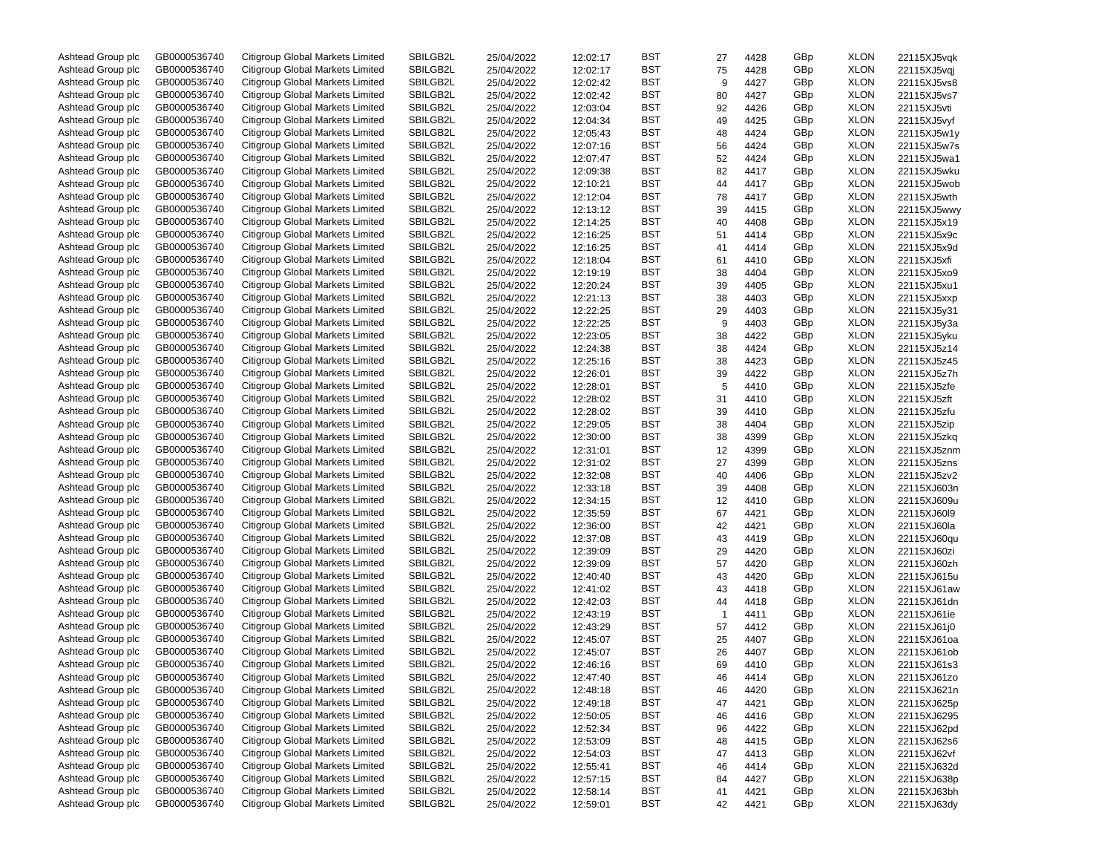| Ashtead Group plc | GB0000536740 | Citigroup Global Markets Limited        | SBILGB2L | 25/04/2022 | 12:02:17 | BST        | 27           | 4428 | GBp | <b>XLON</b> | 22115XJ5vqk |
|-------------------|--------------|-----------------------------------------|----------|------------|----------|------------|--------------|------|-----|-------------|-------------|
| Ashtead Group plc | GB0000536740 | Citigroup Global Markets Limited        | SBILGB2L | 25/04/2022 | 12:02:17 | BST        | 75           | 4428 | GBp | <b>XLON</b> | 22115XJ5vqj |
| Ashtead Group plc | GB0000536740 | Citigroup Global Markets Limited        | SBILGB2L | 25/04/2022 | 12:02:42 | BST        | 9            | 4427 | GBp | <b>XLON</b> | 22115XJ5vs8 |
| Ashtead Group plc | GB0000536740 | Citigroup Global Markets Limited        | SBILGB2L | 25/04/2022 | 12:02:42 | BST        | 80           | 4427 | GBp | <b>XLON</b> | 22115XJ5vs7 |
| Ashtead Group plc | GB0000536740 | Citigroup Global Markets Limited        | SBILGB2L | 25/04/2022 | 12:03:04 | BST        | 92           | 4426 | GBp | <b>XLON</b> | 22115XJ5vti |
| Ashtead Group plc | GB0000536740 | Citigroup Global Markets Limited        | SBILGB2L | 25/04/2022 | 12:04:34 | BST        | 49           | 4425 | GBp | <b>XLON</b> | 22115XJ5vyf |
| Ashtead Group plc | GB0000536740 | Citigroup Global Markets Limited        | SBILGB2L | 25/04/2022 | 12:05:43 | BST        | 48           | 4424 | GBp | <b>XLON</b> | 22115XJ5w1y |
| Ashtead Group plc | GB0000536740 | Citigroup Global Markets Limited        | SBILGB2L | 25/04/2022 | 12:07:16 | BST        | 56           | 4424 | GBp | <b>XLON</b> | 22115XJ5w7s |
| Ashtead Group plc | GB0000536740 | Citigroup Global Markets Limited        | SBILGB2L | 25/04/2022 | 12:07:47 | BST        | 52           | 4424 | GBp | <b>XLON</b> | 22115XJ5wa1 |
| Ashtead Group plc | GB0000536740 | Citigroup Global Markets Limited        | SBILGB2L |            |          | BST        |              |      |     | <b>XLON</b> |             |
|                   |              |                                         |          | 25/04/2022 | 12:09:38 |            | 82           | 4417 | GBp |             | 22115XJ5wku |
| Ashtead Group plc | GB0000536740 | Citigroup Global Markets Limited        | SBILGB2L | 25/04/2022 | 12:10:21 | BST        | 44           | 4417 | GBp | <b>XLON</b> | 22115XJ5wob |
| Ashtead Group plc | GB0000536740 | Citigroup Global Markets Limited        | SBILGB2L | 25/04/2022 | 12:12:04 | BST        | 78           | 4417 | GBp | <b>XLON</b> | 22115XJ5wth |
| Ashtead Group plc | GB0000536740 | Citigroup Global Markets Limited        | SBILGB2L | 25/04/2022 | 12:13:12 | BST        | 39           | 4415 | GBp | <b>XLON</b> | 22115XJ5wwy |
| Ashtead Group plc | GB0000536740 | Citigroup Global Markets Limited        | SBILGB2L | 25/04/2022 | 12:14:25 | BST        | 40           | 4408 | GBp | <b>XLON</b> | 22115XJ5x19 |
| Ashtead Group plc | GB0000536740 | Citigroup Global Markets Limited        | SBILGB2L | 25/04/2022 | 12:16:25 | BST        | 51           | 4414 | GBp | <b>XLON</b> | 22115XJ5x9c |
| Ashtead Group plc | GB0000536740 | Citigroup Global Markets Limited        | SBILGB2L | 25/04/2022 | 12:16:25 | BST        | 41           | 4414 | GBp | <b>XLON</b> | 22115XJ5x9d |
| Ashtead Group plc | GB0000536740 | Citigroup Global Markets Limited        | SBILGB2L | 25/04/2022 | 12:18:04 | BST        | 61           | 4410 | GBp | <b>XLON</b> | 22115XJ5xfi |
| Ashtead Group plc | GB0000536740 | Citigroup Global Markets Limited        | SBILGB2L | 25/04/2022 | 12:19:19 | BST        | 38           | 4404 | GBp | <b>XLON</b> | 22115XJ5xo9 |
| Ashtead Group plc | GB0000536740 | Citigroup Global Markets Limited        | SBILGB2L | 25/04/2022 | 12:20:24 | BST        | 39           | 4405 | GBp | <b>XLON</b> | 22115XJ5xu1 |
| Ashtead Group plc | GB0000536740 | Citigroup Global Markets Limited        | SBILGB2L | 25/04/2022 | 12:21:13 | BST        | 38           | 4403 | GBp | <b>XLON</b> | 22115XJ5xxp |
| Ashtead Group plc | GB0000536740 | Citigroup Global Markets Limited        | SBILGB2L | 25/04/2022 | 12:22:25 | BST        | 29           | 4403 | GBp | <b>XLON</b> | 22115XJ5y31 |
| Ashtead Group plc | GB0000536740 | Citigroup Global Markets Limited        | SBILGB2L | 25/04/2022 | 12:22:25 | BST        | 9            | 4403 | GBp | <b>XLON</b> | 22115XJ5y3a |
| Ashtead Group plc | GB0000536740 | Citigroup Global Markets Limited        | SBILGB2L | 25/04/2022 | 12:23:05 | BST        | 38           | 4422 | GBp | <b>XLON</b> | 22115XJ5yku |
| Ashtead Group plc | GB0000536740 | Citigroup Global Markets Limited        | SBILGB2L | 25/04/2022 | 12:24:38 | BST        | 38           | 4424 | GBp | <b>XLON</b> | 22115XJ5z14 |
| Ashtead Group plc | GB0000536740 | Citigroup Global Markets Limited        | SBILGB2L | 25/04/2022 | 12:25:16 | BST        | 38           | 4423 | GBp | <b>XLON</b> | 22115XJ5z45 |
| Ashtead Group plc | GB0000536740 | Citigroup Global Markets Limited        | SBILGB2L | 25/04/2022 |          | BST        | 39           |      | GBp | <b>XLON</b> |             |
|                   |              |                                         |          |            | 12:26:01 |            |              | 4422 |     |             | 22115XJ5z7h |
| Ashtead Group plc | GB0000536740 | Citigroup Global Markets Limited        | SBILGB2L | 25/04/2022 | 12:28:01 | BST        | 5            | 4410 | GBp | <b>XLON</b> | 22115XJ5zfe |
| Ashtead Group plc | GB0000536740 | Citigroup Global Markets Limited        | SBILGB2L | 25/04/2022 | 12:28:02 | BST        | 31           | 4410 | GBp | <b>XLON</b> | 22115XJ5zft |
| Ashtead Group plc | GB0000536740 | Citigroup Global Markets Limited        | SBILGB2L | 25/04/2022 | 12:28:02 | BST        | 39           | 4410 | GBp | <b>XLON</b> | 22115XJ5zfu |
| Ashtead Group plc | GB0000536740 | Citigroup Global Markets Limited        | SBILGB2L | 25/04/2022 | 12:29:05 | BST        | 38           | 4404 | GBp | <b>XLON</b> | 22115XJ5zip |
| Ashtead Group plc | GB0000536740 | Citigroup Global Markets Limited        | SBILGB2L | 25/04/2022 | 12:30:00 | BST        | 38           | 4399 | GBp | <b>XLON</b> | 22115XJ5zkg |
| Ashtead Group plc | GB0000536740 | Citigroup Global Markets Limited        | SBILGB2L | 25/04/2022 | 12:31:01 | BST        | 12           | 4399 | GBp | <b>XLON</b> | 22115XJ5znm |
| Ashtead Group plc | GB0000536740 | Citigroup Global Markets Limited        | SBILGB2L | 25/04/2022 | 12:31:02 | BST        | 27           | 4399 | GBp | <b>XLON</b> | 22115XJ5zns |
| Ashtead Group plc | GB0000536740 | Citigroup Global Markets Limited        | SBILGB2L | 25/04/2022 | 12:32:08 | BST        | 40           | 4406 | GBp | <b>XLON</b> | 22115XJ5zv2 |
| Ashtead Group plc | GB0000536740 | Citigroup Global Markets Limited        | SBILGB2L | 25/04/2022 | 12:33:18 | BST        | 39           | 4408 | GBp | <b>XLON</b> | 22115XJ603n |
| Ashtead Group plc | GB0000536740 | Citigroup Global Markets Limited        | SBILGB2L | 25/04/2022 | 12:34:15 | BST        | 12           | 4410 | GBp | <b>XLON</b> | 22115XJ609u |
| Ashtead Group plc | GB0000536740 | Citigroup Global Markets Limited        | SBILGB2L | 25/04/2022 | 12:35:59 | BST        | 67           | 4421 | GBp | <b>XLON</b> | 22115XJ60I9 |
| Ashtead Group plc | GB0000536740 | Citigroup Global Markets Limited        | SBILGB2L | 25/04/2022 | 12:36:00 | BST        | 42           | 4421 | GBp | <b>XLON</b> | 22115XJ60la |
| Ashtead Group plc | GB0000536740 | Citigroup Global Markets Limited        | SBILGB2L | 25/04/2022 | 12:37:08 | BST        | 43           | 4419 | GBp | <b>XLON</b> | 22115XJ60qu |
| Ashtead Group plc | GB0000536740 | Citigroup Global Markets Limited        | SBILGB2L | 25/04/2022 | 12:39:09 | BST        | 29           | 4420 | GBp | <b>XLON</b> | 22115XJ60zi |
| Ashtead Group plc | GB0000536740 | Citigroup Global Markets Limited        | SBILGB2L | 25/04/2022 | 12:39:09 | BST        | 57           | 4420 | GBp | <b>XLON</b> | 22115XJ60zh |
| Ashtead Group plc | GB0000536740 | Citigroup Global Markets Limited        | SBILGB2L | 25/04/2022 | 12:40:40 | BST        | 43           | 4420 | GBp | <b>XLON</b> | 22115XJ615u |
| Ashtead Group plc | GB0000536740 | Citigroup Global Markets Limited        | SBILGB2L | 25/04/2022 | 12:41:02 | BST        | 43           | 4418 | GBp | <b>XLON</b> | 22115XJ61aw |
| Ashtead Group plc | GB0000536740 | Citigroup Global Markets Limited        | SBILGB2L | 25/04/2022 | 12:42:03 | BST        | 44           | 4418 | GBp | <b>XLON</b> | 22115XJ61dn |
| Ashtead Group plc | GB0000536740 | Citigroup Global Markets Limited        | SBILGB2L | 25/04/2022 |          | BST        |              |      |     | <b>XLON</b> |             |
|                   |              |                                         |          |            | 12:43:19 |            | $\mathbf{1}$ | 4411 | GBp |             | 22115XJ61ie |
| Ashtead Group plc | GB0000536740 | Citigroup Global Markets Limited        | SBILGB2L | 25/04/2022 | 12:43:29 | BST        | 57           | 4412 | GBp | <b>XLON</b> | 22115XJ61j0 |
| Ashtead Group plc | GB0000536740 | Citigroup Global Markets Limited        | SBILGB2L | 25/04/2022 | 12:45:07 | BST        | 25           | 4407 | GBp | <b>XLON</b> | 22115XJ61oa |
| Ashtead Group plc | GB0000536740 | Citigroup Global Markets Limited        | SBILGB2L | 25/04/2022 | 12:45:07 | BST        | 26           | 4407 | GBp | <b>XLON</b> | 22115XJ61ob |
| Ashtead Group plc | GB0000536740 | Citigroup Global Markets Limited        | SBILGB2L | 25/04/2022 | 12:46:16 | BST        | 69           | 4410 | GBp | <b>XLON</b> | 22115XJ61s3 |
| Ashtead Group plc | GB0000536740 | Citigroup Global Markets Limited        | SBILGB2L | 25/04/2022 | 12:47:40 | <b>BST</b> | 46           | 4414 | GBp | <b>XLON</b> | 22115XJ61zo |
| Ashtead Group plc | GB0000536740 | Citigroup Global Markets Limited        | SBILGB2L | 25/04/2022 | 12:48:18 | BST        | 46           | 4420 | GBp | <b>XLON</b> | 22115XJ621n |
| Ashtead Group plc | GB0000536740 | <b>Citigroup Global Markets Limited</b> | SBILGB2L | 25/04/2022 | 12:49:18 | BST        | 47           | 4421 | GBp | <b>XLON</b> | 22115XJ625p |
| Ashtead Group plc | GB0000536740 | <b>Citigroup Global Markets Limited</b> | SBILGB2L | 25/04/2022 | 12:50:05 | <b>BST</b> | 46           | 4416 | GBp | <b>XLON</b> | 22115XJ6295 |
| Ashtead Group plc | GB0000536740 | Citigroup Global Markets Limited        | SBILGB2L | 25/04/2022 | 12:52:34 | <b>BST</b> | 96           | 4422 | GBp | <b>XLON</b> | 22115XJ62pd |
| Ashtead Group plc | GB0000536740 | Citigroup Global Markets Limited        | SBILGB2L | 25/04/2022 | 12:53:09 | <b>BST</b> | 48           | 4415 | GBp | <b>XLON</b> | 22115XJ62s6 |
| Ashtead Group plc | GB0000536740 | Citigroup Global Markets Limited        | SBILGB2L | 25/04/2022 | 12:54:03 | <b>BST</b> | 47           | 4413 | GBp | <b>XLON</b> | 22115XJ62vf |
| Ashtead Group plc | GB0000536740 | Citigroup Global Markets Limited        | SBILGB2L | 25/04/2022 | 12:55:41 | <b>BST</b> | 46           | 4414 | GBp | <b>XLON</b> | 22115XJ632d |
| Ashtead Group plc | GB0000536740 | <b>Citigroup Global Markets Limited</b> | SBILGB2L | 25/04/2022 | 12:57:15 | <b>BST</b> | 84           | 4427 | GBp | <b>XLON</b> | 22115XJ638p |
| Ashtead Group plc | GB0000536740 | Citigroup Global Markets Limited        | SBILGB2L | 25/04/2022 | 12:58:14 | BST        | 41           | 4421 | GBp | <b>XLON</b> | 22115XJ63bh |
| Ashtead Group plc | GB0000536740 | Citigroup Global Markets Limited        | SBILGB2L | 25/04/2022 | 12:59:01 | BST        | 42           | 4421 | GBp | <b>XLON</b> | 22115XJ63dy |
|                   |              |                                         |          |            |          |            |              |      |     |             |             |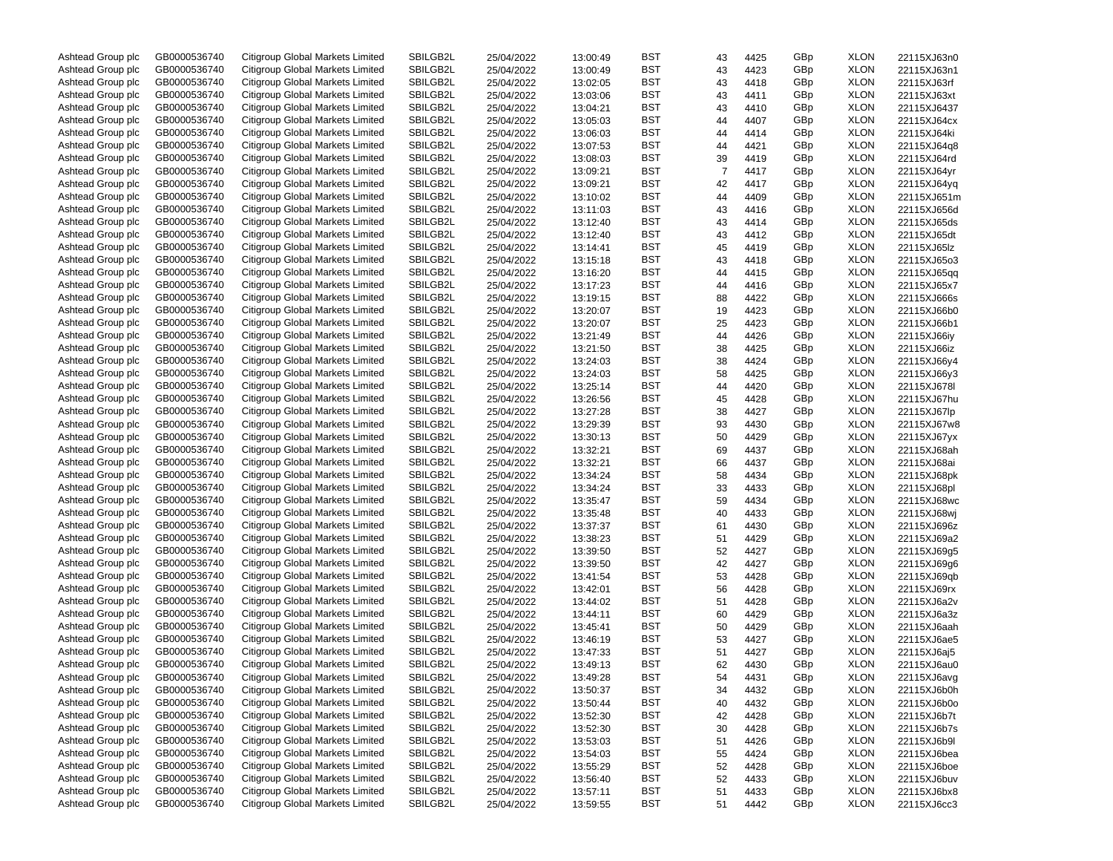| Ashtead Group plc | GB0000536740 | Citigroup Global Markets Limited | SBILGB2L | 25/04/2022 | 13:00:49 | BST        | 43 | 4425 | GBp | <b>XLON</b> | 22115XJ63n0 |
|-------------------|--------------|----------------------------------|----------|------------|----------|------------|----|------|-----|-------------|-------------|
| Ashtead Group plc | GB0000536740 | Citigroup Global Markets Limited | SBILGB2L | 25/04/2022 | 13:00:49 | BST        | 43 | 4423 | GBp | <b>XLON</b> | 22115XJ63n1 |
| Ashtead Group plc | GB0000536740 | Citigroup Global Markets Limited | SBILGB2L | 25/04/2022 | 13:02:05 | BST        | 43 | 4418 | GBp | <b>XLON</b> | 22115XJ63rf |
| Ashtead Group plc | GB0000536740 | Citigroup Global Markets Limited | SBILGB2L | 25/04/2022 | 13:03:06 | BST        | 43 | 4411 | GBp | <b>XLON</b> | 22115XJ63xt |
| Ashtead Group plc | GB0000536740 | Citigroup Global Markets Limited | SBILGB2L | 25/04/2022 | 13:04:21 | BST        | 43 | 4410 | GBp | <b>XLON</b> | 22115XJ6437 |
| Ashtead Group plc | GB0000536740 | Citigroup Global Markets Limited | SBILGB2L | 25/04/2022 | 13:05:03 | BST        | 44 | 4407 | GBp | <b>XLON</b> | 22115XJ64cx |
| Ashtead Group plc | GB0000536740 | Citigroup Global Markets Limited | SBILGB2L | 25/04/2022 | 13:06:03 | BST        | 44 | 4414 | GBp | <b>XLON</b> | 22115XJ64ki |
| Ashtead Group plc | GB0000536740 | Citigroup Global Markets Limited | SBILGB2L | 25/04/2022 | 13:07:53 | BST        | 44 | 4421 | GBp | <b>XLON</b> | 22115XJ64q8 |
| Ashtead Group plc | GB0000536740 | Citigroup Global Markets Limited | SBILGB2L | 25/04/2022 | 13:08:03 | BST        | 39 | 4419 | GBp | <b>XLON</b> | 22115XJ64rd |
| Ashtead Group plc | GB0000536740 | Citigroup Global Markets Limited | SBILGB2L |            |          | BST        |    |      |     | <b>XLON</b> |             |
|                   |              |                                  |          | 25/04/2022 | 13:09:21 |            | 7  | 4417 | GBp |             | 22115XJ64yr |
| Ashtead Group plc | GB0000536740 | Citigroup Global Markets Limited | SBILGB2L | 25/04/2022 | 13:09:21 | BST        | 42 | 4417 | GBp | <b>XLON</b> | 22115XJ64yq |
| Ashtead Group plc | GB0000536740 | Citigroup Global Markets Limited | SBILGB2L | 25/04/2022 | 13:10:02 | BST        | 44 | 4409 | GBp | <b>XLON</b> | 22115XJ651m |
| Ashtead Group plc | GB0000536740 | Citigroup Global Markets Limited | SBILGB2L | 25/04/2022 | 13:11:03 | BST        | 43 | 4416 | GBp | <b>XLON</b> | 22115XJ656d |
| Ashtead Group plc | GB0000536740 | Citigroup Global Markets Limited | SBILGB2L | 25/04/2022 | 13:12:40 | BST        | 43 | 4414 | GBp | <b>XLON</b> | 22115XJ65ds |
| Ashtead Group plc | GB0000536740 | Citigroup Global Markets Limited | SBILGB2L | 25/04/2022 | 13:12:40 | BST        | 43 | 4412 | GBp | <b>XLON</b> | 22115XJ65dt |
| Ashtead Group plc | GB0000536740 | Citigroup Global Markets Limited | SBILGB2L | 25/04/2022 | 13:14:41 | BST        | 45 | 4419 | GBp | <b>XLON</b> | 22115XJ65lz |
| Ashtead Group plc | GB0000536740 | Citigroup Global Markets Limited | SBILGB2L | 25/04/2022 | 13:15:18 | BST        | 43 | 4418 | GBp | <b>XLON</b> | 22115XJ65o3 |
| Ashtead Group plc | GB0000536740 | Citigroup Global Markets Limited | SBILGB2L | 25/04/2022 | 13:16:20 | BST        | 44 | 4415 | GBp | <b>XLON</b> | 22115XJ65qq |
| Ashtead Group plc | GB0000536740 | Citigroup Global Markets Limited | SBILGB2L | 25/04/2022 | 13:17:23 | BST        | 44 | 4416 | GBp | <b>XLON</b> | 22115XJ65x7 |
| Ashtead Group plc | GB0000536740 | Citigroup Global Markets Limited | SBILGB2L | 25/04/2022 | 13:19:15 | BST        | 88 | 4422 | GBp | <b>XLON</b> | 22115XJ666s |
| Ashtead Group plc | GB0000536740 | Citigroup Global Markets Limited | SBILGB2L | 25/04/2022 | 13:20:07 | BST        | 19 | 4423 | GBp | <b>XLON</b> | 22115XJ66b0 |
| Ashtead Group plc | GB0000536740 | Citigroup Global Markets Limited | SBILGB2L | 25/04/2022 | 13:20:07 | BST        | 25 | 4423 | GBp | <b>XLON</b> | 22115XJ66b1 |
| Ashtead Group plc | GB0000536740 | Citigroup Global Markets Limited | SBILGB2L | 25/04/2022 | 13:21:49 | BST        | 44 | 4426 | GBp | <b>XLON</b> | 22115XJ66iy |
| Ashtead Group plc | GB0000536740 | Citigroup Global Markets Limited | SBILGB2L | 25/04/2022 | 13:21:50 | BST        | 38 | 4425 | GBp | <b>XLON</b> | 22115XJ66iz |
| Ashtead Group plc | GB0000536740 | Citigroup Global Markets Limited | SBILGB2L | 25/04/2022 | 13:24:03 | BST        | 38 | 4424 | GBp | <b>XLON</b> | 22115XJ66y4 |
| Ashtead Group plc | GB0000536740 | Citigroup Global Markets Limited | SBILGB2L |            |          | BST        |    |      | GBp | <b>XLON</b> | 22115XJ66y3 |
|                   |              | Citigroup Global Markets Limited |          | 25/04/2022 | 13:24:03 |            | 58 | 4425 |     |             |             |
| Ashtead Group plc | GB0000536740 |                                  | SBILGB2L | 25/04/2022 | 13:25:14 | BST        | 44 | 4420 | GBp | <b>XLON</b> | 22115XJ678I |
| Ashtead Group plc | GB0000536740 | Citigroup Global Markets Limited | SBILGB2L | 25/04/2022 | 13:26:56 | BST        | 45 | 4428 | GBp | <b>XLON</b> | 22115XJ67hu |
| Ashtead Group plc | GB0000536740 | Citigroup Global Markets Limited | SBILGB2L | 25/04/2022 | 13:27:28 | BST        | 38 | 4427 | GBp | <b>XLON</b> | 22115XJ67lp |
| Ashtead Group plc | GB0000536740 | Citigroup Global Markets Limited | SBILGB2L | 25/04/2022 | 13:29:39 | BST        | 93 | 4430 | GBp | <b>XLON</b> | 22115XJ67w8 |
| Ashtead Group plc | GB0000536740 | Citigroup Global Markets Limited | SBILGB2L | 25/04/2022 | 13:30:13 | BST        | 50 | 4429 | GBp | <b>XLON</b> | 22115XJ67yx |
| Ashtead Group plc | GB0000536740 | Citigroup Global Markets Limited | SBILGB2L | 25/04/2022 | 13:32:21 | BST        | 69 | 4437 | GBp | <b>XLON</b> | 22115XJ68ah |
| Ashtead Group plc | GB0000536740 | Citigroup Global Markets Limited | SBILGB2L | 25/04/2022 | 13:32:21 | BST        | 66 | 4437 | GBp | <b>XLON</b> | 22115XJ68ai |
| Ashtead Group plc | GB0000536740 | Citigroup Global Markets Limited | SBILGB2L | 25/04/2022 | 13:34:24 | BST        | 58 | 4434 | GBp | <b>XLON</b> | 22115XJ68pk |
| Ashtead Group plc | GB0000536740 | Citigroup Global Markets Limited | SBILGB2L | 25/04/2022 | 13:34:24 | BST        | 33 | 4433 | GBp | <b>XLON</b> | 22115XJ68pl |
| Ashtead Group plc | GB0000536740 | Citigroup Global Markets Limited | SBILGB2L | 25/04/2022 | 13:35:47 | BST        | 59 | 4434 | GBp | <b>XLON</b> | 22115XJ68wc |
| Ashtead Group plc | GB0000536740 | Citigroup Global Markets Limited | SBILGB2L | 25/04/2022 | 13:35:48 | BST        | 40 | 4433 | GBp | <b>XLON</b> | 22115XJ68wj |
| Ashtead Group plc | GB0000536740 | Citigroup Global Markets Limited | SBILGB2L | 25/04/2022 | 13:37:37 | BST        | 61 | 4430 | GBp | <b>XLON</b> | 22115XJ696z |
| Ashtead Group plc | GB0000536740 | Citigroup Global Markets Limited | SBILGB2L | 25/04/2022 | 13:38:23 | BST        | 51 | 4429 | GBp | <b>XLON</b> | 22115XJ69a2 |
| Ashtead Group plc | GB0000536740 | Citigroup Global Markets Limited | SBILGB2L | 25/04/2022 | 13:39:50 | BST        | 52 | 4427 | GBp | <b>XLON</b> | 22115XJ69g5 |
| Ashtead Group plc | GB0000536740 | Citigroup Global Markets Limited | SBILGB2L | 25/04/2022 | 13:39:50 | BST        | 42 | 4427 | GBp | <b>XLON</b> | 22115XJ69g6 |
| Ashtead Group plc | GB0000536740 | Citigroup Global Markets Limited | SBILGB2L | 25/04/2022 | 13:41:54 | BST        | 53 | 4428 | GBp | <b>XLON</b> | 22115XJ69qb |
| Ashtead Group plc | GB0000536740 | Citigroup Global Markets Limited | SBILGB2L |            |          | BST        |    | 4428 | GBp | <b>XLON</b> |             |
|                   |              |                                  | SBILGB2L | 25/04/2022 | 13:42:01 |            | 56 |      |     |             | 22115XJ69rx |
| Ashtead Group plc | GB0000536740 | Citigroup Global Markets Limited |          | 25/04/2022 | 13:44:02 | BST        | 51 | 4428 | GBp | <b>XLON</b> | 22115XJ6a2v |
| Ashtead Group plc | GB0000536740 | Citigroup Global Markets Limited | SBILGB2L | 25/04/2022 | 13:44:11 | BST        | 60 | 4429 | GBp | <b>XLON</b> | 22115XJ6a3z |
| Ashtead Group plc | GB0000536740 | Citigroup Global Markets Limited | SBILGB2L | 25/04/2022 | 13:45:41 | BST        | 50 | 4429 | GBp | <b>XLON</b> | 22115XJ6aah |
| Ashtead Group plc | GB0000536740 | Citigroup Global Markets Limited | SBILGB2L | 25/04/2022 | 13:46:19 | BST        | 53 | 4427 | GBp | <b>XLON</b> | 22115XJ6ae5 |
| Ashtead Group plc | GB0000536740 | Citigroup Global Markets Limited | SBILGB2L | 25/04/2022 | 13:47:33 | BST        | 51 | 4427 | GBp | <b>XLON</b> | 22115XJ6aj5 |
| Ashtead Group plc | GB0000536740 | Citigroup Global Markets Limited | SBILGB2L | 25/04/2022 | 13:49:13 | BST        | 62 | 4430 | GBp | <b>XLON</b> | 22115XJ6au0 |
| Ashtead Group plc | GB0000536740 | Citigroup Global Markets Limited | SBILGB2L | 25/04/2022 | 13:49:28 | BST        | 54 | 4431 | GBp | <b>XLON</b> | 22115XJ6avg |
| Ashtead Group plc | GB0000536740 | Citigroup Global Markets Limited | SBILGB2L | 25/04/2022 | 13:50:37 | BST        | 34 | 4432 | GBp | <b>XLON</b> | 22115XJ6b0h |
| Ashtead Group plc | GB0000536740 | Citigroup Global Markets Limited | SBILGB2L | 25/04/2022 | 13:50:44 | BST        | 40 | 4432 | GBp | <b>XLON</b> | 22115XJ6b0o |
| Ashtead Group plc | GB0000536740 | Citigroup Global Markets Limited | SBILGB2L | 25/04/2022 | 13:52:30 | BST        | 42 | 4428 | GBp | <b>XLON</b> | 22115XJ6b7t |
| Ashtead Group plc | GB0000536740 | Citigroup Global Markets Limited | SBILGB2L | 25/04/2022 | 13:52:30 | <b>BST</b> | 30 | 4428 | GBp | <b>XLON</b> | 22115XJ6b7s |
| Ashtead Group plc | GB0000536740 | Citigroup Global Markets Limited | SBILGB2L | 25/04/2022 | 13:53:03 | BST        | 51 | 4426 | GBp | <b>XLON</b> | 22115XJ6b9l |
| Ashtead Group plc | GB0000536740 | Citigroup Global Markets Limited | SBILGB2L | 25/04/2022 | 13:54:03 | BST        | 55 | 4424 | GBp | <b>XLON</b> | 22115XJ6bea |
| Ashtead Group plc | GB0000536740 | Citigroup Global Markets Limited | SBILGB2L | 25/04/2022 | 13:55:29 | BST        | 52 | 4428 | GBp | <b>XLON</b> | 22115XJ6boe |
| Ashtead Group plc | GB0000536740 | Citigroup Global Markets Limited | SBILGB2L | 25/04/2022 | 13:56:40 | <b>BST</b> | 52 | 4433 | GBp | <b>XLON</b> | 22115XJ6buv |
| Ashtead Group plc | GB0000536740 | Citigroup Global Markets Limited | SBILGB2L | 25/04/2022 | 13:57:11 | BST        | 51 | 4433 | GBp | <b>XLON</b> | 22115XJ6bx8 |
| Ashtead Group plc | GB0000536740 | Citigroup Global Markets Limited | SBILGB2L | 25/04/2022 | 13:59:55 | BST        | 51 | 4442 | GBp | <b>XLON</b> | 22115XJ6cc3 |
|                   |              |                                  |          |            |          |            |    |      |     |             |             |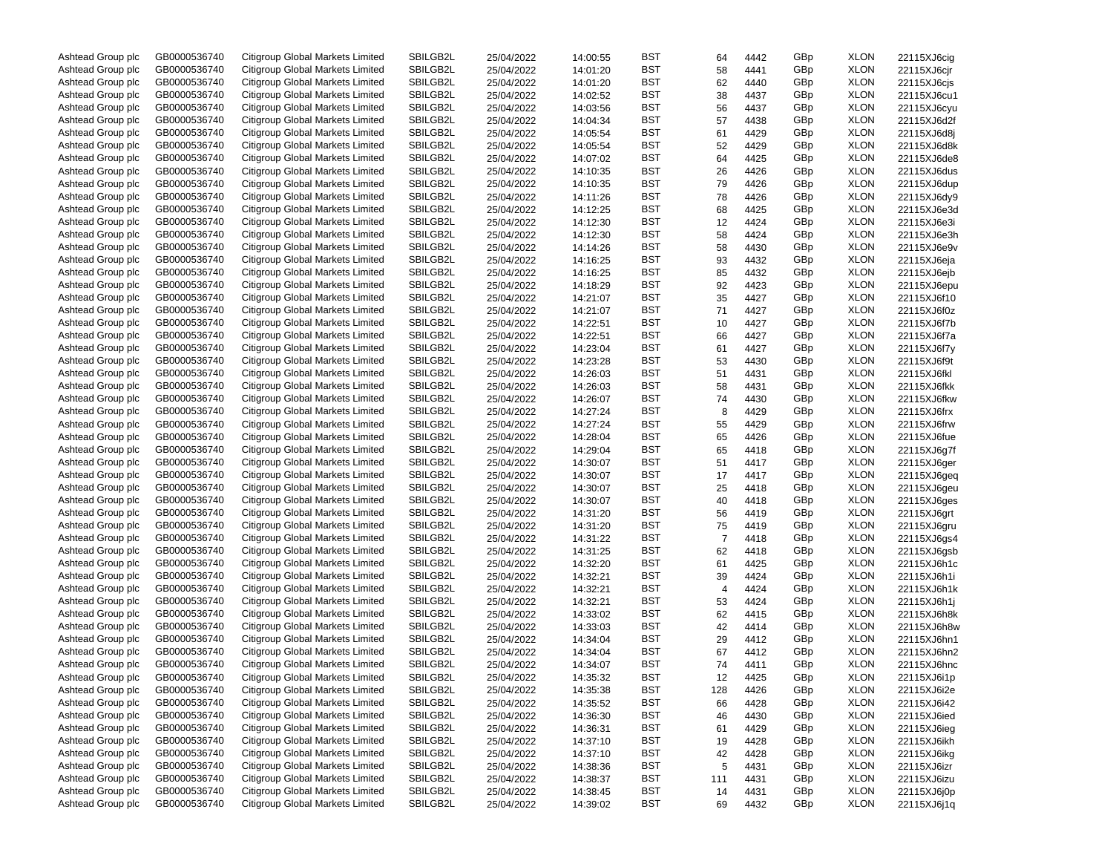| Ashtead Group plc | GB0000536740 | Citigroup Global Markets Limited        | SBILGB2L | 25/04/2022               | 14:00:55 | <b>BST</b> | 64             | 4442 | GBp | XLON        | 22115XJ6cig                |
|-------------------|--------------|-----------------------------------------|----------|--------------------------|----------|------------|----------------|------|-----|-------------|----------------------------|
| Ashtead Group plc | GB0000536740 | Citigroup Global Markets Limited        | SBILGB2L | 25/04/2022               | 14:01:20 | <b>BST</b> | 58             | 4441 | GBp | XLON        | 22115XJ6cjr                |
| Ashtead Group plc | GB0000536740 | Citigroup Global Markets Limited        | SBILGB2L | 25/04/2022               | 14:01:20 | <b>BST</b> | 62             | 4440 | GBp | XLON        | 22115XJ6cjs                |
| Ashtead Group plc | GB0000536740 | Citigroup Global Markets Limited        | SBILGB2L | 25/04/2022               | 14:02:52 | <b>BST</b> | 38             | 4437 | GBp | XLON        | 22115XJ6cu1                |
| Ashtead Group plc | GB0000536740 | Citigroup Global Markets Limited        | SBILGB2L | 25/04/2022               | 14:03:56 | BST        | 56             | 4437 | GBp | XLON        | 22115XJ6cyu                |
| Ashtead Group plc | GB0000536740 | Citigroup Global Markets Limited        | SBILGB2L | 25/04/2022               | 14:04:34 | <b>BST</b> | 57             | 4438 | GBp | XLON        | 22115XJ6d2f                |
| Ashtead Group plc | GB0000536740 | Citigroup Global Markets Limited        | SBILGB2L | 25/04/2022               | 14:05:54 | BST        | 61             | 4429 | GBp | XLON        | 22115XJ6d8j                |
| Ashtead Group plc | GB0000536740 | <b>Citigroup Global Markets Limited</b> | SBILGB2L | 25/04/2022               | 14:05:54 | <b>BST</b> | 52             | 4429 | GBp | XLON        | 22115XJ6d8k                |
| Ashtead Group plc | GB0000536740 | Citigroup Global Markets Limited        | SBILGB2L | 25/04/2022               | 14:07:02 | BST        | 64             | 4425 | GBp | XLON        | 22115XJ6de8                |
| Ashtead Group plc | GB0000536740 | Citigroup Global Markets Limited        | SBILGB2L |                          |          | BST        |                |      |     | XLON        |                            |
|                   |              |                                         |          | 25/04/2022               | 14:10:35 |            | 26             | 4426 | GBp |             | 22115XJ6dus                |
| Ashtead Group plc | GB0000536740 | Citigroup Global Markets Limited        | SBILGB2L | 25/04/2022               | 14:10:35 | BST        | 79             | 4426 | GBp | XLON        | 22115XJ6dup                |
| Ashtead Group plc | GB0000536740 | Citigroup Global Markets Limited        | SBILGB2L | 25/04/2022               | 14:11:26 | BST        | 78             | 4426 | GBp | XLON        | 22115XJ6dy9                |
| Ashtead Group plc | GB0000536740 | <b>Citigroup Global Markets Limited</b> | SBILGB2L | 25/04/2022               | 14:12:25 | BST        | 68             | 4425 | GBp | XLON        | 22115XJ6e3d                |
| Ashtead Group plc | GB0000536740 | <b>Citigroup Global Markets Limited</b> | SBILGB2L | 25/04/2022               | 14:12:30 | <b>BST</b> | 12             | 4424 | GBp | XLON        | 22115XJ6e3i                |
| Ashtead Group plc | GB0000536740 | <b>Citigroup Global Markets Limited</b> | SBILGB2L | 25/04/2022               | 14:12:30 | BST        | 58             | 4424 | GBp | XLON        | 22115XJ6e3h                |
| Ashtead Group plc | GB0000536740 | <b>Citigroup Global Markets Limited</b> | SBILGB2L | 25/04/2022               | 14:14:26 | <b>BST</b> | 58             | 4430 | GBp | XLON        | 22115XJ6e9v                |
| Ashtead Group plc | GB0000536740 | Citigroup Global Markets Limited        | SBILGB2L | 25/04/2022               | 14:16:25 | BST        | 93             | 4432 | GBp | XLON        | 22115XJ6eja                |
| Ashtead Group plc | GB0000536740 | Citigroup Global Markets Limited        | SBILGB2L | 25/04/2022               | 14:16:25 | <b>BST</b> | 85             | 4432 | GBp | XLON        | 22115XJ6ejb                |
| Ashtead Group plc | GB0000536740 | Citigroup Global Markets Limited        | SBILGB2L | 25/04/2022               | 14:18:29 | BST        | 92             | 4423 | GBp | XLON        | 22115XJ6epu                |
| Ashtead Group plc | GB0000536740 | Citigroup Global Markets Limited        | SBILGB2L | 25/04/2022               | 14:21:07 | BST        | 35             | 4427 | GBp | XLON        | 22115XJ6f10                |
| Ashtead Group plc | GB0000536740 | Citigroup Global Markets Limited        | SBILGB2L | 25/04/2022               | 14:21:07 | BST        | 71             | 4427 | GBp | XLON        | 22115XJ6f0z                |
| Ashtead Group plc | GB0000536740 | Citigroup Global Markets Limited        | SBILGB2L | 25/04/2022               | 14:22:51 | BST        | 10             | 4427 | GBp | XLON        | 22115XJ6f7b                |
| Ashtead Group plc | GB0000536740 | <b>Citigroup Global Markets Limited</b> | SBILGB2L | 25/04/2022               | 14:22:51 | BST        | 66             | 4427 | GBp | XLON        | 22115XJ6f7a                |
| Ashtead Group plc | GB0000536740 | <b>Citigroup Global Markets Limited</b> | SBILGB2L | 25/04/2022               | 14:23:04 | BST        | 61             | 4427 | GBp | XLON        | 22115XJ6f7y                |
| Ashtead Group plc | GB0000536740 | <b>Citigroup Global Markets Limited</b> | SBILGB2L | 25/04/2022               | 14:23:28 | BST        | 53             | 4430 | GBp | XLON        | 22115XJ6f9t                |
|                   |              | <b>Citigroup Global Markets Limited</b> | SBILGB2L |                          |          |            |                |      |     |             |                            |
| Ashtead Group plc | GB0000536740 |                                         |          | 25/04/2022               | 14:26:03 | <b>BST</b> | 51             | 4431 | GBp | XLON        | 22115XJ6fkl                |
| Ashtead Group plc | GB0000536740 | Citigroup Global Markets Limited        | SBILGB2L | 25/04/2022               | 14:26:03 | BST        | 58             | 4431 | GBp | XLON        | 22115XJ6fkk                |
| Ashtead Group plc | GB0000536740 | <b>Citigroup Global Markets Limited</b> | SBILGB2L | 25/04/2022               | 14:26:07 | BST        | 74             | 4430 | GBp | XLON        | 22115XJ6fkw                |
| Ashtead Group plc | GB0000536740 | <b>Citigroup Global Markets Limited</b> | SBILGB2L | 25/04/2022               | 14:27:24 | BST        | 8              | 4429 | GBp | XLON        | 22115XJ6frx                |
| Ashtead Group plc | GB0000536740 | <b>Citigroup Global Markets Limited</b> | SBILGB2L | 25/04/2022               | 14:27:24 | <b>BST</b> | 55             | 4429 | GBp | XLON        | 22115XJ6frw                |
| Ashtead Group plc | GB0000536740 | <b>Citigroup Global Markets Limited</b> | SBILGB2L | 25/04/2022               | 14:28:04 | BST        | 65             | 4426 | GBp | XLON        | 22115XJ6fue                |
| Ashtead Group plc | GB0000536740 | <b>Citigroup Global Markets Limited</b> | SBILGB2L | 25/04/2022               | 14:29:04 | <b>BST</b> | 65             | 4418 | GBp | XLON        | 22115XJ6g7f                |
| Ashtead Group plc | GB0000536740 | Citigroup Global Markets Limited        | SBILGB2L | 25/04/2022               | 14:30:07 | BST        | 51             | 4417 | GBp | XLON        | 22115XJ6ger                |
| Ashtead Group plc | GB0000536740 | Citigroup Global Markets Limited        | SBILGB2L | 25/04/2022               | 14:30:07 | <b>BST</b> | 17             | 4417 | GBp | XLON        | 22115XJ6geq                |
| Ashtead Group plc | GB0000536740 | Citigroup Global Markets Limited        | SBILGB2L | 25/04/2022               | 14:30:07 | BST        | 25             | 4418 | GBp | XLON        | 22115XJ6geu                |
| Ashtead Group plc | GB0000536740 | Citigroup Global Markets Limited        | SBILGB2L | 25/04/2022               | 14:30:07 | BST        | 40             | 4418 | GBp | XLON        | 22115XJ6ges                |
| Ashtead Group plc | GB0000536740 | Citigroup Global Markets Limited        | SBILGB2L | 25/04/2022               | 14:31:20 | BST        | 56             | 4419 | GBp | XLON        | 22115XJ6grt                |
| Ashtead Group plc | GB0000536740 | Citigroup Global Markets Limited        | SBILGB2L | 25/04/2022               | 14:31:20 | <b>BST</b> | 75             | 4419 | GBp | XLON        | 22115XJ6gru                |
| Ashtead Group plc | GB0000536740 | Citigroup Global Markets Limited        | SBILGB2L | 25/04/2022               | 14:31:22 | BST        | $\overline{7}$ | 4418 | GBp | XLON        | 22115XJ6gs4                |
| Ashtead Group plc | GB0000536740 | Citigroup Global Markets Limited        | SBILGB2L | 25/04/2022               | 14:31:25 | BST        | 62             | 4418 | GBp | XLON        | 22115XJ6gsb                |
| Ashtead Group plc | GB0000536740 | Citigroup Global Markets Limited        | SBILGB2L | 25/04/2022               | 14:32:20 | BST        | 61             | 4425 | GBp | XLON        | 22115XJ6h1c                |
| Ashtead Group plc | GB0000536740 | Citigroup Global Markets Limited        | SBILGB2L |                          |          | <b>BST</b> |                | 4424 | GBp | XLON        |                            |
|                   |              |                                         |          | 25/04/2022               | 14:32:21 |            | 39             |      |     |             | 22115XJ6h1i                |
| Ashtead Group plc | GB0000536740 | Citigroup Global Markets Limited        | SBILGB2L | 25/04/2022               | 14:32:21 | BST        | $\overline{4}$ | 4424 | GBp | XLON        | 22115XJ6h1k                |
| Ashtead Group plc | GB0000536740 | Citigroup Global Markets Limited        | SBILGB2L | 25/04/2022               | 14:32:21 | BST        | 53             | 4424 | GBp | XLON        | 22115XJ6h1j                |
| Ashtead Group plc | GB0000536740 | Citigroup Global Markets Limited        | SBILGB2L | 25/04/2022               | 14:33:02 | BST        | 62             | 4415 | GBp | XLON        | 22115XJ6h8k                |
| Ashtead Group plc | GB0000536740 | Citigroup Global Markets Limited        | SBILGB2L | 25/04/2022               | 14:33:03 | <b>BST</b> | 42             | 4414 | GBp | XLON        | 22115XJ6h8w                |
| Ashtead Group plc | GB0000536740 | Citigroup Global Markets Limited        | SBILGB2L | 25/04/2022               | 14:34:04 | <b>BST</b> | 29             | 4412 | GBp | XLON        | 22115XJ6hn1                |
| Ashtead Group plc | GB0000536740 | Citigroup Global Markets Limited        | SBILGB2L | 25/04/2022               | 14:34:04 | <b>BST</b> | 67             | 4412 | GBp | XLON        | 22115XJ6hn2                |
| Ashtead Group plc | GB0000536740 | Citigroup Global Markets Limited        | SBILGB2L | 25/04/2022               | 14:34:07 | <b>BST</b> | 74             | 4411 | GBp | XLON        | 22115XJ6hnc                |
| Ashtead Group plc | GB0000536740 | Citigroup Global Markets Limited        | SBILGB2L | 25/04/2022               | 14:35:32 | <b>BST</b> | 12             | 4425 | GBp | XLON        | 22115XJ6i1p                |
| Ashtead Group plc | GB0000536740 | <b>Citigroup Global Markets Limited</b> | SBILGB2L | 25/04/2022               | 14:35:38 | <b>BST</b> | 128            | 4426 | GBp | <b>XLON</b> | 22115XJ6i2e                |
| Ashtead Group plc | GB0000536740 | Citigroup Global Markets Limited        | SBILGB2L | 25/04/2022               | 14:35:52 | <b>BST</b> | 66             | 4428 | GBp | <b>XLON</b> | 22115XJ6i42                |
| Ashtead Group plc | GB0000536740 | Citigroup Global Markets Limited        | SBILGB2L | 25/04/2022               | 14:36:30 | <b>BST</b> | 46             | 4430 | GBp | XLON        | 22115XJ6ied                |
| Ashtead Group plc | GB0000536740 | Citigroup Global Markets Limited        | SBILGB2L | 25/04/2022               | 14:36:31 | <b>BST</b> | 61             | 4429 | GBp | <b>XLON</b> | 22115XJ6ieg                |
| Ashtead Group plc | GB0000536740 | Citigroup Global Markets Limited        | SBILGB2L | 25/04/2022               | 14:37:10 | <b>BST</b> | 19             | 4428 | GBp | XLON        | 22115XJ6ikh                |
| Ashtead Group plc | GB0000536740 | Citigroup Global Markets Limited        | SBILGB2L | 25/04/2022               | 14:37:10 | <b>BST</b> | 42             | 4428 | GBp | <b>XLON</b> | 22115XJ6ikg                |
| Ashtead Group plc | GB0000536740 | Citigroup Global Markets Limited        | SBILGB2L | 25/04/2022               | 14:38:36 | <b>BST</b> | 5              | 4431 | GBp | XLON        | 22115XJ6izr                |
| Ashtead Group plc | GB0000536740 | Citigroup Global Markets Limited        | SBILGB2L |                          |          | <b>BST</b> |                |      | GBp | <b>XLON</b> |                            |
| Ashtead Group plc | GB0000536740 | Citigroup Global Markets Limited        | SBILGB2L | 25/04/2022<br>25/04/2022 | 14:38:37 | <b>BST</b> | 111            | 4431 | GBp | XLON        | 22115XJ6izu<br>22115XJ6j0p |
|                   |              |                                         |          |                          | 14:38:45 |            | 14             | 4431 |     |             |                            |
| Ashtead Group plc | GB0000536740 | Citigroup Global Markets Limited        | SBILGB2L | 25/04/2022               | 14:39:02 | BST        | 69             | 4432 | GBp | XLON        | 22115XJ6j1q                |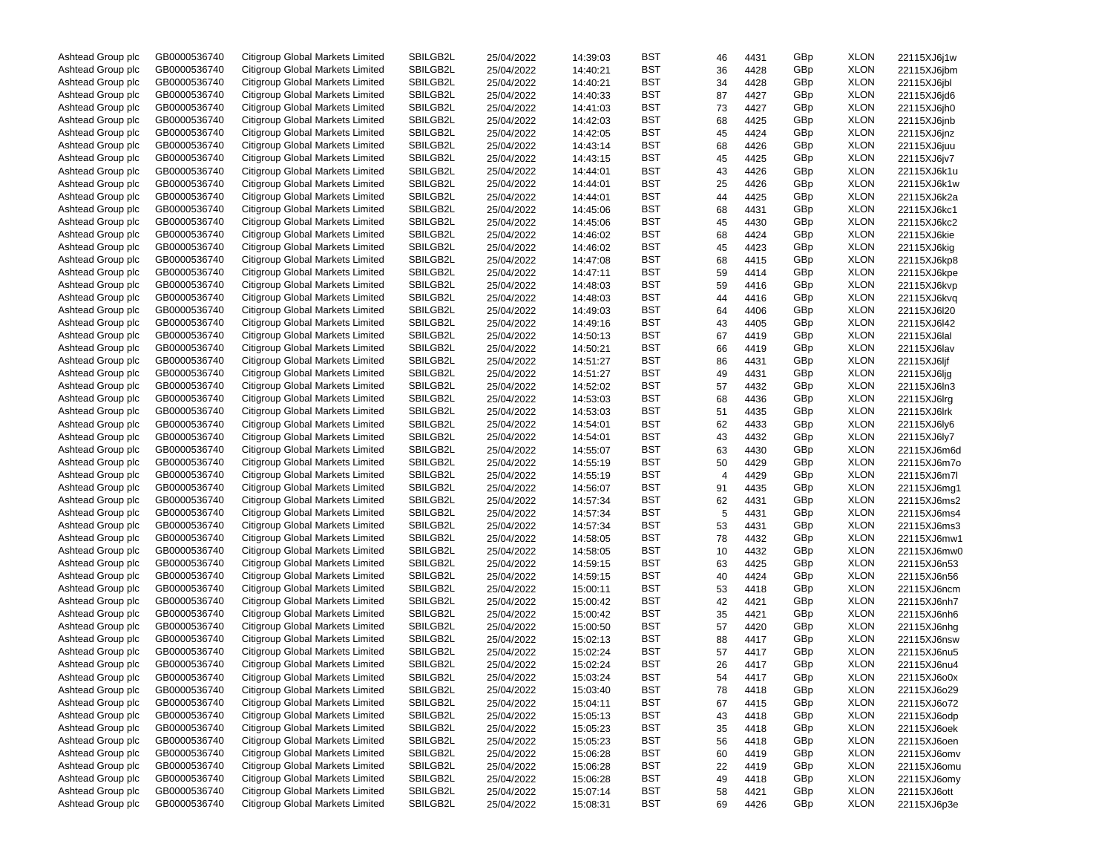| Ashtead Group plc | GB0000536740 | Citigroup Global Markets Limited        | SBILGB2L | 25/04/2022 | 14:39:03 | BST        | 46 | 4431 | GBp | <b>XLON</b> | 22115XJ6j1w |
|-------------------|--------------|-----------------------------------------|----------|------------|----------|------------|----|------|-----|-------------|-------------|
| Ashtead Group plc | GB0000536740 | Citigroup Global Markets Limited        | SBILGB2L | 25/04/2022 | 14:40:21 | BST        | 36 | 4428 | GBp | <b>XLON</b> | 22115XJ6jbm |
| Ashtead Group plc | GB0000536740 | Citigroup Global Markets Limited        | SBILGB2L | 25/04/2022 | 14:40:21 | BST        | 34 | 4428 | GBp | <b>XLON</b> | 22115XJ6jbl |
| Ashtead Group plc | GB0000536740 | Citigroup Global Markets Limited        | SBILGB2L | 25/04/2022 | 14:40:33 | BST        | 87 | 4427 | GBp | <b>XLON</b> | 22115XJ6jd6 |
| Ashtead Group plc | GB0000536740 | Citigroup Global Markets Limited        | SBILGB2L | 25/04/2022 | 14:41:03 | BST        | 73 | 4427 | GBp | <b>XLON</b> | 22115XJ6jh0 |
| Ashtead Group plc | GB0000536740 | Citigroup Global Markets Limited        | SBILGB2L | 25/04/2022 | 14:42:03 | BST        | 68 | 4425 | GBp | <b>XLON</b> | 22115XJ6jnb |
| Ashtead Group plc | GB0000536740 | Citigroup Global Markets Limited        | SBILGB2L | 25/04/2022 | 14:42:05 | BST        | 45 | 4424 | GBp | <b>XLON</b> | 22115XJ6jnz |
| Ashtead Group plc | GB0000536740 | Citigroup Global Markets Limited        | SBILGB2L | 25/04/2022 | 14:43:14 | BST        | 68 | 4426 | GBp | <b>XLON</b> | 22115XJ6juu |
| Ashtead Group plc | GB0000536740 | Citigroup Global Markets Limited        | SBILGB2L | 25/04/2022 | 14:43:15 | BST        | 45 | 4425 | GBp | <b>XLON</b> | 22115XJ6jv7 |
|                   |              |                                         |          |            |          |            |    |      |     |             |             |
| Ashtead Group plc | GB0000536740 | Citigroup Global Markets Limited        | SBILGB2L | 25/04/2022 | 14:44:01 | BST        | 43 | 4426 | GBp | <b>XLON</b> | 22115XJ6k1u |
| Ashtead Group plc | GB0000536740 | Citigroup Global Markets Limited        | SBILGB2L | 25/04/2022 | 14:44:01 | BST        | 25 | 4426 | GBp | <b>XLON</b> | 22115XJ6k1w |
| Ashtead Group plc | GB0000536740 | Citigroup Global Markets Limited        | SBILGB2L | 25/04/2022 | 14:44:01 | BST        | 44 | 4425 | GBp | <b>XLON</b> | 22115XJ6k2a |
| Ashtead Group plc | GB0000536740 | Citigroup Global Markets Limited        | SBILGB2L | 25/04/2022 | 14:45:06 | BST        | 68 | 4431 | GBp | <b>XLON</b> | 22115XJ6kc1 |
| Ashtead Group plc | GB0000536740 | Citigroup Global Markets Limited        | SBILGB2L | 25/04/2022 | 14:45:06 | BST        | 45 | 4430 | GBp | <b>XLON</b> | 22115XJ6kc2 |
| Ashtead Group plc | GB0000536740 | Citigroup Global Markets Limited        | SBILGB2L | 25/04/2022 | 14:46:02 | BST        | 68 | 4424 | GBp | <b>XLON</b> | 22115XJ6kie |
| Ashtead Group plc | GB0000536740 | Citigroup Global Markets Limited        | SBILGB2L | 25/04/2022 | 14:46:02 | BST        | 45 | 4423 | GBp | <b>XLON</b> | 22115XJ6kig |
| Ashtead Group plc | GB0000536740 | Citigroup Global Markets Limited        | SBILGB2L | 25/04/2022 | 14:47:08 | BST        | 68 | 4415 | GBp | <b>XLON</b> | 22115XJ6kp8 |
| Ashtead Group plc | GB0000536740 | Citigroup Global Markets Limited        | SBILGB2L | 25/04/2022 | 14:47:11 | BST        | 59 | 4414 | GBp | <b>XLON</b> | 22115XJ6kpe |
| Ashtead Group plc | GB0000536740 | Citigroup Global Markets Limited        | SBILGB2L | 25/04/2022 | 14:48:03 | BST        | 59 | 4416 | GBp | <b>XLON</b> | 22115XJ6kvp |
| Ashtead Group plc | GB0000536740 | Citigroup Global Markets Limited        | SBILGB2L | 25/04/2022 | 14:48:03 | BST        | 44 | 4416 | GBp | <b>XLON</b> | 22115XJ6kvq |
| Ashtead Group plc | GB0000536740 | Citigroup Global Markets Limited        | SBILGB2L | 25/04/2022 | 14:49:03 | BST        | 64 | 4406 | GBp | <b>XLON</b> | 22115XJ6l20 |
| Ashtead Group plc | GB0000536740 | Citigroup Global Markets Limited        | SBILGB2L | 25/04/2022 | 14:49:16 | BST        | 43 | 4405 | GBp | <b>XLON</b> | 22115XJ6I42 |
| Ashtead Group plc | GB0000536740 | Citigroup Global Markets Limited        | SBILGB2L | 25/04/2022 | 14:50:13 | BST        | 67 | 4419 | GBp | <b>XLON</b> | 22115XJ6lal |
| Ashtead Group plc | GB0000536740 | Citigroup Global Markets Limited        | SBILGB2L | 25/04/2022 | 14:50:21 | BST        | 66 | 4419 | GBp | <b>XLON</b> | 22115XJ6lav |
| Ashtead Group plc | GB0000536740 | Citigroup Global Markets Limited        | SBILGB2L | 25/04/2022 | 14:51:27 | BST        | 86 | 4431 | GBp | <b>XLON</b> | 22115XJ6ljf |
| Ashtead Group plc | GB0000536740 | Citigroup Global Markets Limited        | SBILGB2L |            |          | BST        |    |      | GBp | <b>XLON</b> |             |
|                   |              |                                         | SBILGB2L | 25/04/2022 | 14:51:27 |            | 49 | 4431 |     |             | 22115XJ6ljg |
| Ashtead Group plc | GB0000536740 | Citigroup Global Markets Limited        |          | 25/04/2022 | 14:52:02 | BST        | 57 | 4432 | GBp | <b>XLON</b> | 22115XJ6ln3 |
| Ashtead Group plc | GB0000536740 | Citigroup Global Markets Limited        | SBILGB2L | 25/04/2022 | 14:53:03 | BST        | 68 | 4436 | GBp | <b>XLON</b> | 22115XJ6lrg |
| Ashtead Group plc | GB0000536740 | Citigroup Global Markets Limited        | SBILGB2L | 25/04/2022 | 14:53:03 | BST        | 51 | 4435 | GBp | <b>XLON</b> | 22115XJ6lrk |
| Ashtead Group plc | GB0000536740 | Citigroup Global Markets Limited        | SBILGB2L | 25/04/2022 | 14:54:01 | BST        | 62 | 4433 | GBp | <b>XLON</b> | 22115XJ6ly6 |
| Ashtead Group plc | GB0000536740 | Citigroup Global Markets Limited        | SBILGB2L | 25/04/2022 | 14:54:01 | BST        | 43 | 4432 | GBp | <b>XLON</b> | 22115XJ6ly7 |
| Ashtead Group plc | GB0000536740 | Citigroup Global Markets Limited        | SBILGB2L | 25/04/2022 | 14:55:07 | BST        | 63 | 4430 | GBp | <b>XLON</b> | 22115XJ6m6d |
| Ashtead Group plc | GB0000536740 | Citigroup Global Markets Limited        | SBILGB2L | 25/04/2022 | 14:55:19 | BST        | 50 | 4429 | GBp | <b>XLON</b> | 22115XJ6m7o |
| Ashtead Group plc | GB0000536740 | Citigroup Global Markets Limited        | SBILGB2L | 25/04/2022 | 14:55:19 | BST        | 4  | 4429 | GBp | <b>XLON</b> | 22115XJ6m7l |
| Ashtead Group plc | GB0000536740 | Citigroup Global Markets Limited        | SBILGB2L | 25/04/2022 | 14:56:07 | BST        | 91 | 4435 | GBp | <b>XLON</b> | 22115XJ6mg1 |
| Ashtead Group plc | GB0000536740 | Citigroup Global Markets Limited        | SBILGB2L | 25/04/2022 | 14:57:34 | BST        | 62 | 4431 | GBp | <b>XLON</b> | 22115XJ6ms2 |
| Ashtead Group plc | GB0000536740 | Citigroup Global Markets Limited        | SBILGB2L | 25/04/2022 | 14:57:34 | BST        | 5  | 4431 | GBp | <b>XLON</b> | 22115XJ6ms4 |
| Ashtead Group plc | GB0000536740 | Citigroup Global Markets Limited        | SBILGB2L | 25/04/2022 | 14:57:34 | BST        | 53 | 4431 | GBp | <b>XLON</b> | 22115XJ6ms3 |
| Ashtead Group plc | GB0000536740 | Citigroup Global Markets Limited        | SBILGB2L | 25/04/2022 | 14:58:05 | BST        | 78 | 4432 | GBp | <b>XLON</b> | 22115XJ6mw1 |
| Ashtead Group plc | GB0000536740 | Citigroup Global Markets Limited        | SBILGB2L | 25/04/2022 | 14:58:05 | BST        | 10 | 4432 | GBp | <b>XLON</b> | 22115XJ6mw0 |
| Ashtead Group plc | GB0000536740 | Citigroup Global Markets Limited        | SBILGB2L | 25/04/2022 | 14:59:15 | BST        | 63 | 4425 | GBp | <b>XLON</b> | 22115XJ6n53 |
| Ashtead Group plc | GB0000536740 | Citigroup Global Markets Limited        | SBILGB2L | 25/04/2022 | 14:59:15 | BST        | 40 | 4424 | GBp | <b>XLON</b> | 22115XJ6n56 |
| Ashtead Group plc | GB0000536740 | Citigroup Global Markets Limited        | SBILGB2L | 25/04/2022 |          | BST        |    |      | GBp | <b>XLON</b> |             |
|                   |              |                                         | SBILGB2L |            | 15:00:11 |            | 53 | 4418 |     |             | 22115XJ6ncm |
| Ashtead Group plc | GB0000536740 | Citigroup Global Markets Limited        |          | 25/04/2022 | 15:00:42 | BST        | 42 | 4421 | GBp | <b>XLON</b> | 22115XJ6nh7 |
| Ashtead Group plc | GB0000536740 | Citigroup Global Markets Limited        | SBILGB2L | 25/04/2022 | 15:00:42 | BST        | 35 | 4421 | GBp | <b>XLON</b> | 22115XJ6nh6 |
| Ashtead Group plc | GB0000536740 | Citigroup Global Markets Limited        | SBILGB2L | 25/04/2022 | 15:00:50 | BST        | 57 | 4420 | GBp | <b>XLON</b> | 22115XJ6nhg |
| Ashtead Group plc | GB0000536740 | Citigroup Global Markets Limited        | SBILGB2L | 25/04/2022 | 15:02:13 | BST        | 88 | 4417 | GBp | <b>XLON</b> | 22115XJ6nsw |
| Ashtead Group plc | GB0000536740 | Citigroup Global Markets Limited        | SBILGB2L | 25/04/2022 | 15:02:24 | BST        | 57 | 4417 | GBp | <b>XLON</b> | 22115XJ6nu5 |
| Ashtead Group plc | GB0000536740 | Citigroup Global Markets Limited        | SBILGB2L | 25/04/2022 | 15:02:24 | BST        | 26 | 4417 | GBp | <b>XLON</b> | 22115XJ6nu4 |
| Ashtead Group plc | GB0000536740 | Citigroup Global Markets Limited        | SBILGB2L | 25/04/2022 | 15:03:24 | <b>BST</b> | 54 | 4417 | GBp | <b>XLON</b> | 22115XJ6o0x |
| Ashtead Group plc | GB0000536740 | Citigroup Global Markets Limited        | SBILGB2L | 25/04/2022 | 15:03:40 | BST        | 78 | 4418 | GBp | <b>XLON</b> | 22115XJ6o29 |
| Ashtead Group plc | GB0000536740 | <b>Citigroup Global Markets Limited</b> | SBILGB2L | 25/04/2022 | 15:04:11 | BST        | 67 | 4415 | GBp | <b>XLON</b> | 22115XJ6o72 |
| Ashtead Group plc | GB0000536740 | Citigroup Global Markets Limited        | SBILGB2L | 25/04/2022 | 15:05:13 | <b>BST</b> | 43 | 4418 | GBp | <b>XLON</b> | 22115XJ6odp |
| Ashtead Group plc | GB0000536740 | <b>Citigroup Global Markets Limited</b> | SBILGB2L | 25/04/2022 | 15:05:23 | <b>BST</b> | 35 | 4418 | GBp | <b>XLON</b> | 22115XJ6oek |
| Ashtead Group plc | GB0000536740 | Citigroup Global Markets Limited        | SBILGB2L | 25/04/2022 | 15:05:23 | <b>BST</b> | 56 | 4418 | GBp | <b>XLON</b> | 22115XJ6oen |
| Ashtead Group plc | GB0000536740 | Citigroup Global Markets Limited        | SBILGB2L | 25/04/2022 | 15:06:28 | <b>BST</b> | 60 | 4419 | GBp | <b>XLON</b> | 22115XJ6omv |
| Ashtead Group plc | GB0000536740 | Citigroup Global Markets Limited        | SBILGB2L | 25/04/2022 | 15:06:28 | <b>BST</b> | 22 | 4419 | GBp | <b>XLON</b> | 22115XJ6omu |
| Ashtead Group plc | GB0000536740 | Citigroup Global Markets Limited        | SBILGB2L | 25/04/2022 | 15:06:28 | <b>BST</b> | 49 | 4418 | GBp | <b>XLON</b> | 22115XJ6omy |
| Ashtead Group plc | GB0000536740 | Citigroup Global Markets Limited        | SBILGB2L | 25/04/2022 | 15:07:14 | BST        | 58 | 4421 | GBp | <b>XLON</b> | 22115XJ6ott |
| Ashtead Group plc | GB0000536740 | Citigroup Global Markets Limited        | SBILGB2L | 25/04/2022 | 15:08:31 | BST        | 69 | 4426 | GBp | <b>XLON</b> | 22115XJ6p3e |
|                   |              |                                         |          |            |          |            |    |      |     |             |             |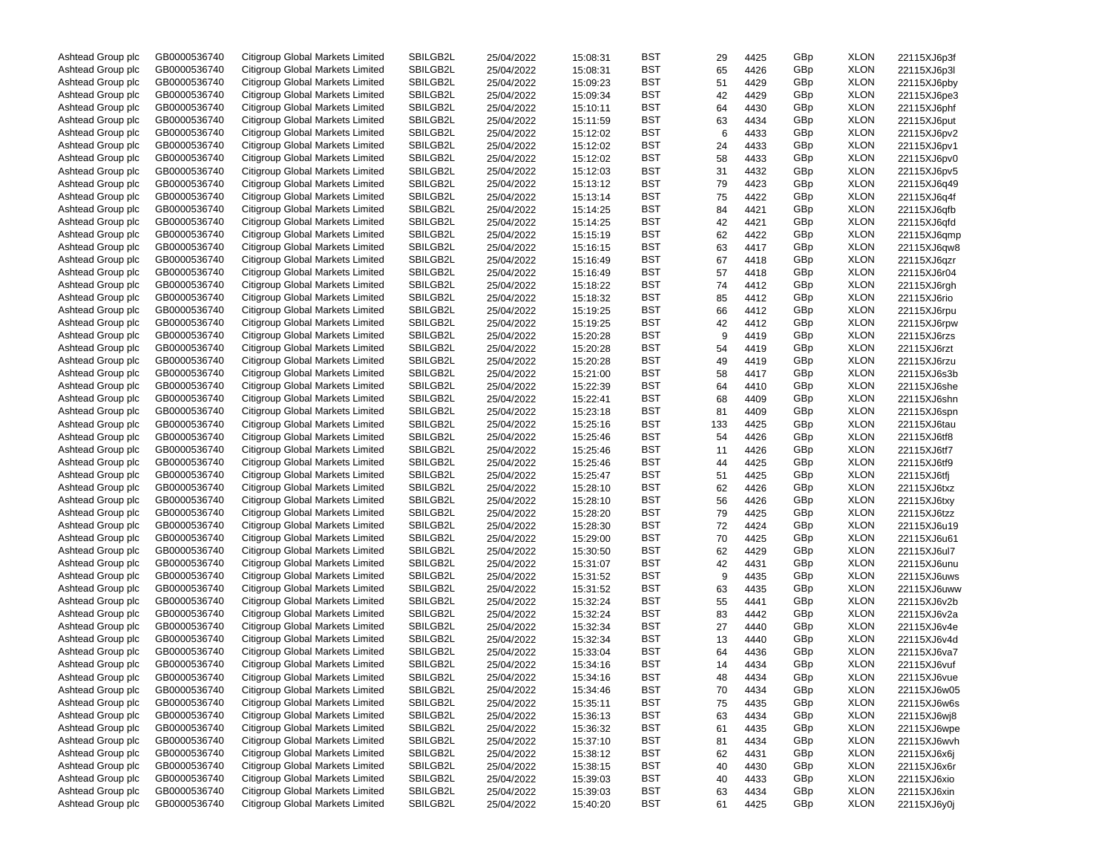| Ashtead Group plc | GB0000536740 | Citigroup Global Markets Limited | SBILGB2L | 25/04/2022 | 15:08:31 | BST        | 29  | 4425 | GBp | <b>XLON</b> | 22115XJ6p3f |
|-------------------|--------------|----------------------------------|----------|------------|----------|------------|-----|------|-----|-------------|-------------|
| Ashtead Group plc | GB0000536740 | Citigroup Global Markets Limited | SBILGB2L | 25/04/2022 | 15:08:31 | BST        | 65  | 4426 | GBp | <b>XLON</b> | 22115XJ6p3l |
| Ashtead Group plc | GB0000536740 | Citigroup Global Markets Limited | SBILGB2L | 25/04/2022 | 15:09:23 | BST        | 51  | 4429 | GBp | <b>XLON</b> | 22115XJ6pby |
| Ashtead Group plc | GB0000536740 | Citigroup Global Markets Limited | SBILGB2L | 25/04/2022 | 15:09:34 | BST        | 42  | 4429 | GBp | <b>XLON</b> | 22115XJ6pe3 |
| Ashtead Group plc | GB0000536740 | Citigroup Global Markets Limited | SBILGB2L | 25/04/2022 | 15:10:11 | BST        | 64  | 4430 | GBp | <b>XLON</b> | 22115XJ6phf |
| Ashtead Group plc | GB0000536740 | Citigroup Global Markets Limited | SBILGB2L | 25/04/2022 | 15:11:59 | BST        | 63  | 4434 | GBp | <b>XLON</b> | 22115XJ6put |
| Ashtead Group plc | GB0000536740 | Citigroup Global Markets Limited | SBILGB2L | 25/04/2022 | 15:12:02 | BST        | 6   | 4433 | GBp | <b>XLON</b> | 22115XJ6pv2 |
| Ashtead Group plc | GB0000536740 | Citigroup Global Markets Limited | SBILGB2L | 25/04/2022 | 15:12:02 | BST        | 24  | 4433 | GBp | <b>XLON</b> | 22115XJ6pv1 |
| Ashtead Group plc | GB0000536740 | Citigroup Global Markets Limited | SBILGB2L | 25/04/2022 | 15:12:02 | BST        | 58  | 4433 | GBp | <b>XLON</b> | 22115XJ6pv0 |
|                   | GB0000536740 | Citigroup Global Markets Limited | SBILGB2L |            |          | BST        |     |      |     | <b>XLON</b> |             |
| Ashtead Group plc |              |                                  |          | 25/04/2022 | 15:12:03 |            | 31  | 4432 | GBp |             | 22115XJ6pv5 |
| Ashtead Group plc | GB0000536740 | Citigroup Global Markets Limited | SBILGB2L | 25/04/2022 | 15:13:12 | BST        | 79  | 4423 | GBp | <b>XLON</b> | 22115XJ6q49 |
| Ashtead Group plc | GB0000536740 | Citigroup Global Markets Limited | SBILGB2L | 25/04/2022 | 15:13:14 | BST        | 75  | 4422 | GBp | <b>XLON</b> | 22115XJ6q4f |
| Ashtead Group plc | GB0000536740 | Citigroup Global Markets Limited | SBILGB2L | 25/04/2022 | 15:14:25 | BST        | 84  | 4421 | GBp | <b>XLON</b> | 22115XJ6qfb |
| Ashtead Group plc | GB0000536740 | Citigroup Global Markets Limited | SBILGB2L | 25/04/2022 | 15:14:25 | BST        | 42  | 4421 | GBp | <b>XLON</b> | 22115XJ6qfd |
| Ashtead Group plc | GB0000536740 | Citigroup Global Markets Limited | SBILGB2L | 25/04/2022 | 15:15:19 | BST        | 62  | 4422 | GBp | <b>XLON</b> | 22115XJ6qmp |
| Ashtead Group plc | GB0000536740 | Citigroup Global Markets Limited | SBILGB2L | 25/04/2022 | 15:16:15 | BST        | 63  | 4417 | GBp | <b>XLON</b> | 22115XJ6qw8 |
| Ashtead Group plc | GB0000536740 | Citigroup Global Markets Limited | SBILGB2L | 25/04/2022 | 15:16:49 | BST        | 67  | 4418 | GBp | <b>XLON</b> | 22115XJ6qzr |
| Ashtead Group plc | GB0000536740 | Citigroup Global Markets Limited | SBILGB2L | 25/04/2022 | 15:16:49 | BST        | 57  | 4418 | GBp | <b>XLON</b> | 22115XJ6r04 |
| Ashtead Group plc | GB0000536740 | Citigroup Global Markets Limited | SBILGB2L | 25/04/2022 | 15:18:22 | BST        | 74  | 4412 | GBp | <b>XLON</b> | 22115XJ6rgh |
| Ashtead Group plc | GB0000536740 | Citigroup Global Markets Limited | SBILGB2L | 25/04/2022 | 15:18:32 | BST        | 85  | 4412 | GBp | <b>XLON</b> | 22115XJ6rio |
| Ashtead Group plc | GB0000536740 | Citigroup Global Markets Limited | SBILGB2L | 25/04/2022 | 15:19:25 | BST        | 66  | 4412 | GBp | <b>XLON</b> | 22115XJ6rpu |
| Ashtead Group plc | GB0000536740 | Citigroup Global Markets Limited | SBILGB2L | 25/04/2022 | 15:19:25 | BST        | 42  | 4412 | GBp | <b>XLON</b> | 22115XJ6rpw |
| Ashtead Group plc | GB0000536740 | Citigroup Global Markets Limited | SBILGB2L | 25/04/2022 | 15:20:28 | BST        | 9   | 4419 | GBp | <b>XLON</b> | 22115XJ6rzs |
| Ashtead Group plc | GB0000536740 | Citigroup Global Markets Limited | SBILGB2L | 25/04/2022 | 15:20:28 | BST        | 54  | 4419 | GBp | <b>XLON</b> | 22115XJ6rzt |
| Ashtead Group plc | GB0000536740 | Citigroup Global Markets Limited | SBILGB2L | 25/04/2022 | 15:20:28 | BST        | 49  | 4419 | GBp | <b>XLON</b> | 22115XJ6rzu |
| Ashtead Group plc | GB0000536740 | Citigroup Global Markets Limited | SBILGB2L |            |          | BST        |     |      | GBp | <b>XLON</b> | 22115XJ6s3b |
|                   |              |                                  |          | 25/04/2022 | 15:21:00 |            | 58  | 4417 |     |             |             |
| Ashtead Group plc | GB0000536740 | Citigroup Global Markets Limited | SBILGB2L | 25/04/2022 | 15:22:39 | BST        | 64  | 4410 | GBp | <b>XLON</b> | 22115XJ6she |
| Ashtead Group plc | GB0000536740 | Citigroup Global Markets Limited | SBILGB2L | 25/04/2022 | 15:22:41 | BST        | 68  | 4409 | GBp | <b>XLON</b> | 22115XJ6shn |
| Ashtead Group plc | GB0000536740 | Citigroup Global Markets Limited | SBILGB2L | 25/04/2022 | 15:23:18 | BST        | 81  | 4409 | GBp | <b>XLON</b> | 22115XJ6spn |
| Ashtead Group plc | GB0000536740 | Citigroup Global Markets Limited | SBILGB2L | 25/04/2022 | 15:25:16 | BST        | 133 | 4425 | GBp | <b>XLON</b> | 22115XJ6tau |
| Ashtead Group plc | GB0000536740 | Citigroup Global Markets Limited | SBILGB2L | 25/04/2022 | 15:25:46 | BST        | 54  | 4426 | GBp | <b>XLON</b> | 22115XJ6tf8 |
| Ashtead Group plc | GB0000536740 | Citigroup Global Markets Limited | SBILGB2L | 25/04/2022 | 15:25:46 | BST        | 11  | 4426 | GBp | <b>XLON</b> | 22115XJ6tf7 |
| Ashtead Group plc | GB0000536740 | Citigroup Global Markets Limited | SBILGB2L | 25/04/2022 | 15:25:46 | BST        | 44  | 4425 | GBp | <b>XLON</b> | 22115XJ6tf9 |
| Ashtead Group plc | GB0000536740 | Citigroup Global Markets Limited | SBILGB2L | 25/04/2022 | 15:25:47 | BST        | 51  | 4425 | GBp | <b>XLON</b> | 22115XJ6tfj |
| Ashtead Group plc | GB0000536740 | Citigroup Global Markets Limited | SBILGB2L | 25/04/2022 | 15:28:10 | BST        | 62  | 4426 | GBp | <b>XLON</b> | 22115XJ6txz |
| Ashtead Group plc | GB0000536740 | Citigroup Global Markets Limited | SBILGB2L | 25/04/2022 | 15:28:10 | BST        | 56  | 4426 | GBp | <b>XLON</b> | 22115XJ6txy |
| Ashtead Group plc | GB0000536740 | Citigroup Global Markets Limited | SBILGB2L | 25/04/2022 | 15:28:20 | BST        | 79  | 4425 | GBp | <b>XLON</b> | 22115XJ6tzz |
| Ashtead Group plc | GB0000536740 | Citigroup Global Markets Limited | SBILGB2L | 25/04/2022 | 15:28:30 | BST        | 72  | 4424 | GBp | <b>XLON</b> | 22115XJ6u19 |
| Ashtead Group plc | GB0000536740 | Citigroup Global Markets Limited | SBILGB2L | 25/04/2022 | 15:29:00 | BST        | 70  | 4425 | GBp | <b>XLON</b> | 22115XJ6u61 |
| Ashtead Group plc | GB0000536740 | Citigroup Global Markets Limited | SBILGB2L | 25/04/2022 | 15:30:50 | BST        | 62  | 4429 | GBp | <b>XLON</b> | 22115XJ6ul7 |
| Ashtead Group plc | GB0000536740 | Citigroup Global Markets Limited | SBILGB2L | 25/04/2022 | 15:31:07 | BST        | 42  | 4431 | GBp | <b>XLON</b> | 22115XJ6unu |
| Ashtead Group plc | GB0000536740 | Citigroup Global Markets Limited | SBILGB2L | 25/04/2022 | 15:31:52 | BST        | 9   | 4435 | GBp | <b>XLON</b> | 22115XJ6uws |
| Ashtead Group plc | GB0000536740 | Citigroup Global Markets Limited | SBILGB2L | 25/04/2022 | 15:31:52 | BST        | 63  | 4435 | GBp | <b>XLON</b> | 22115XJ6uww |
|                   | GB0000536740 | Citigroup Global Markets Limited | SBILGB2L |            |          | BST        |     |      |     | <b>XLON</b> |             |
| Ashtead Group plc |              |                                  |          | 25/04/2022 | 15:32:24 |            | 55  | 4441 | GBp |             | 22115XJ6v2b |
| Ashtead Group plc | GB0000536740 | Citigroup Global Markets Limited | SBILGB2L | 25/04/2022 | 15:32:24 | BST        | 83  | 4442 | GBp | <b>XLON</b> | 22115XJ6v2a |
| Ashtead Group plc | GB0000536740 | Citigroup Global Markets Limited | SBILGB2L | 25/04/2022 | 15:32:34 | BST        | 27  | 4440 | GBp | <b>XLON</b> | 22115XJ6v4e |
| Ashtead Group plc | GB0000536740 | Citigroup Global Markets Limited | SBILGB2L | 25/04/2022 | 15:32:34 | BST        | 13  | 4440 | GBp | <b>XLON</b> | 22115XJ6v4d |
| Ashtead Group plc | GB0000536740 | Citigroup Global Markets Limited | SBILGB2L | 25/04/2022 | 15:33:04 | BST        | 64  | 4436 | GBp | <b>XLON</b> | 22115XJ6va7 |
| Ashtead Group plc | GB0000536740 | Citigroup Global Markets Limited | SBILGB2L | 25/04/2022 | 15:34:16 | BST        | 14  | 4434 | GBp | <b>XLON</b> | 22115XJ6vuf |
| Ashtead Group plc | GB0000536740 | Citigroup Global Markets Limited | SBILGB2L | 25/04/2022 | 15:34:16 | BST        | 48  | 4434 | GBp | <b>XLON</b> | 22115XJ6vue |
| Ashtead Group plc | GB0000536740 | Citigroup Global Markets Limited | SBILGB2L | 25/04/2022 | 15:34:46 | <b>BST</b> | 70  | 4434 | GBp | XLON        | 22115XJ6w05 |
| Ashtead Group plc | GB0000536740 | Citigroup Global Markets Limited | SBILGB2L | 25/04/2022 | 15:35:11 | BST        | 75  | 4435 | GBp | <b>XLON</b> | 22115XJ6w6s |
| Ashtead Group plc | GB0000536740 | Citigroup Global Markets Limited | SBILGB2L | 25/04/2022 | 15:36:13 | BST        | 63  | 4434 | GBp | <b>XLON</b> | 22115XJ6wj8 |
| Ashtead Group plc | GB0000536740 | Citigroup Global Markets Limited | SBILGB2L | 25/04/2022 | 15:36:32 | BST        | 61  | 4435 | GBp | <b>XLON</b> | 22115XJ6wpe |
| Ashtead Group plc | GB0000536740 | Citigroup Global Markets Limited | SBILGB2L | 25/04/2022 | 15:37:10 | BST        | 81  | 4434 | GBp | <b>XLON</b> | 22115XJ6wvh |
| Ashtead Group plc | GB0000536740 | Citigroup Global Markets Limited | SBILGB2L | 25/04/2022 | 15:38:12 | BST        | 62  | 4431 | GBp | <b>XLON</b> | 22115XJ6x6j |
| Ashtead Group plc | GB0000536740 | Citigroup Global Markets Limited | SBILGB2L | 25/04/2022 | 15:38:15 | BST        | 40  | 4430 | GBp | <b>XLON</b> | 22115XJ6x6r |
| Ashtead Group plc | GB0000536740 | Citigroup Global Markets Limited | SBILGB2L | 25/04/2022 | 15:39:03 | BST        | 40  | 4433 | GBp | <b>XLON</b> | 22115XJ6xio |
| Ashtead Group plc | GB0000536740 | Citigroup Global Markets Limited | SBILGB2L | 25/04/2022 | 15:39:03 | BST        | 63  | 4434 | GBp | <b>XLON</b> | 22115XJ6xin |
| Ashtead Group plc | GB0000536740 | Citigroup Global Markets Limited | SBILGB2L | 25/04/2022 | 15:40:20 | BST        | 61  | 4425 | GBp | <b>XLON</b> | 22115XJ6y0j |
|                   |              |                                  |          |            |          |            |     |      |     |             |             |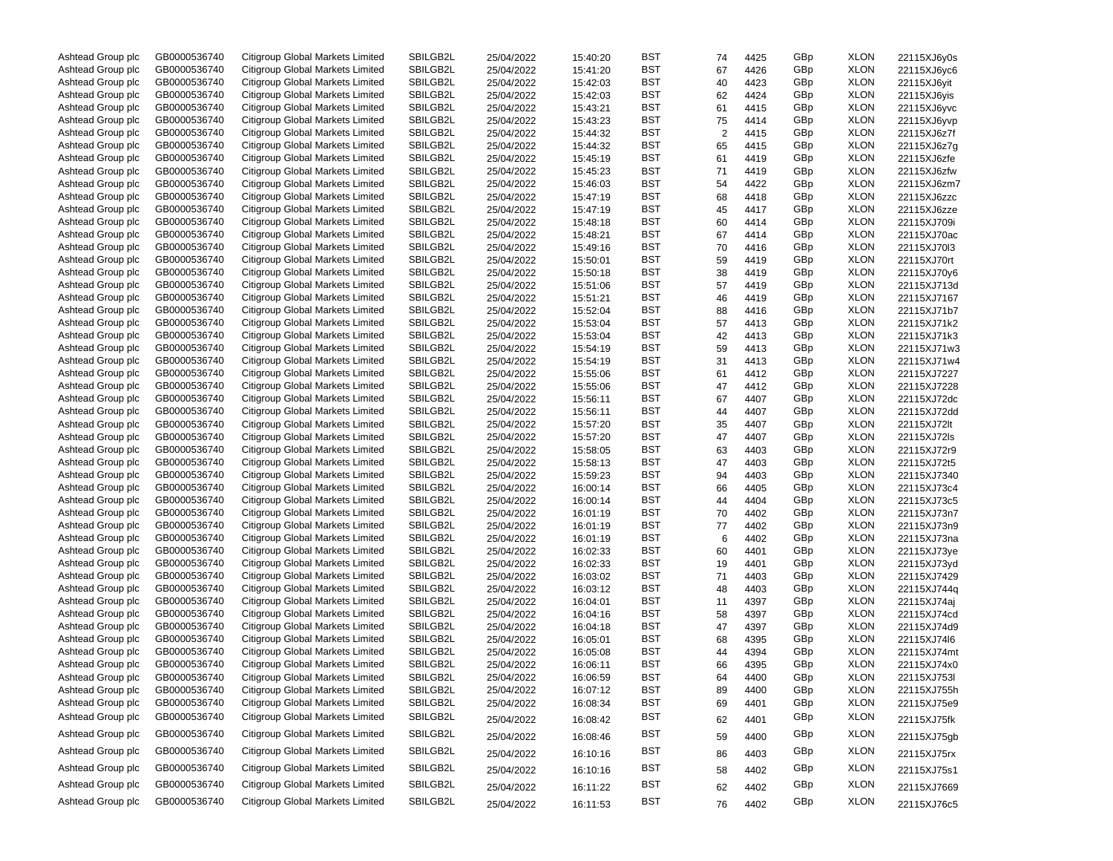| Ashtead Group plc                      | GB0000536740 | Citigroup Global Markets Limited | SBILGB2L | 25/04/2022 | 15:40:20 | BST        | 74             | 4425 | GBp | <b>XLON</b> | 22115XJ6y0s                |
|----------------------------------------|--------------|----------------------------------|----------|------------|----------|------------|----------------|------|-----|-------------|----------------------------|
| Ashtead Group plc                      | GB0000536740 | Citigroup Global Markets Limited | SBILGB2L | 25/04/2022 | 15:41:20 | <b>BST</b> | 67             | 4426 | GBp | <b>XLON</b> | 22115XJ6yc6                |
| Ashtead Group plc                      | GB0000536740 | Citigroup Global Markets Limited | SBILGB2L | 25/04/2022 | 15:42:03 | BST        | 40             | 4423 | GBp | <b>XLON</b> | 22115XJ6yit                |
| Ashtead Group plc                      | GB0000536740 | Citigroup Global Markets Limited | SBILGB2L | 25/04/2022 | 15:42:03 | <b>BST</b> | 62             | 4424 | GBp | <b>XLON</b> | 22115XJ6yis                |
| Ashtead Group plc                      | GB0000536740 | Citigroup Global Markets Limited | SBILGB2L | 25/04/2022 | 15:43:21 | BST        | 61             | 4415 | GBp | <b>XLON</b> | 22115XJ6yvc                |
| Ashtead Group plc                      | GB0000536740 | Citigroup Global Markets Limited | SBILGB2L | 25/04/2022 | 15:43:23 | BST        | 75             | 4414 | GBp | <b>XLON</b> | 22115XJ6yvp                |
| Ashtead Group plc                      | GB0000536740 | Citigroup Global Markets Limited | SBILGB2L | 25/04/2022 | 15:44:32 | <b>BST</b> | $\overline{2}$ | 4415 | GBp | <b>XLON</b> | 22115XJ6z7f                |
| Ashtead Group plc                      | GB0000536740 | Citigroup Global Markets Limited | SBILGB2L | 25/04/2022 | 15:44:32 | BST        | 65             | 4415 | GBp | <b>XLON</b> | 22115XJ6z7g                |
| Ashtead Group plc                      | GB0000536740 | Citigroup Global Markets Limited | SBILGB2L | 25/04/2022 | 15:45:19 | BST        | 61             | 4419 | GBp | <b>XLON</b> | 22115XJ6zfe                |
| Ashtead Group plc                      | GB0000536740 | Citigroup Global Markets Limited | SBILGB2L | 25/04/2022 | 15:45:23 | BST        | 71             | 4419 | GBp | <b>XLON</b> | 22115XJ6zfw                |
| Ashtead Group plc                      | GB0000536740 | Citigroup Global Markets Limited | SBILGB2L | 25/04/2022 | 15:46:03 | BST        | 54             | 4422 | GBp | <b>XLON</b> | 22115XJ6zm7                |
| Ashtead Group plc                      | GB0000536740 | Citigroup Global Markets Limited | SBILGB2L | 25/04/2022 | 15:47:19 | <b>BST</b> | 68             | 4418 | GBp | <b>XLON</b> | 22115XJ6zzc                |
|                                        | GB0000536740 | Citigroup Global Markets Limited | SBILGB2L |            |          | BST        |                |      |     | <b>XLON</b> |                            |
| Ashtead Group plc<br>Ashtead Group plc |              |                                  |          | 25/04/2022 | 15:47:19 | <b>BST</b> | 45             | 4417 | GBp |             | 22115XJ6zze                |
|                                        | GB0000536740 | Citigroup Global Markets Limited | SBILGB2L | 25/04/2022 | 15:48:18 |            | 60             | 4414 | GBp | <b>XLON</b> | 22115XJ709i                |
| Ashtead Group plc                      | GB0000536740 | Citigroup Global Markets Limited | SBILGB2L | 25/04/2022 | 15:48:21 | BST        | 67             | 4414 | GBp | <b>XLON</b> | 22115XJ70ac                |
| Ashtead Group plc                      | GB0000536740 | Citigroup Global Markets Limited | SBILGB2L | 25/04/2022 | 15:49:16 | BST        | 70             | 4416 | GBp | <b>XLON</b> | 22115XJ70l3                |
| Ashtead Group plc                      | GB0000536740 | Citigroup Global Markets Limited | SBILGB2L | 25/04/2022 | 15:50:01 | BST        | 59             | 4419 | GBp | <b>XLON</b> | 22115XJ70rt                |
| Ashtead Group plc                      | GB0000536740 | Citigroup Global Markets Limited | SBILGB2L | 25/04/2022 | 15:50:18 | BST        | 38             | 4419 | GBp | <b>XLON</b> | 22115XJ70y6                |
| Ashtead Group plc                      | GB0000536740 | Citigroup Global Markets Limited | SBILGB2L | 25/04/2022 | 15:51:06 | BST        | 57             | 4419 | GBp | <b>XLON</b> | 22115XJ713d                |
| Ashtead Group plc                      | GB0000536740 | Citigroup Global Markets Limited | SBILGB2L | 25/04/2022 | 15:51:21 | BST        | 46             | 4419 | GBp | <b>XLON</b> | 22115XJ7167                |
| Ashtead Group plc                      | GB0000536740 | Citigroup Global Markets Limited | SBILGB2L | 25/04/2022 | 15:52:04 | BST        | 88             | 4416 | GBp | <b>XLON</b> | 22115XJ71b7                |
| Ashtead Group plc                      | GB0000536740 | Citigroup Global Markets Limited | SBILGB2L | 25/04/2022 | 15:53:04 | <b>BST</b> | 57             | 4413 | GBp | <b>XLON</b> | 22115XJ71k2                |
| Ashtead Group plc                      | GB0000536740 | Citigroup Global Markets Limited | SBILGB2L | 25/04/2022 | 15:53:04 | BST        | 42             | 4413 | GBp | <b>XLON</b> | 22115XJ71k3                |
| Ashtead Group plc                      | GB0000536740 | Citigroup Global Markets Limited | SBILGB2L | 25/04/2022 | 15:54:19 | <b>BST</b> | 59             | 4413 | GBp | <b>XLON</b> | 22115XJ71w3                |
| Ashtead Group plc                      | GB0000536740 | Citigroup Global Markets Limited | SBILGB2L | 25/04/2022 | 15:54:19 | BST        | 31             | 4413 | GBp | <b>XLON</b> | 22115XJ71w4                |
| Ashtead Group plc                      | GB0000536740 | Citigroup Global Markets Limited | SBILGB2L | 25/04/2022 | 15:55:06 | BST        | 61             | 4412 | GBp | <b>XLON</b> | 22115XJ7227                |
| Ashtead Group plc                      | GB0000536740 | Citigroup Global Markets Limited | SBILGB2L | 25/04/2022 | 15:55:06 | BST        | 47             | 4412 | GBp | <b>XLON</b> | 22115XJ7228                |
| Ashtead Group plc                      | GB0000536740 | Citigroup Global Markets Limited | SBILGB2L | 25/04/2022 | 15:56:11 | BST        | 67             | 4407 | GBp | <b>XLON</b> | 22115XJ72dc                |
| Ashtead Group plc                      | GB0000536740 | Citigroup Global Markets Limited | SBILGB2L | 25/04/2022 | 15:56:11 | BST        | 44             | 4407 | GBp | <b>XLON</b> | 22115XJ72dd                |
| Ashtead Group plc                      | GB0000536740 | Citigroup Global Markets Limited | SBILGB2L | 25/04/2022 | 15:57:20 | BST        | 35             | 4407 | GBp | <b>XLON</b> | 22115XJ72lt                |
| Ashtead Group plc                      | GB0000536740 | Citigroup Global Markets Limited | SBILGB2L | 25/04/2022 | 15:57:20 | BST        | 47             | 4407 | GBp | <b>XLON</b> | 22115XJ72ls                |
| Ashtead Group plc                      | GB0000536740 | Citigroup Global Markets Limited | SBILGB2L | 25/04/2022 | 15:58:05 | <b>BST</b> | 63             | 4403 | GBp | <b>XLON</b> | 22115XJ72r9                |
| Ashtead Group plc                      | GB0000536740 | Citigroup Global Markets Limited | SBILGB2L | 25/04/2022 | 15:58:13 | BST        | 47             | 4403 | GBp | <b>XLON</b> | 22115XJ72t5                |
| Ashtead Group plc                      | GB0000536740 | Citigroup Global Markets Limited | SBILGB2L | 25/04/2022 | 15:59:23 | <b>BST</b> | 94             | 4403 | GBp | <b>XLON</b> | 22115XJ7340                |
| Ashtead Group plc                      | GB0000536740 | Citigroup Global Markets Limited | SBILGB2L | 25/04/2022 | 16:00:14 | BST        | 66             | 4405 | GBp | <b>XLON</b> | 22115XJ73c4                |
| Ashtead Group plc                      | GB0000536740 | Citigroup Global Markets Limited | SBILGB2L | 25/04/2022 | 16:00:14 | BST        | 44             | 4404 | GBp | <b>XLON</b> | 22115XJ73c5                |
| Ashtead Group plc                      | GB0000536740 | Citigroup Global Markets Limited | SBILGB2L | 25/04/2022 | 16:01:19 | BST        | 70             | 4402 | GBp | <b>XLON</b> | 22115XJ73n7                |
| Ashtead Group plc                      | GB0000536740 | Citigroup Global Markets Limited | SBILGB2L |            |          | BST        |                |      | GBp | <b>XLON</b> |                            |
|                                        | GB0000536740 | Citigroup Global Markets Limited | SBILGB2L | 25/04/2022 | 16:01:19 | BST        | 77<br>6        | 4402 | GBp | <b>XLON</b> | 22115XJ73n9                |
| Ashtead Group plc                      |              |                                  |          | 25/04/2022 | 16:01:19 |            |                | 4402 |     |             | 22115XJ73na                |
| Ashtead Group plc                      | GB0000536740 | Citigroup Global Markets Limited | SBILGB2L | 25/04/2022 | 16:02:33 | BST        | 60             | 4401 | GBp | <b>XLON</b> | 22115XJ73ye                |
| Ashtead Group plc                      | GB0000536740 | Citigroup Global Markets Limited | SBILGB2L | 25/04/2022 | 16:02:33 | BST        | 19             | 4401 | GBp | <b>XLON</b> | 22115XJ73yd                |
| Ashtead Group plc                      | GB0000536740 | Citigroup Global Markets Limited | SBILGB2L | 25/04/2022 | 16:03:02 | <b>BST</b> | 71             | 4403 | GBp | <b>XLON</b> | 22115XJ7429                |
| Ashtead Group plc                      | GB0000536740 | Citigroup Global Markets Limited | SBILGB2L | 25/04/2022 | 16:03:12 | BST        | 48             | 4403 | GBp | <b>XLON</b> | 22115XJ744q                |
| Ashtead Group plc                      | GB0000536740 | Citigroup Global Markets Limited | SBILGB2L | 25/04/2022 | 16:04:01 | <b>BST</b> | 11             | 4397 | GBp | <b>XLON</b> | 22115XJ74aj                |
| Ashtead Group plc                      | GB0000536740 | Citigroup Global Markets Limited | SBILGB2L | 25/04/2022 | 16:04:16 | BST        | 58             | 4397 | GBp | <b>XLON</b> | 22115XJ74cd                |
| Ashtead Group plc                      | GB0000536740 | Citigroup Global Markets Limited | SBILGB2L | 25/04/2022 | 16:04:18 | BST        | 47             | 4397 | GBp | <b>XLON</b> | 22115XJ74d9                |
| Ashtead Group plc                      | GB0000536740 | Citigroup Global Markets Limited | SBILGB2L | 25/04/2022 | 16:05:01 | BST        | 68             | 4395 | GBp | <b>XLON</b> | 22115XJ74l6                |
| Ashtead Group plc                      | GB0000536740 | Citigroup Global Markets Limited | SBILGB2L | 25/04/2022 | 16:05:08 | BST        | 44             | 4394 | GBp | <b>XLON</b> | 22115XJ74mt                |
| Ashtead Group plc                      | GB0000536740 | Citigroup Global Markets Limited | SBILGB2L | 25/04/2022 | 16:06:11 | <b>BST</b> | 66             | 4395 | GBp | <b>XLON</b> | 22115XJ74x0                |
| Ashtead Group plc                      | GB0000536740 | Citigroup Global Markets Limited | SBILGB2L | 25/04/2022 | 16:06:59 | <b>BST</b> | 64             | 4400 | GBp | <b>XLON</b> | 22115XJ753I                |
| Ashtead Group plc                      | GB0000536740 | Citigroup Global Markets Limited | SBILGB2L | 25/04/2022 | 16:07:12 | BST        | 89             | 4400 | GBp | <b>XLON</b> | 22115XJ755h                |
| Ashtead Group plc                      | GB0000536740 | Citigroup Global Markets Limited | SBILGB2L | 25/04/2022 | 16:08:34 | BST        | 69             | 4401 | GBp | <b>XLON</b> | 22115XJ75e9                |
| Ashtead Group plc                      | GB0000536740 | Citigroup Global Markets Limited | SBILGB2L | 25/04/2022 | 16:08:42 | <b>BST</b> | 62             | 4401 | GBp | <b>XLON</b> | 22115XJ75fk                |
| Ashtead Group plc                      | GB0000536740 | Citigroup Global Markets Limited | SBILGB2L | 25/04/2022 | 16:08:46 | <b>BST</b> | 59             | 4400 | GBp | <b>XLON</b> | 22115XJ75gb                |
| Ashtead Group plc                      | GB0000536740 | Citigroup Global Markets Limited | SBILGB2L | 25/04/2022 | 16:10:16 | <b>BST</b> | 86             | 4403 | GBp | <b>XLON</b> | 22115XJ75rx                |
| Ashtead Group plc                      | GB0000536740 | Citigroup Global Markets Limited | SBILGB2L | 25/04/2022 | 16:10:16 | <b>BST</b> | 58             | 4402 | GBp | <b>XLON</b> | 22115XJ75s1                |
| Ashtead Group plc                      | GB0000536740 | Citigroup Global Markets Limited | SBILGB2L |            | 16:11:22 | <b>BST</b> |                | 4402 | GBp | <b>XLON</b> |                            |
| Ashtead Group plc                      | GB0000536740 | Citigroup Global Markets Limited | SBILGB2L | 25/04/2022 | 16:11:53 | <b>BST</b> | 62<br>76       | 4402 | GBp | <b>XLON</b> | 22115XJ7669<br>22115XJ76c5 |
|                                        |              |                                  |          | 25/04/2022 |          |            |                |      |     |             |                            |